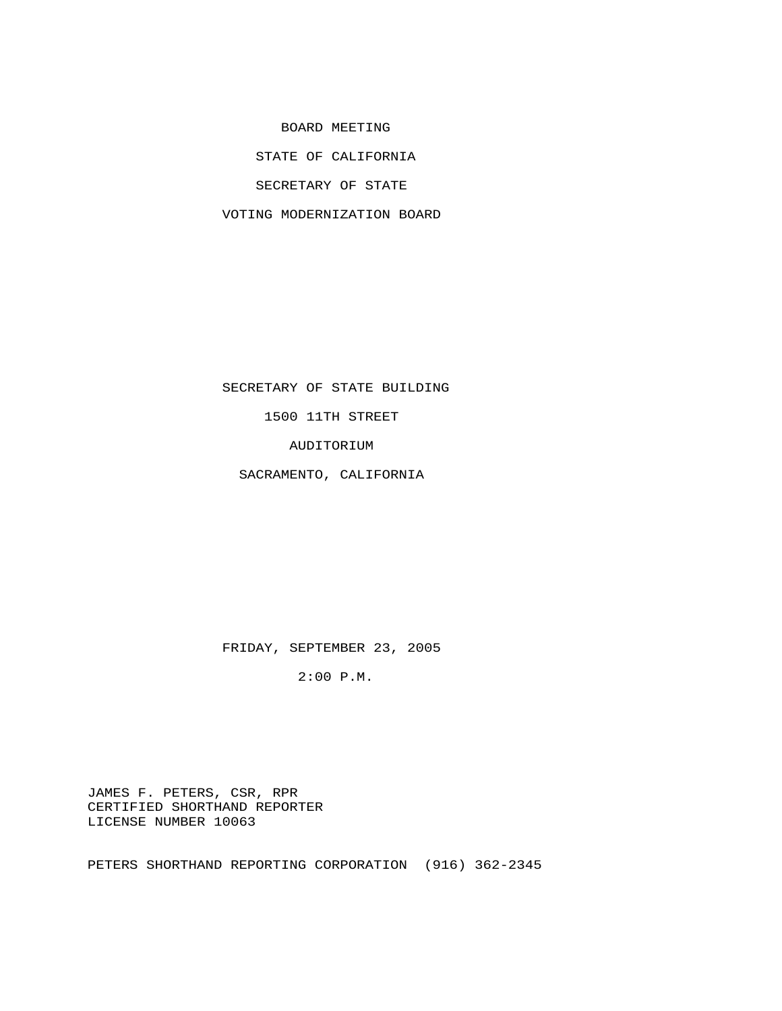BOARD MEETING

STATE OF CALIFORNIA

SECRETARY OF STATE

VOTING MODERNIZATION BOARD

SECRETARY OF STATE BUILDING

1500 11TH STREET

AUDITORIUM

SACRAMENTO, CALIFORNIA

FRIDAY, SEPTEMBER 23, 2005

2:00 P.M.

 JAMES F. PETERS, CSR, RPR CERTIFIED SHORTHAND REPORTER LICENSE NUMBER 10063

PETERS SHORTHAND REPORTING CORPORATION (916) 362-2345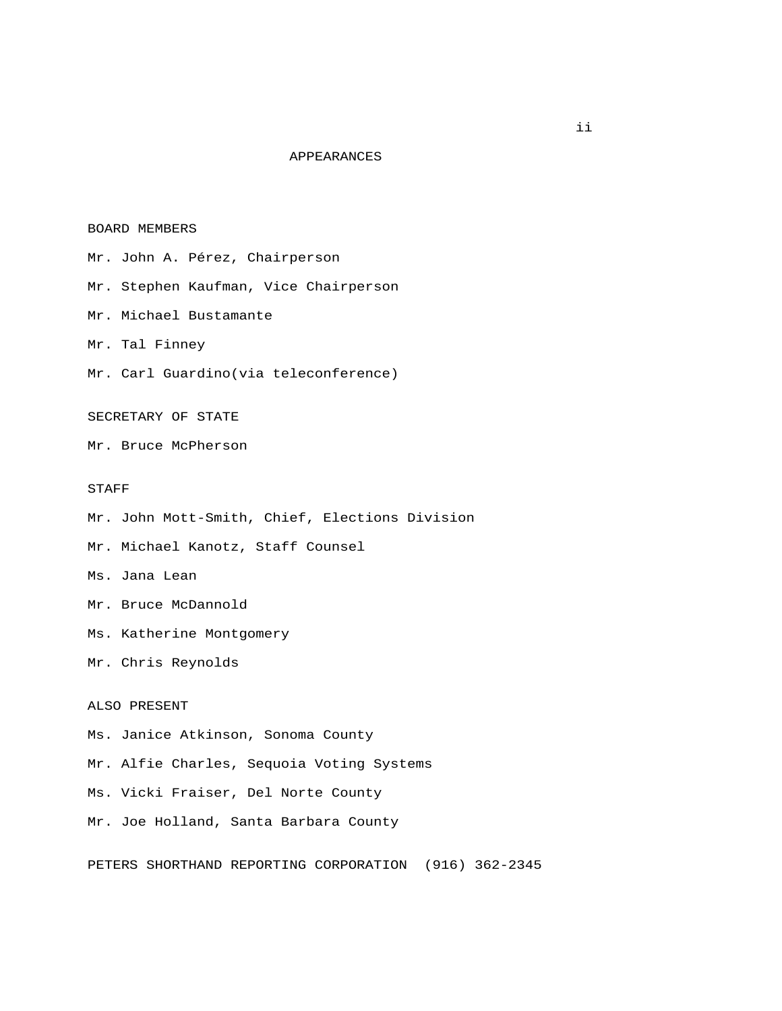## APPEARANCES

#### BOARD MEMBERS

Mr. John A. Pérez, Chairperson

Mr. Stephen Kaufman, Vice Chairperson

- Mr. Michael Bustamante
- Mr. Tal Finney
- Mr. Carl Guardino(via teleconference)

## SECRETARY OF STATE

Mr. Bruce McPherson

#### STAFF

- Mr. John Mott-Smith, Chief, Elections Division
- Mr. Michael Kanotz, Staff Counsel
- Ms. Jana Lean
- Mr. Bruce McDannold
- Ms. Katherine Montgomery
- Mr. Chris Reynolds

# ALSO PRESENT

- Ms. Janice Atkinson, Sonoma County
- Mr. Alfie Charles, Sequoia Voting Systems
- Ms. Vicki Fraiser, Del Norte County
- Mr. Joe Holland, Santa Barbara County

PETERS SHORTHAND REPORTING CORPORATION (916) 362-2345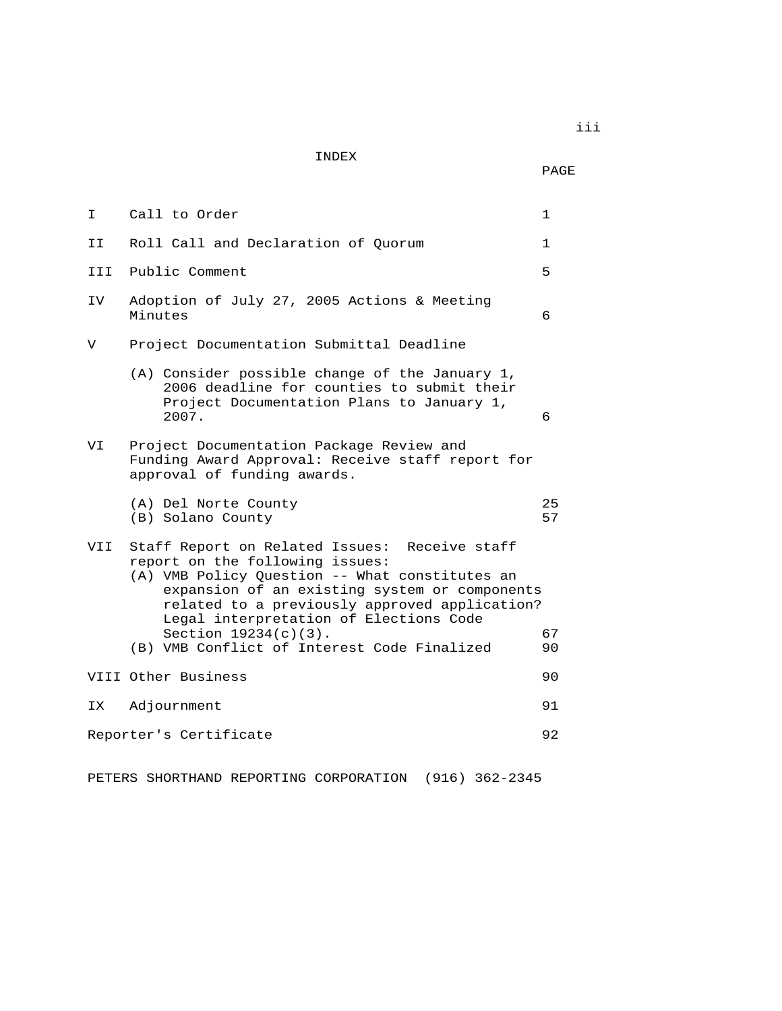INDEX

PAGE

I Call to Order 1 II Roll Call and Declaration of Quorum 1 III Public Comment 5 IV Adoption of July 27, 2005 Actions & Meeting Minutes 6 V Project Documentation Submittal Deadline (A) Consider possible change of the January 1, 2006 deadline for counties to submit their Project Documentation Plans to January 1, 2007. 6 VI Project Documentation Package Review and Funding Award Approval: Receive staff report for approval of funding awards. (A) Del Norte County 25 (B) Solano County VII Staff Report on Related Issues: Receive staff report on the following issues: (A) VMB Policy Question -- What constitutes an expansion of an existing system or components related to a previously approved application? Legal interpretation of Elections Code Section 19234(c)(3). 67<br>VMB Conflict of Interest Code Finalized 90 (B) VMB Conflict of Interest Code Finalized VIII Other Business 90 IX Adjournment 91 Reporter's Certificate 52 and 22 and 22 and 23 and 23 and 23 and 23 and 23 and 23 and 23 and 23 and 24 and 25

PETERS SHORTHAND REPORTING CORPORATION (916) 362-2345

iii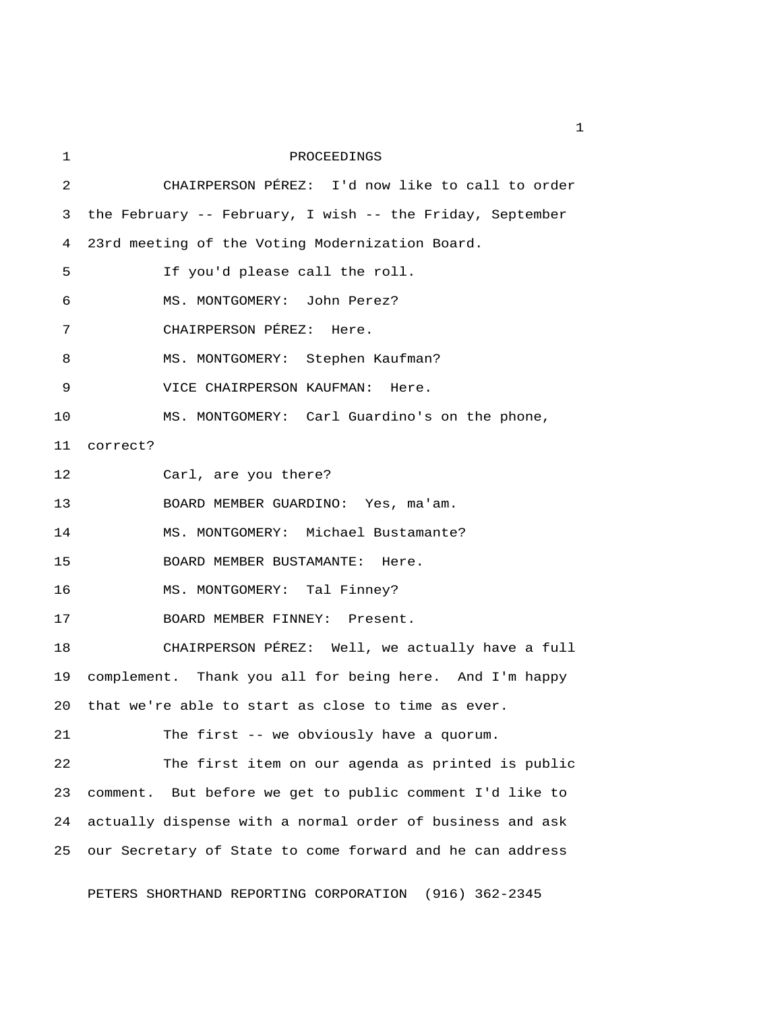| 1  | PROCEEDINGS                                               |
|----|-----------------------------------------------------------|
| 2  | CHAIRPERSON PÉREZ: I'd now like to call to order          |
| 3  | the February -- February, I wish -- the Friday, September |
| 4  | 23rd meeting of the Voting Modernization Board.           |
| 5  | If you'd please call the roll.                            |
| 6  | MS. MONTGOMERY: John Perez?                               |
| 7  | CHAIRPERSON PÉREZ: Here.                                  |
| 8  | MS. MONTGOMERY: Stephen Kaufman?                          |
| 9  | VICE CHAIRPERSON KAUFMAN: Here.                           |
| 10 | MS. MONTGOMERY: Carl Guardino's on the phone,             |
| 11 | correct?                                                  |
| 12 | Carl, are you there?                                      |
| 13 | BOARD MEMBER GUARDINO: Yes, ma'am.                        |
| 14 | MS. MONTGOMERY: Michael Bustamante?                       |
| 15 | BOARD MEMBER BUSTAMANTE: Here.                            |
| 16 | MS. MONTGOMERY: Tal Finney?                               |
| 17 | BOARD MEMBER FINNEY: Present.                             |
| 18 | CHAIRPERSON PÉREZ: Well, we actually have a full          |
| 19 | complement. Thank you all for being here. And I'm happy   |
|    | 20 that we're able to start as close to time as ever.     |
| 21 | The first -- we obviously have a quorum.                  |
| 22 | The first item on our agenda as printed is public         |
| 23 | comment. But before we get to public comment I'd like to  |
| 24 | actually dispense with a normal order of business and ask |
| 25 | our Secretary of State to come forward and he can address |
|    |                                                           |

PETERS SHORTHAND REPORTING CORPORATION (916) 362-2345

 $\mathbf{1}$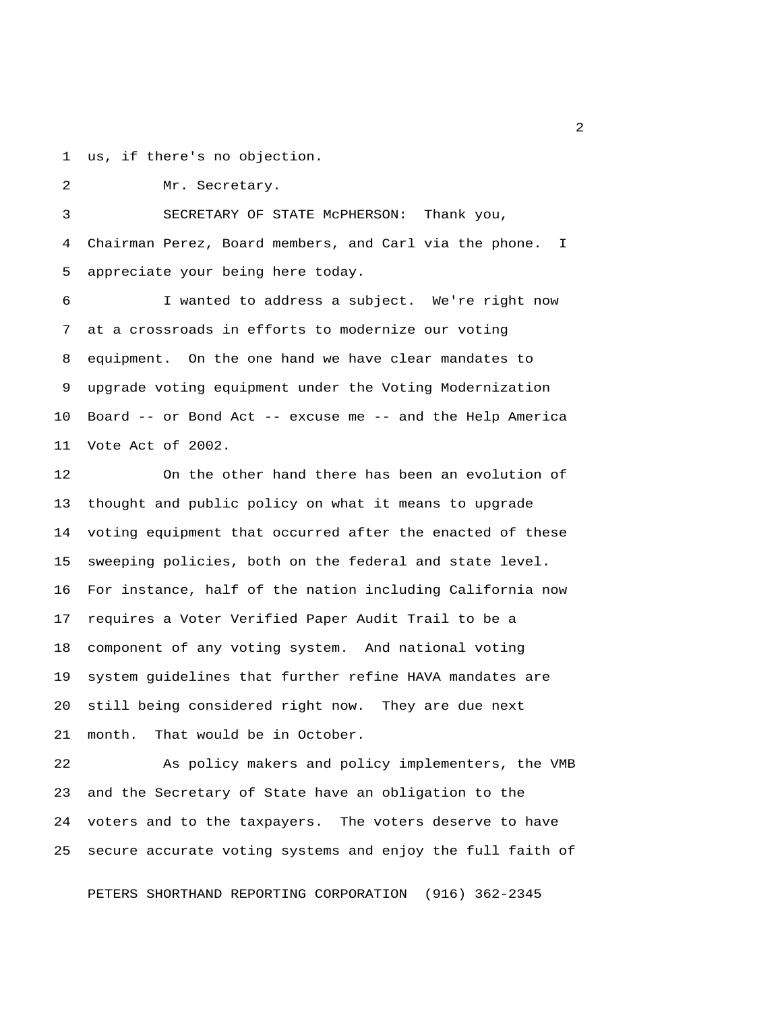1 us, if there's no objection.

2 Mr. Secretary.

 3 SECRETARY OF STATE McPHERSON: Thank you, 4 Chairman Perez, Board members, and Carl via the phone. I 5 appreciate your being here today.

 6 I wanted to address a subject. We're right now 7 at a crossroads in efforts to modernize our voting 8 equipment. On the one hand we have clear mandates to 9 upgrade voting equipment under the Voting Modernization 10 Board -- or Bond Act -- excuse me -- and the Help America 11 Vote Act of 2002.

12 On the other hand there has been an evolution of 13 thought and public policy on what it means to upgrade 14 voting equipment that occurred after the enacted of these 15 sweeping policies, both on the federal and state level. 16 For instance, half of the nation including California now 17 requires a Voter Verified Paper Audit Trail to be a 18 component of any voting system. And national voting 19 system guidelines that further refine HAVA mandates are 20 still being considered right now. They are due next 21 month. That would be in October.

22 As policy makers and policy implementers, the VMB 23 and the Secretary of State have an obligation to the 24 voters and to the taxpayers. The voters deserve to have 25 secure accurate voting systems and enjoy the full faith of

PETERS SHORTHAND REPORTING CORPORATION (916) 362-2345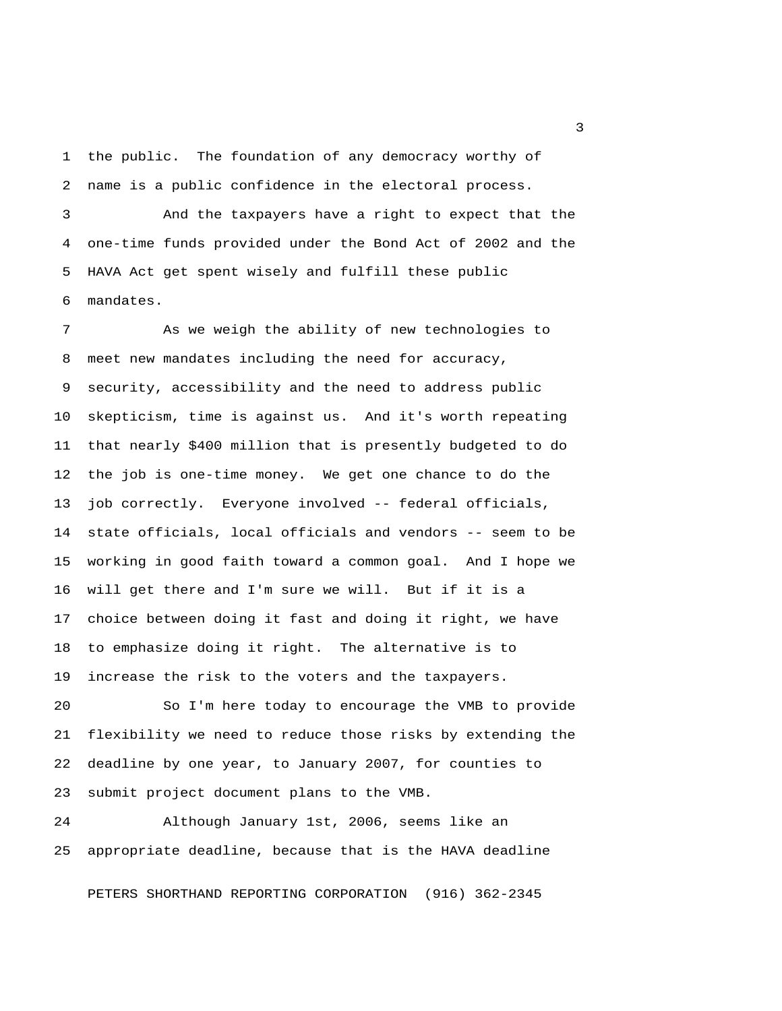1 the public. The foundation of any democracy worthy of 2 name is a public confidence in the electoral process.

 3 And the taxpayers have a right to expect that the 4 one-time funds provided under the Bond Act of 2002 and the 5 HAVA Act get spent wisely and fulfill these public 6 mandates.

 7 As we weigh the ability of new technologies to 8 meet new mandates including the need for accuracy, 9 security, accessibility and the need to address public 10 skepticism, time is against us. And it's worth repeating 11 that nearly \$400 million that is presently budgeted to do 12 the job is one-time money. We get one chance to do the 13 job correctly. Everyone involved -- federal officials, 14 state officials, local officials and vendors -- seem to be 15 working in good faith toward a common goal. And I hope we 16 will get there and I'm sure we will. But if it is a 17 choice between doing it fast and doing it right, we have 18 to emphasize doing it right. The alternative is to 19 increase the risk to the voters and the taxpayers.

20 So I'm here today to encourage the VMB to provide 21 flexibility we need to reduce those risks by extending the 22 deadline by one year, to January 2007, for counties to 23 submit project document plans to the VMB.

24 Although January 1st, 2006, seems like an 25 appropriate deadline, because that is the HAVA deadline

PETERS SHORTHAND REPORTING CORPORATION (916) 362-2345

 $\overline{\mathbf{3}}$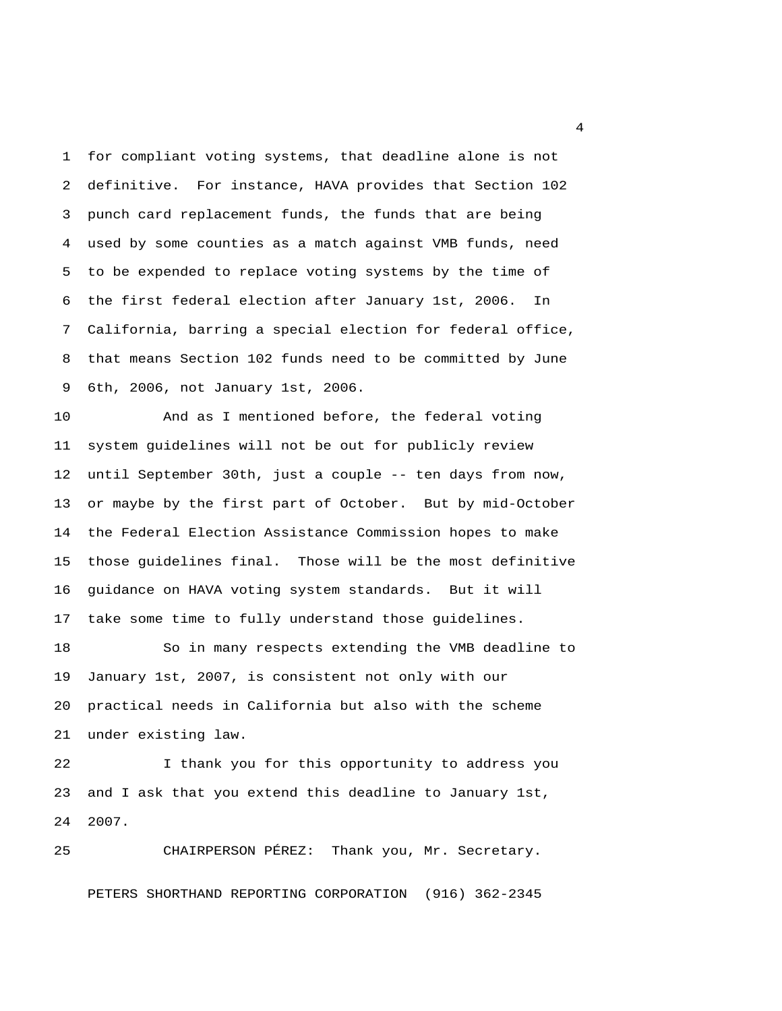1 for compliant voting systems, that deadline alone is not 2 definitive. For instance, HAVA provides that Section 102 3 punch card replacement funds, the funds that are being 4 used by some counties as a match against VMB funds, need 5 to be expended to replace voting systems by the time of 6 the first federal election after January 1st, 2006. In 7 California, barring a special election for federal office, 8 that means Section 102 funds need to be committed by June 9 6th, 2006, not January 1st, 2006.

10 And as I mentioned before, the federal voting 11 system guidelines will not be out for publicly review 12 until September 30th, just a couple -- ten days from now, 13 or maybe by the first part of October. But by mid-October 14 the Federal Election Assistance Commission hopes to make 15 those guidelines final. Those will be the most definitive 16 guidance on HAVA voting system standards. But it will 17 take some time to fully understand those guidelines.

18 So in many respects extending the VMB deadline to 19 January 1st, 2007, is consistent not only with our 20 practical needs in California but also with the scheme 21 under existing law.

22 I thank you for this opportunity to address you 23 and I ask that you extend this deadline to January 1st, 24 2007.

25 CHAIRPERSON PÉREZ: Thank you, Mr. Secretary. PETERS SHORTHAND REPORTING CORPORATION (916) 362-2345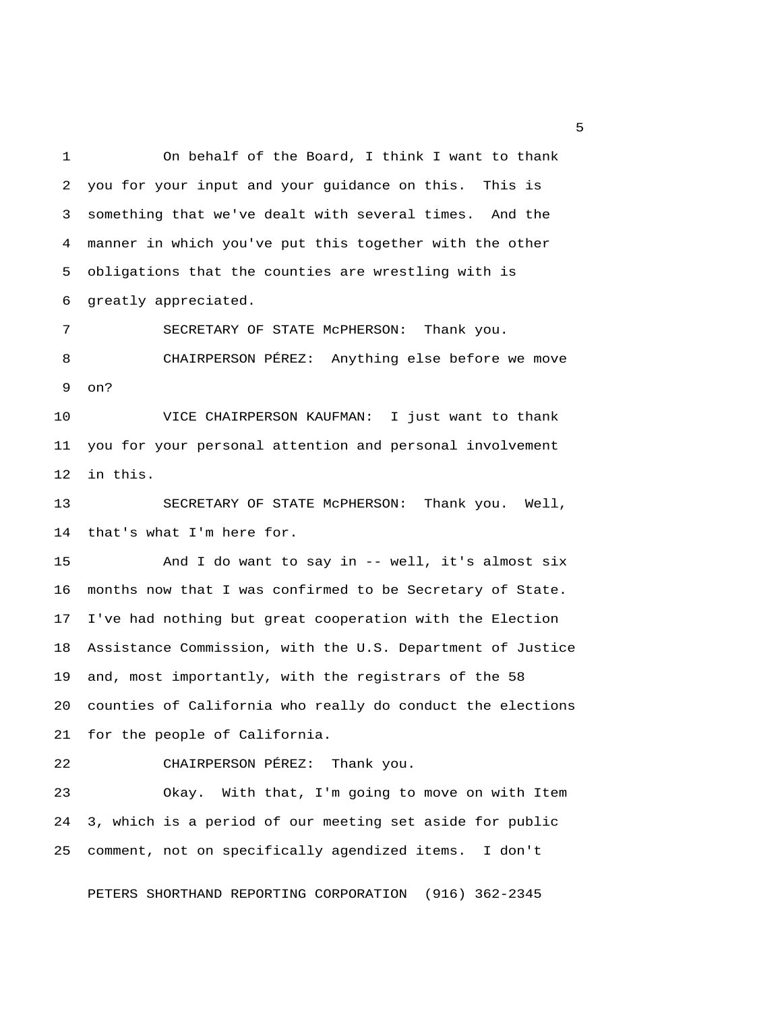1 On behalf of the Board, I think I want to thank 2 you for your input and your guidance on this. This is 3 something that we've dealt with several times. And the 4 manner in which you've put this together with the other 5 obligations that the counties are wrestling with is 6 greatly appreciated.

 7 SECRETARY OF STATE McPHERSON: Thank you. 8 CHAIRPERSON PÉREZ: Anything else before we move 9 on?

10 VICE CHAIRPERSON KAUFMAN: I just want to thank 11 you for your personal attention and personal involvement 12 in this.

13 SECRETARY OF STATE McPHERSON: Thank you. Well, 14 that's what I'm here for.

15 And I do want to say in -- well, it's almost six 16 months now that I was confirmed to be Secretary of State. 17 I've had nothing but great cooperation with the Election 18 Assistance Commission, with the U.S. Department of Justice 19 and, most importantly, with the registrars of the 58 20 counties of California who really do conduct the elections 21 for the people of California.

22 CHAIRPERSON PÉREZ: Thank you.

23 Okay. With that, I'm going to move on with Item 24 3, which is a period of our meeting set aside for public 25 comment, not on specifically agendized items. I don't

PETERS SHORTHAND REPORTING CORPORATION (916) 362-2345

 $\sim$  5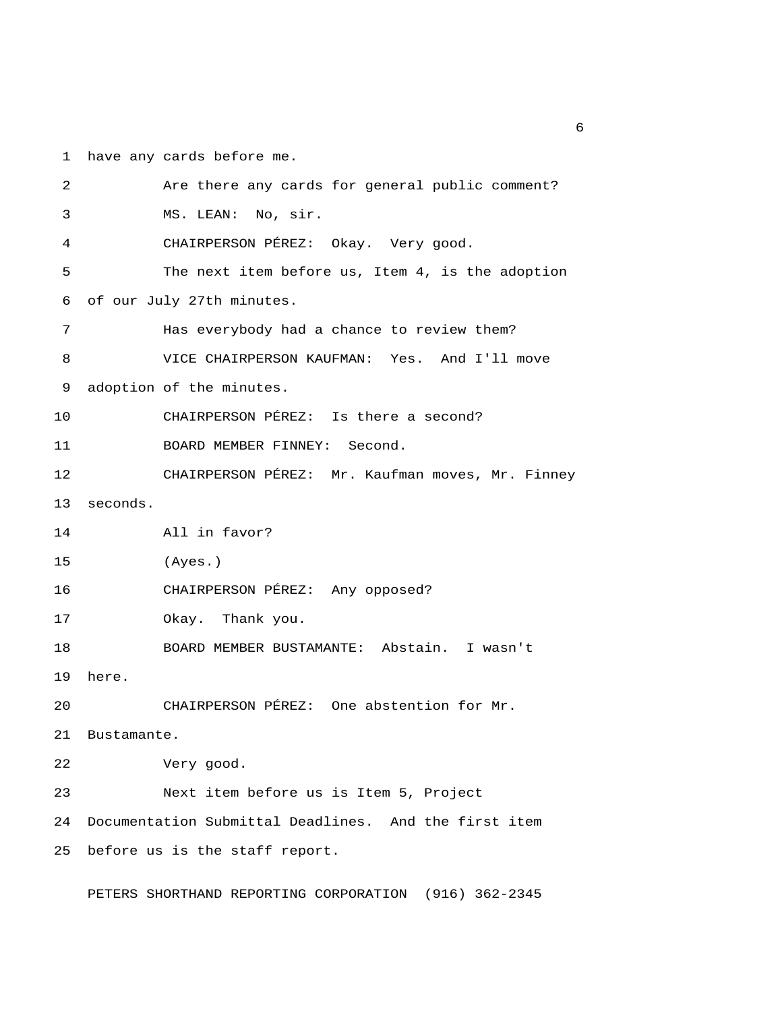1 have any cards before me.

| 2  | Are there any cards for general public comment?       |
|----|-------------------------------------------------------|
| 3  | MS. LEAN: No, sir.                                    |
| 4  | CHAIRPERSON PÉREZ: Okay. Very good.                   |
| 5  | The next item before us, Item 4, is the adoption      |
| 6  | of our July 27th minutes.                             |
| 7  | Has everybody had a chance to review them?            |
| 8  | VICE CHAIRPERSON KAUFMAN: Yes. And I'll move          |
| 9  | adoption of the minutes.                              |
| 10 | CHAIRPERSON PÉREZ: Is there a second?                 |
| 11 | BOARD MEMBER FINNEY: Second.                          |
| 12 | CHAIRPERSON PÉREZ: Mr. Kaufman moves, Mr. Finney      |
| 13 | seconds.                                              |
| 14 | All in favor?                                         |
| 15 | (Ayes.)                                               |
| 16 | CHAIRPERSON PÉREZ: Any opposed?                       |
| 17 | Okay. Thank you.                                      |
| 18 | BOARD MEMBER BUSTAMANTE: Abstain. I wasn't            |
| 19 | here.                                                 |
| 20 | CHAIRPERSON PÉREZ: One abstention for Mr.             |
| 21 | Bustamante.                                           |
| 22 | Very good.                                            |
| 23 | Next item before us is Item 5, Project                |
| 24 | Documentation Submittal Deadlines. And the first item |
| 25 | before us is the staff report.                        |
|    |                                                       |

PETERS SHORTHAND REPORTING CORPORATION (916) 362-2345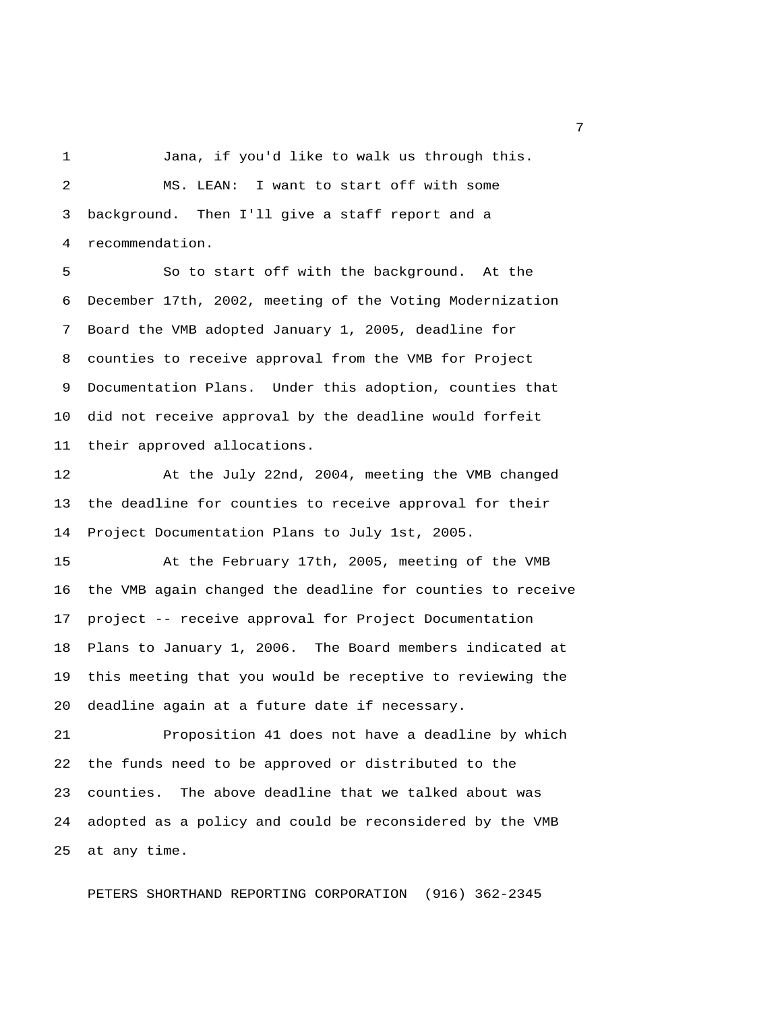1 Jana, if you'd like to walk us through this. 2 MS. LEAN: I want to start off with some 3 background. Then I'll give a staff report and a 4 recommendation.

 5 So to start off with the background. At the 6 December 17th, 2002, meeting of the Voting Modernization 7 Board the VMB adopted January 1, 2005, deadline for 8 counties to receive approval from the VMB for Project 9 Documentation Plans. Under this adoption, counties that 10 did not receive approval by the deadline would forfeit 11 their approved allocations.

12 At the July 22nd, 2004, meeting the VMB changed 13 the deadline for counties to receive approval for their 14 Project Documentation Plans to July 1st, 2005.

15 At the February 17th, 2005, meeting of the VMB 16 the VMB again changed the deadline for counties to receive 17 project -- receive approval for Project Documentation 18 Plans to January 1, 2006. The Board members indicated at 19 this meeting that you would be receptive to reviewing the 20 deadline again at a future date if necessary.

21 Proposition 41 does not have a deadline by which 22 the funds need to be approved or distributed to the 23 counties. The above deadline that we talked about was 24 adopted as a policy and could be reconsidered by the VMB 25 at any time.

PETERS SHORTHAND REPORTING CORPORATION (916) 362-2345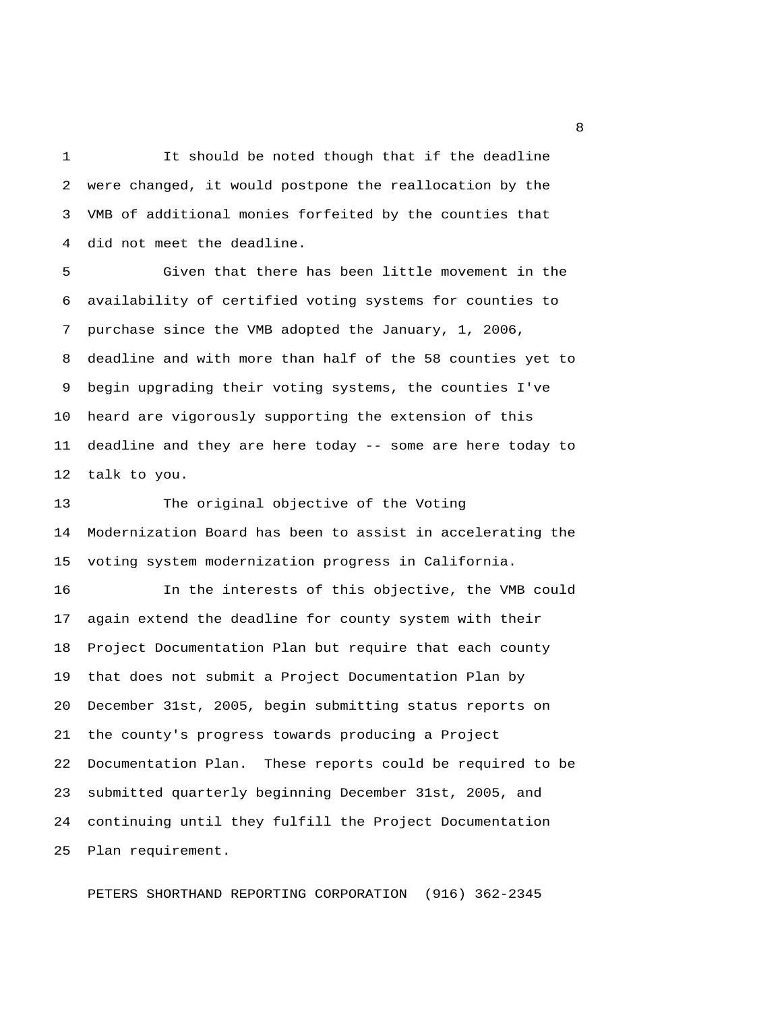1 It should be noted though that if the deadline 2 were changed, it would postpone the reallocation by the 3 VMB of additional monies forfeited by the counties that 4 did not meet the deadline.

 5 Given that there has been little movement in the 6 availability of certified voting systems for counties to 7 purchase since the VMB adopted the January, 1, 2006, 8 deadline and with more than half of the 58 counties yet to 9 begin upgrading their voting systems, the counties I've 10 heard are vigorously supporting the extension of this 11 deadline and they are here today -- some are here today to 12 talk to you.

13 The original objective of the Voting 14 Modernization Board has been to assist in accelerating the 15 voting system modernization progress in California.

16 In the interests of this objective, the VMB could 17 again extend the deadline for county system with their 18 Project Documentation Plan but require that each county 19 that does not submit a Project Documentation Plan by 20 December 31st, 2005, begin submitting status reports on 21 the county's progress towards producing a Project 22 Documentation Plan. These reports could be required to be 23 submitted quarterly beginning December 31st, 2005, and 24 continuing until they fulfill the Project Documentation 25 Plan requirement.

PETERS SHORTHAND REPORTING CORPORATION (916) 362-2345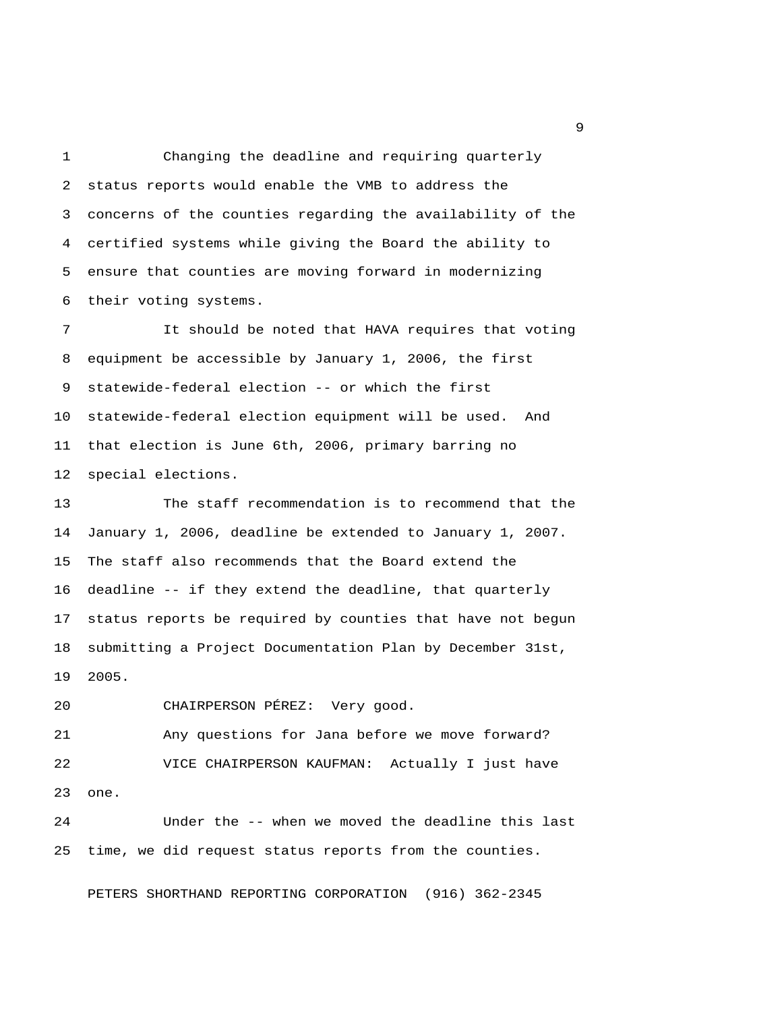1 Changing the deadline and requiring quarterly 2 status reports would enable the VMB to address the 3 concerns of the counties regarding the availability of the 4 certified systems while giving the Board the ability to 5 ensure that counties are moving forward in modernizing 6 their voting systems.

 7 It should be noted that HAVA requires that voting 8 equipment be accessible by January 1, 2006, the first 9 statewide-federal election -- or which the first 10 statewide-federal election equipment will be used. And 11 that election is June 6th, 2006, primary barring no 12 special elections.

13 The staff recommendation is to recommend that the 14 January 1, 2006, deadline be extended to January 1, 2007. 15 The staff also recommends that the Board extend the 16 deadline -- if they extend the deadline, that quarterly 17 status reports be required by counties that have not begun 18 submitting a Project Documentation Plan by December 31st, 19 2005.

20 CHAIRPERSON PÉREZ: Very good.

21 Any questions for Jana before we move forward? 22 VICE CHAIRPERSON KAUFMAN: Actually I just have 23 one.

24 Under the -- when we moved the deadline this last 25 time, we did request status reports from the counties.

PETERS SHORTHAND REPORTING CORPORATION (916) 362-2345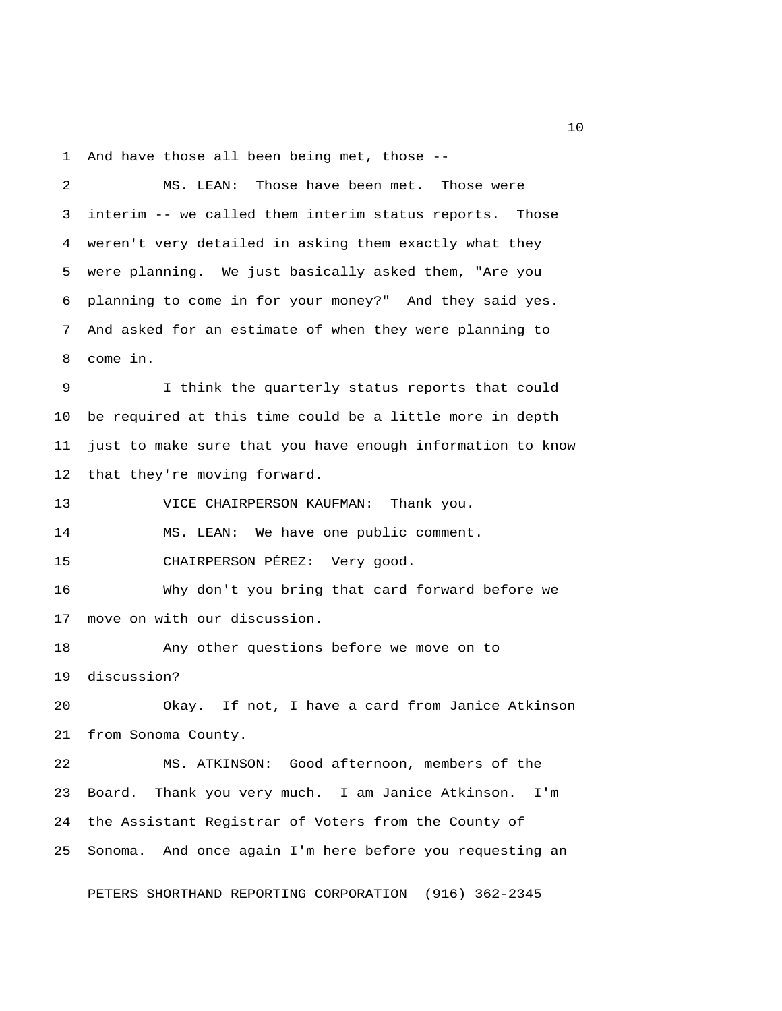1 And have those all been being met, those --

 2 MS. LEAN: Those have been met. Those were 3 interim -- we called them interim status reports. Those 4 weren't very detailed in asking them exactly what they 5 were planning. We just basically asked them, "Are you 6 planning to come in for your money?" And they said yes. 7 And asked for an estimate of when they were planning to 8 come in. 9 I think the quarterly status reports that could 10 be required at this time could be a little more in depth 11 just to make sure that you have enough information to know 12 that they're moving forward. 13 VICE CHAIRPERSON KAUFMAN: Thank you. 14 MS. LEAN: We have one public comment. 15 CHAIRPERSON PÉREZ: Very good. 16 Why don't you bring that card forward before we 17 move on with our discussion. 18 Any other questions before we move on to 19 discussion? 20 Okay. If not, I have a card from Janice Atkinson 21 from Sonoma County. 22 MS. ATKINSON: Good afternoon, members of the 23 Board. Thank you very much. I am Janice Atkinson. I'm 24 the Assistant Registrar of Voters from the County of 25 Sonoma. And once again I'm here before you requesting an

PETERS SHORTHAND REPORTING CORPORATION (916) 362-2345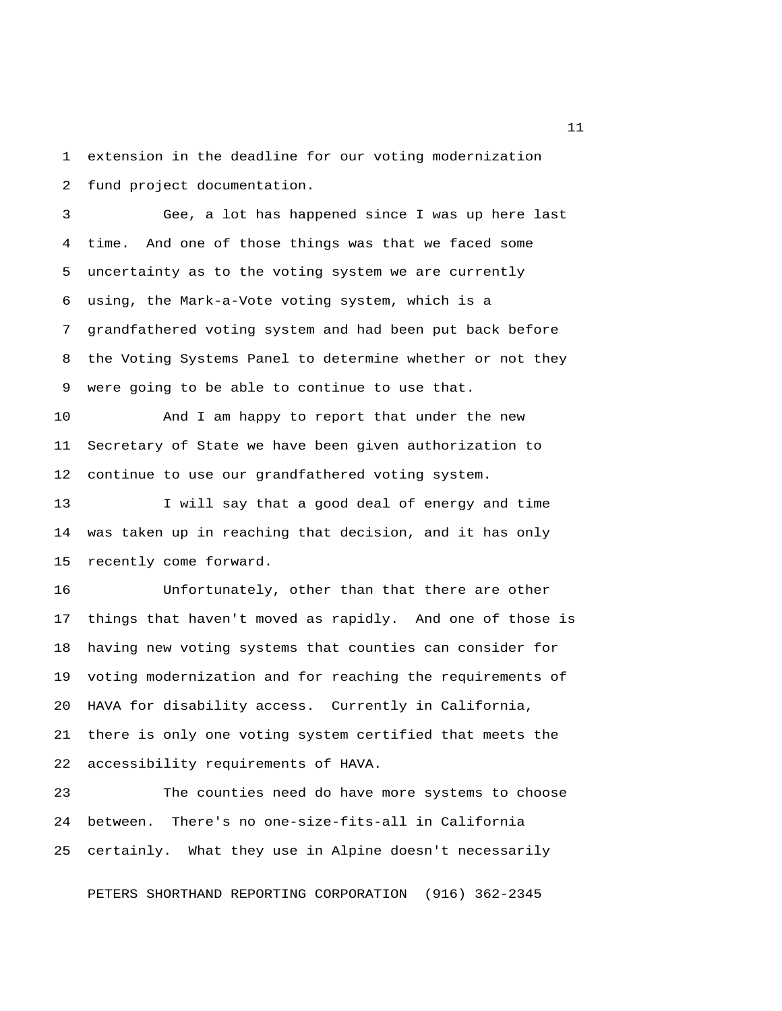1 extension in the deadline for our voting modernization 2 fund project documentation.

 3 Gee, a lot has happened since I was up here last 4 time. And one of those things was that we faced some 5 uncertainty as to the voting system we are currently 6 using, the Mark-a-Vote voting system, which is a 7 grandfathered voting system and had been put back before 8 the Voting Systems Panel to determine whether or not they 9 were going to be able to continue to use that.

10 And I am happy to report that under the new 11 Secretary of State we have been given authorization to 12 continue to use our grandfathered voting system.

13 I will say that a good deal of energy and time 14 was taken up in reaching that decision, and it has only 15 recently come forward.

16 Unfortunately, other than that there are other 17 things that haven't moved as rapidly. And one of those is 18 having new voting systems that counties can consider for 19 voting modernization and for reaching the requirements of 20 HAVA for disability access. Currently in California, 21 there is only one voting system certified that meets the 22 accessibility requirements of HAVA.

23 The counties need do have more systems to choose 24 between. There's no one-size-fits-all in California 25 certainly. What they use in Alpine doesn't necessarily

PETERS SHORTHAND REPORTING CORPORATION (916) 362-2345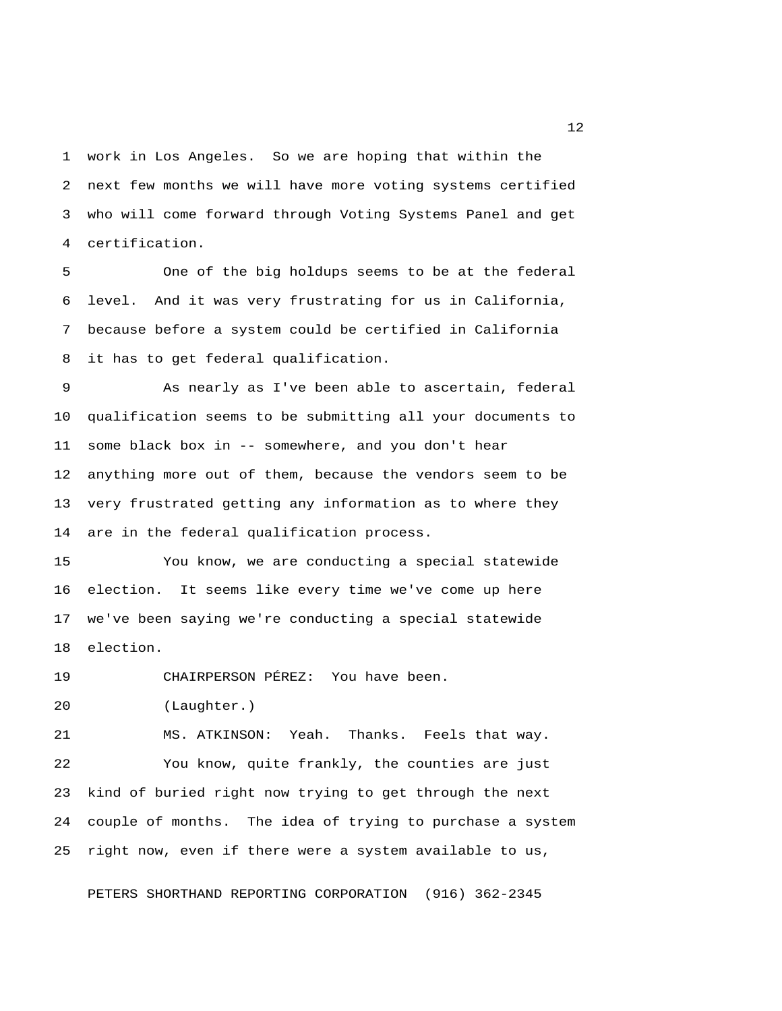1 work in Los Angeles. So we are hoping that within the 2 next few months we will have more voting systems certified 3 who will come forward through Voting Systems Panel and get 4 certification.

 5 One of the big holdups seems to be at the federal 6 level. And it was very frustrating for us in California, 7 because before a system could be certified in California 8 it has to get federal qualification.

 9 As nearly as I've been able to ascertain, federal 10 qualification seems to be submitting all your documents to 11 some black box in -- somewhere, and you don't hear 12 anything more out of them, because the vendors seem to be 13 very frustrated getting any information as to where they 14 are in the federal qualification process.

15 You know, we are conducting a special statewide 16 election. It seems like every time we've come up here 17 we've been saying we're conducting a special statewide 18 election.

19 CHAIRPERSON PÉREZ: You have been.

20 (Laughter.)

21 MS. ATKINSON: Yeah. Thanks. Feels that way. 22 You know, quite frankly, the counties are just 23 kind of buried right now trying to get through the next 24 couple of months. The idea of trying to purchase a system 25 right now, even if there were a system available to us,

PETERS SHORTHAND REPORTING CORPORATION (916) 362-2345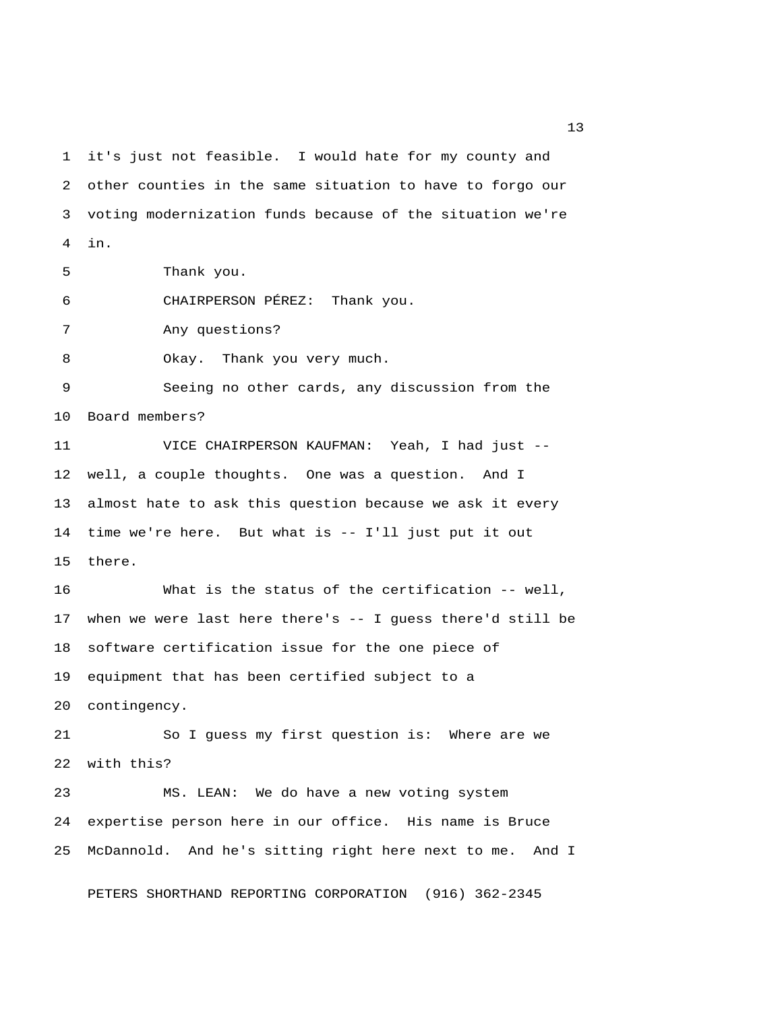1 it's just not feasible. I would hate for my county and 2 other counties in the same situation to have to forgo our 3 voting modernization funds because of the situation we're 4 in. 5 Thank you. 6 CHAIRPERSON PÉREZ: Thank you. 7 Any questions? 8 Okay. Thank you very much. 9 Seeing no other cards, any discussion from the 10 Board members? 11 VICE CHAIRPERSON KAUFMAN: Yeah, I had just -- 12 well, a couple thoughts. One was a question. And I 13 almost hate to ask this question because we ask it every 14 time we're here. But what is -- I'll just put it out 15 there. 16 What is the status of the certification -- well, 17 when we were last here there's -- I guess there'd still be 18 software certification issue for the one piece of 19 equipment that has been certified subject to a 20 contingency. 21 So I guess my first question is: Where are we 22 with this? 23 MS. LEAN: We do have a new voting system 24 expertise person here in our office. His name is Bruce 25 McDannold. And he's sitting right here next to me. And I

PETERS SHORTHAND REPORTING CORPORATION (916) 362-2345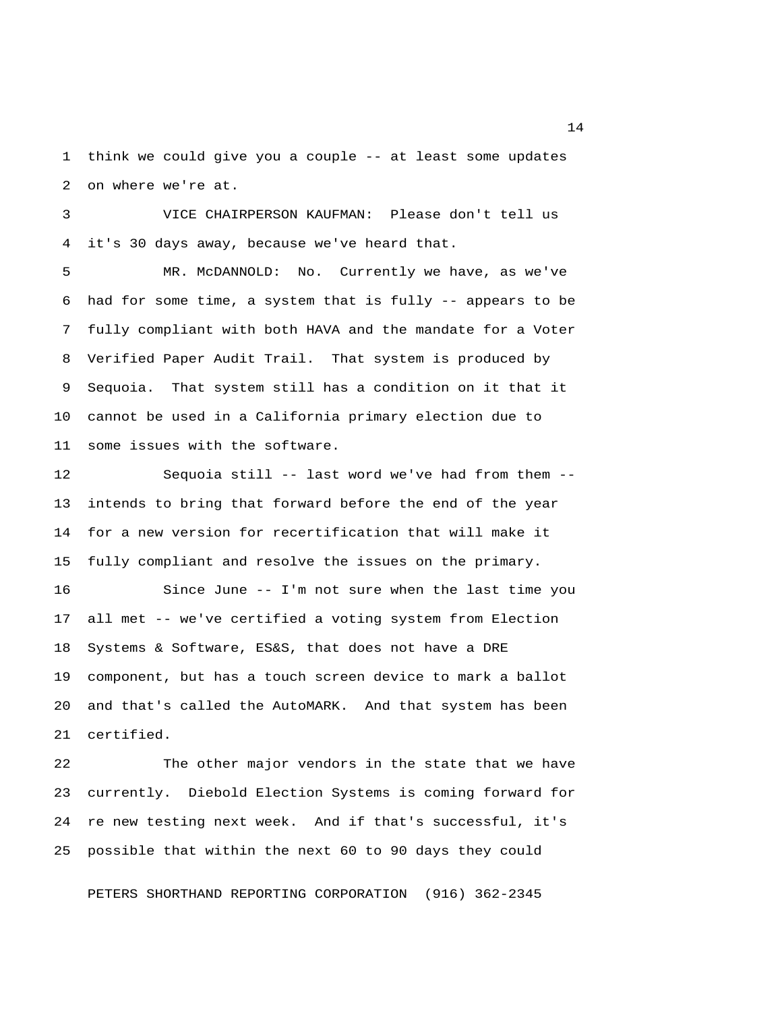1 think we could give you a couple -- at least some updates 2 on where we're at.

 3 VICE CHAIRPERSON KAUFMAN: Please don't tell us 4 it's 30 days away, because we've heard that.

 5 MR. McDANNOLD: No. Currently we have, as we've 6 had for some time, a system that is fully  $-$ - appears to be 7 fully compliant with both HAVA and the mandate for a Voter 8 Verified Paper Audit Trail. That system is produced by 9 Sequoia. That system still has a condition on it that it 10 cannot be used in a California primary election due to 11 some issues with the software.

12 Sequoia still -- last word we've had from them -- 13 intends to bring that forward before the end of the year 14 for a new version for recertification that will make it 15 fully compliant and resolve the issues on the primary. 16 Since June -- I'm not sure when the last time you 17 all met -- we've certified a voting system from Election 18 Systems & Software, ES&S, that does not have a DRE 19 component, but has a touch screen device to mark a ballot 20 and that's called the AutoMARK. And that system has been

21 certified.

22 The other major vendors in the state that we have 23 currently. Diebold Election Systems is coming forward for 24 re new testing next week. And if that's successful, it's 25 possible that within the next 60 to 90 days they could

PETERS SHORTHAND REPORTING CORPORATION (916) 362-2345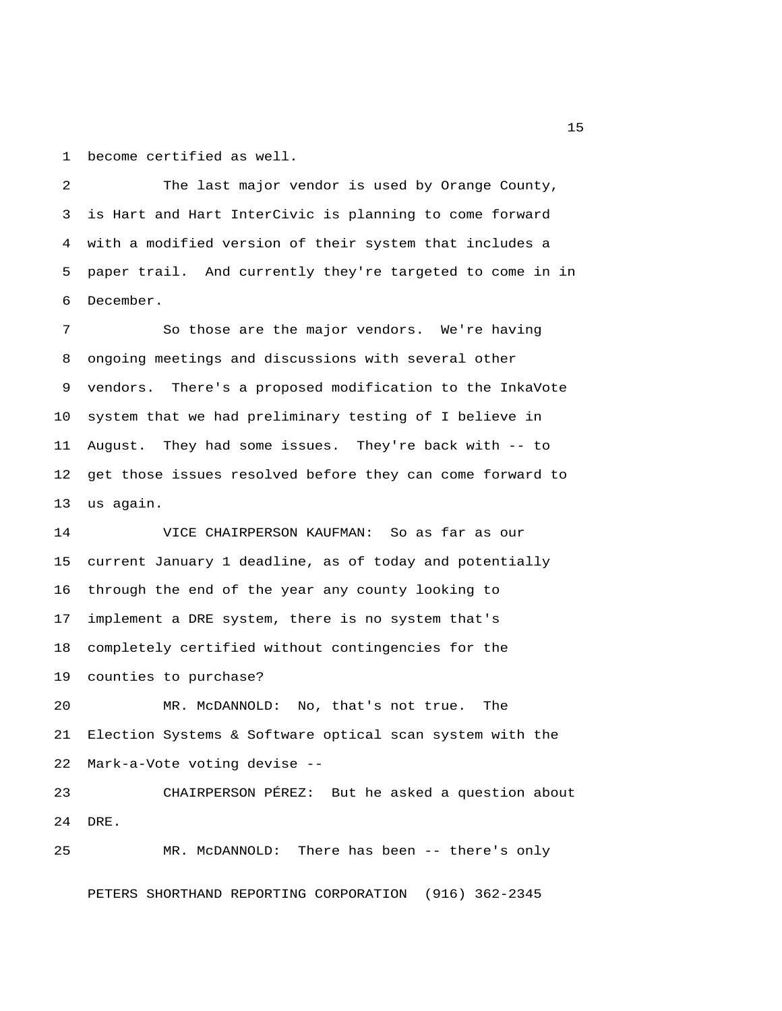1 become certified as well.

 2 The last major vendor is used by Orange County, 3 is Hart and Hart InterCivic is planning to come forward 4 with a modified version of their system that includes a 5 paper trail. And currently they're targeted to come in in 6 December.

 7 So those are the major vendors. We're having 8 ongoing meetings and discussions with several other 9 vendors. There's a proposed modification to the InkaVote 10 system that we had preliminary testing of I believe in 11 August. They had some issues. They're back with -- to 12 get those issues resolved before they can come forward to 13 us again.

14 VICE CHAIRPERSON KAUFMAN: So as far as our 15 current January 1 deadline, as of today and potentially 16 through the end of the year any county looking to 17 implement a DRE system, there is no system that's 18 completely certified without contingencies for the 19 counties to purchase?

20 MR. McDANNOLD: No, that's not true. The 21 Election Systems & Software optical scan system with the 22 Mark-a-Vote voting devise --

23 CHAIRPERSON PÉREZ: But he asked a question about 24 DRE.

25 MR. McDANNOLD: There has been -- there's only PETERS SHORTHAND REPORTING CORPORATION (916) 362-2345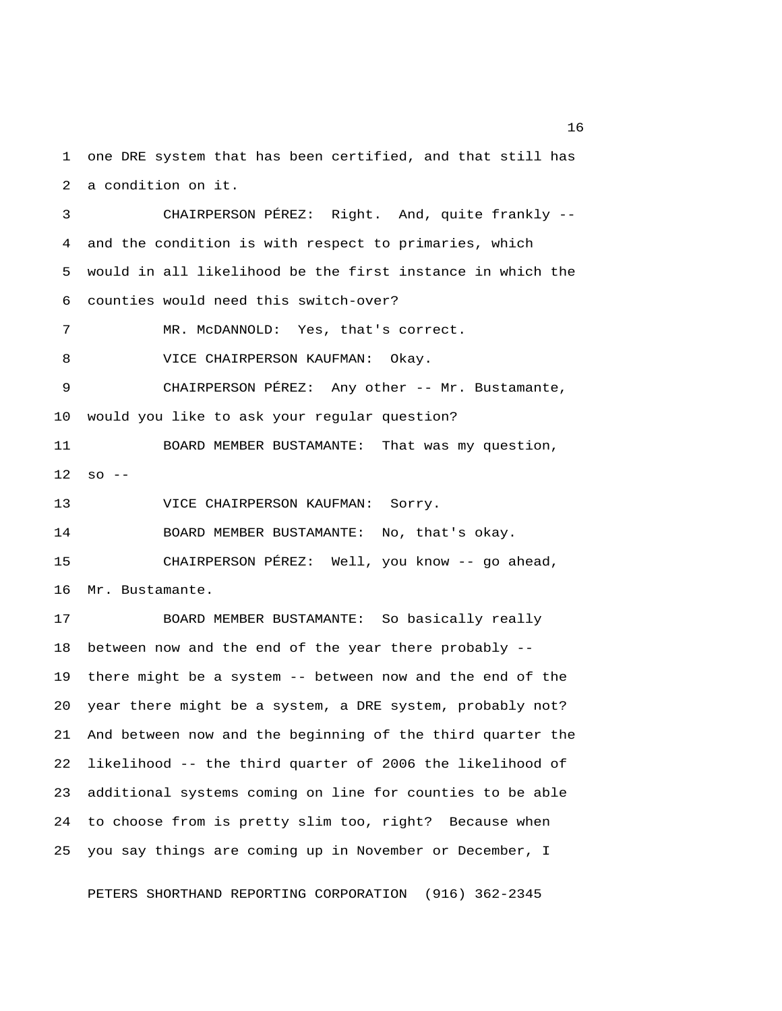1 one DRE system that has been certified, and that still has 2 a condition on it.

 3 CHAIRPERSON PÉREZ: Right. And, quite frankly -- 4 and the condition is with respect to primaries, which 5 would in all likelihood be the first instance in which the 6 counties would need this switch-over?

7 MR. McDANNOLD: Yes, that's correct.

8 VICE CHAIRPERSON KAUFMAN: Okay.

 9 CHAIRPERSON PÉREZ: Any other -- Mr. Bustamante, 10 would you like to ask your regular question?

11 BOARD MEMBER BUSTAMANTE: That was my question,  $12$  so  $-$ 

13 VICE CHAIRPERSON KAUFMAN: Sorry.

14 BOARD MEMBER BUSTAMANTE: No, that's okay.

15 CHAIRPERSON PÉREZ: Well, you know -- go ahead, 16 Mr. Bustamante.

17 BOARD MEMBER BUSTAMANTE: So basically really 18 between now and the end of the year there probably -- 19 there might be a system -- between now and the end of the 20 year there might be a system, a DRE system, probably not? 21 And between now and the beginning of the third quarter the 22 likelihood -- the third quarter of 2006 the likelihood of 23 additional systems coming on line for counties to be able 24 to choose from is pretty slim too, right? Because when 25 you say things are coming up in November or December, I

PETERS SHORTHAND REPORTING CORPORATION (916) 362-2345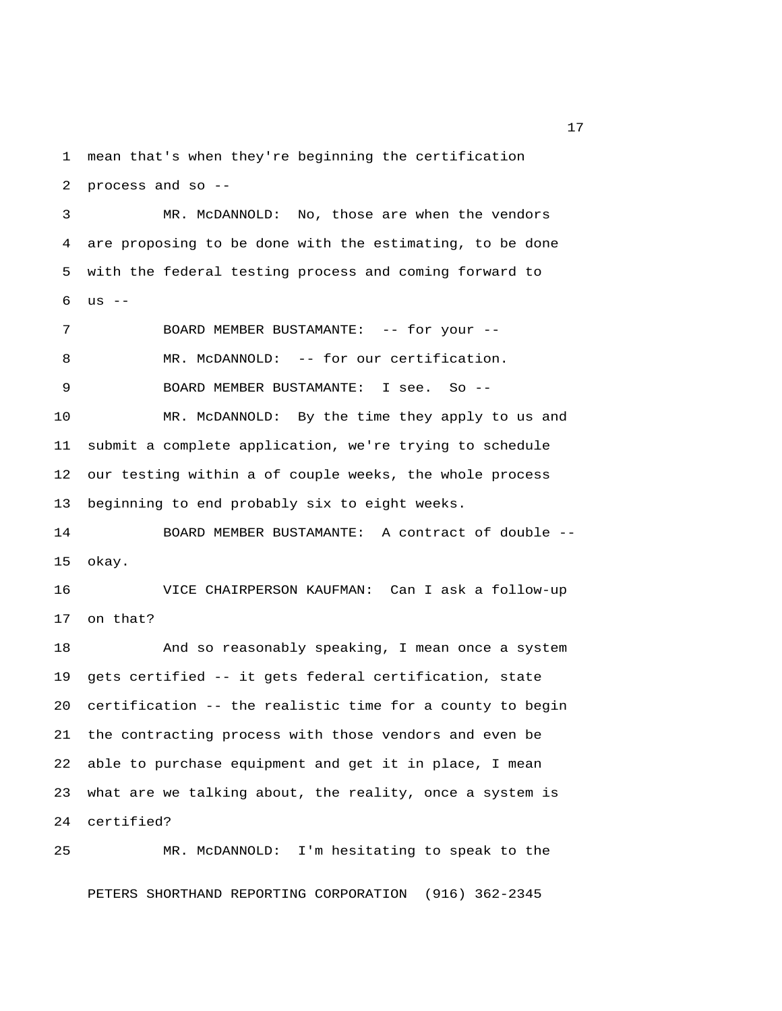1 mean that's when they're beginning the certification 2 process and so --

 3 MR. McDANNOLD: No, those are when the vendors 4 are proposing to be done with the estimating, to be done 5 with the federal testing process and coming forward to 6 us --

7 BOARD MEMBER BUSTAMANTE: -- for your --8 MR. McDANNOLD: -- for our certification. 9 BOARD MEMBER BUSTAMANTE: I see. So -- 10 MR. McDANNOLD: By the time they apply to us and 11 submit a complete application, we're trying to schedule 12 our testing within a of couple weeks, the whole process 13 beginning to end probably six to eight weeks.

14 BOARD MEMBER BUSTAMANTE: A contract of double -- 15 okay.

16 VICE CHAIRPERSON KAUFMAN: Can I ask a follow-up 17 on that?

18 And so reasonably speaking, I mean once a system 19 gets certified -- it gets federal certification, state 20 certification -- the realistic time for a county to begin 21 the contracting process with those vendors and even be 22 able to purchase equipment and get it in place, I mean 23 what are we talking about, the reality, once a system is 24 certified?

25 MR. McDANNOLD: I'm hesitating to speak to the PETERS SHORTHAND REPORTING CORPORATION (916) 362-2345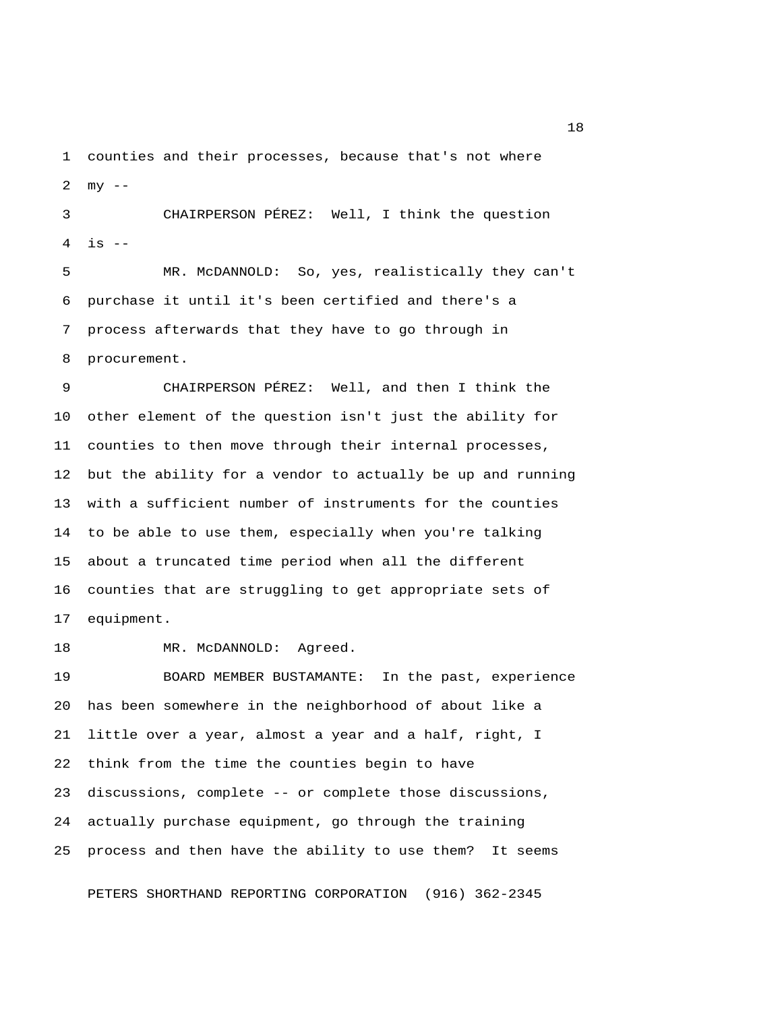1 counties and their processes, because that's not where 2  $mv = -$ 

 3 CHAIRPERSON PÉREZ: Well, I think the question  $4$  is  $-$ 

 5 MR. McDANNOLD: So, yes, realistically they can't 6 purchase it until it's been certified and there's a 7 process afterwards that they have to go through in 8 procurement.

 9 CHAIRPERSON PÉREZ: Well, and then I think the 10 other element of the question isn't just the ability for 11 counties to then move through their internal processes, 12 but the ability for a vendor to actually be up and running 13 with a sufficient number of instruments for the counties 14 to be able to use them, especially when you're talking 15 about a truncated time period when all the different 16 counties that are struggling to get appropriate sets of 17 equipment.

18 MR. McDANNOLD: Agreed.

19 BOARD MEMBER BUSTAMANTE: In the past, experience 20 has been somewhere in the neighborhood of about like a 21 little over a year, almost a year and a half, right, I 22 think from the time the counties begin to have 23 discussions, complete -- or complete those discussions, 24 actually purchase equipment, go through the training 25 process and then have the ability to use them? It seems

PETERS SHORTHAND REPORTING CORPORATION (916) 362-2345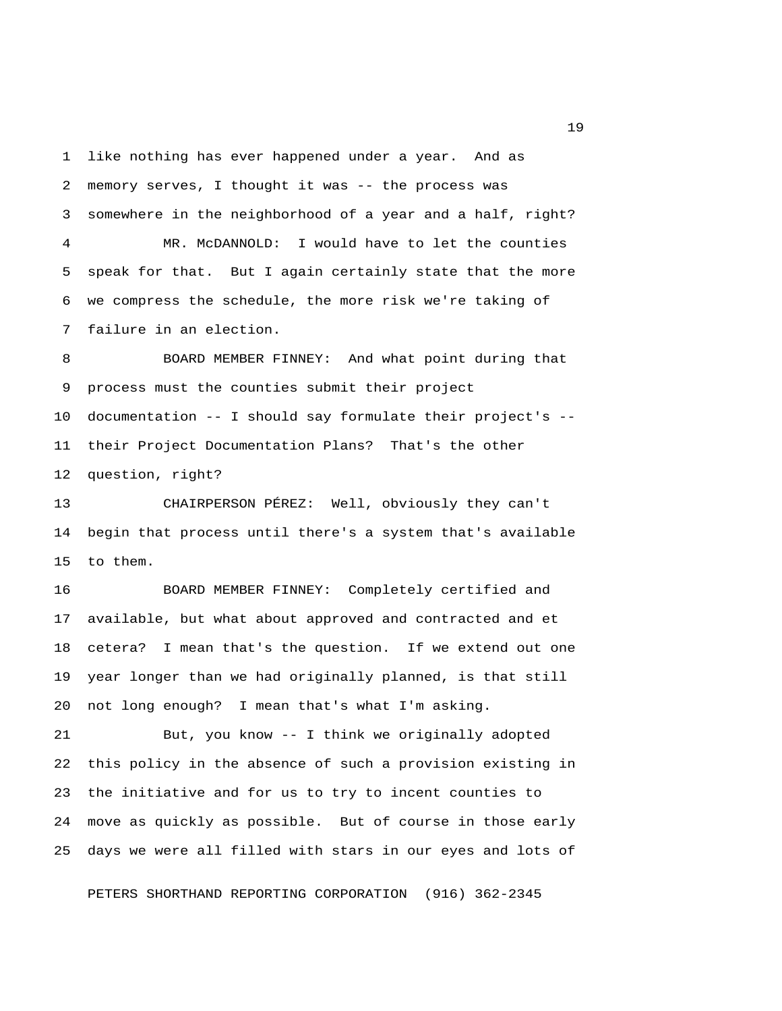1 like nothing has ever happened under a year. And as 2 memory serves, I thought it was -- the process was 3 somewhere in the neighborhood of a year and a half, right? 4 MR. McDANNOLD: I would have to let the counties 5 speak for that. But I again certainly state that the more 6 we compress the schedule, the more risk we're taking of 7 failure in an election.

 8 BOARD MEMBER FINNEY: And what point during that 9 process must the counties submit their project 10 documentation -- I should say formulate their project's -- 11 their Project Documentation Plans? That's the other 12 question, right?

13 CHAIRPERSON PÉREZ: Well, obviously they can't 14 begin that process until there's a system that's available 15 to them.

16 BOARD MEMBER FINNEY: Completely certified and 17 available, but what about approved and contracted and et 18 cetera? I mean that's the question. If we extend out one 19 year longer than we had originally planned, is that still 20 not long enough? I mean that's what I'm asking.

21 But, you know -- I think we originally adopted 22 this policy in the absence of such a provision existing in 23 the initiative and for us to try to incent counties to 24 move as quickly as possible. But of course in those early 25 days we were all filled with stars in our eyes and lots of

PETERS SHORTHAND REPORTING CORPORATION (916) 362-2345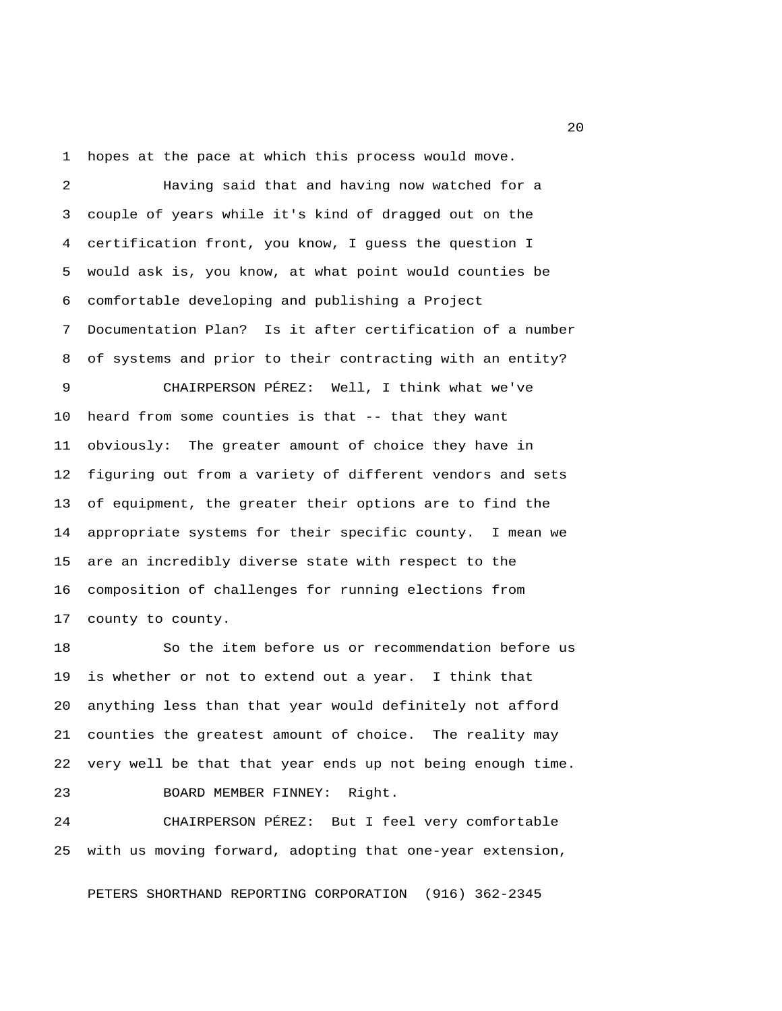1 hopes at the pace at which this process would move.

 2 Having said that and having now watched for a 3 couple of years while it's kind of dragged out on the 4 certification front, you know, I guess the question I 5 would ask is, you know, at what point would counties be 6 comfortable developing and publishing a Project 7 Documentation Plan? Is it after certification of a number 8 of systems and prior to their contracting with an entity?

 9 CHAIRPERSON PÉREZ: Well, I think what we've 10 heard from some counties is that -- that they want 11 obviously: The greater amount of choice they have in 12 figuring out from a variety of different vendors and sets 13 of equipment, the greater their options are to find the 14 appropriate systems for their specific county. I mean we 15 are an incredibly diverse state with respect to the 16 composition of challenges for running elections from 17 county to county.

18 So the item before us or recommendation before us 19 is whether or not to extend out a year. I think that 20 anything less than that year would definitely not afford 21 counties the greatest amount of choice. The reality may 22 very well be that that year ends up not being enough time. 23 BOARD MEMBER FINNEY: Right.

24 CHAIRPERSON PÉREZ: But I feel very comfortable 25 with us moving forward, adopting that one-year extension,

PETERS SHORTHAND REPORTING CORPORATION (916) 362-2345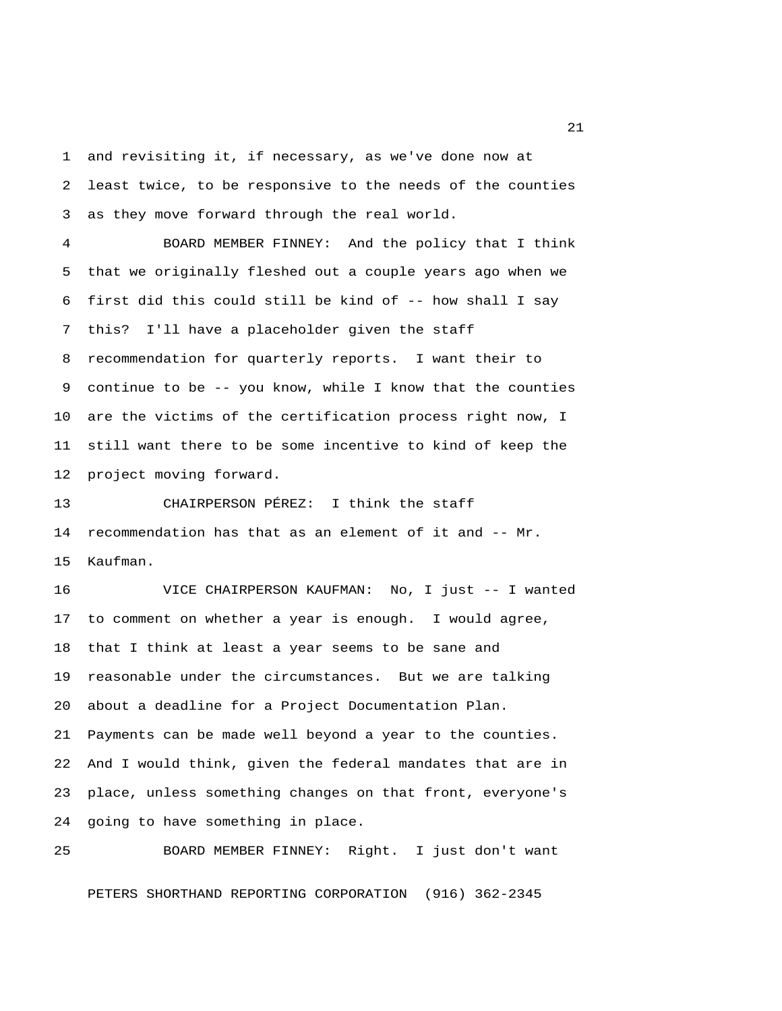1 and revisiting it, if necessary, as we've done now at 2 least twice, to be responsive to the needs of the counties 3 as they move forward through the real world.

 4 BOARD MEMBER FINNEY: And the policy that I think 5 that we originally fleshed out a couple years ago when we 6 first did this could still be kind of -- how shall I say 7 this? I'll have a placeholder given the staff 8 recommendation for quarterly reports. I want their to 9 continue to be -- you know, while I know that the counties 10 are the victims of the certification process right now, I 11 still want there to be some incentive to kind of keep the 12 project moving forward.

13 CHAIRPERSON PÉREZ: I think the staff 14 recommendation has that as an element of it and -- Mr. 15 Kaufman.

16 VICE CHAIRPERSON KAUFMAN: No, I just -- I wanted 17 to comment on whether a year is enough. I would agree, 18 that I think at least a year seems to be sane and 19 reasonable under the circumstances. But we are talking 20 about a deadline for a Project Documentation Plan. 21 Payments can be made well beyond a year to the counties. 22 And I would think, given the federal mandates that are in 23 place, unless something changes on that front, everyone's 24 going to have something in place.

25 BOARD MEMBER FINNEY: Right. I just don't want PETERS SHORTHAND REPORTING CORPORATION (916) 362-2345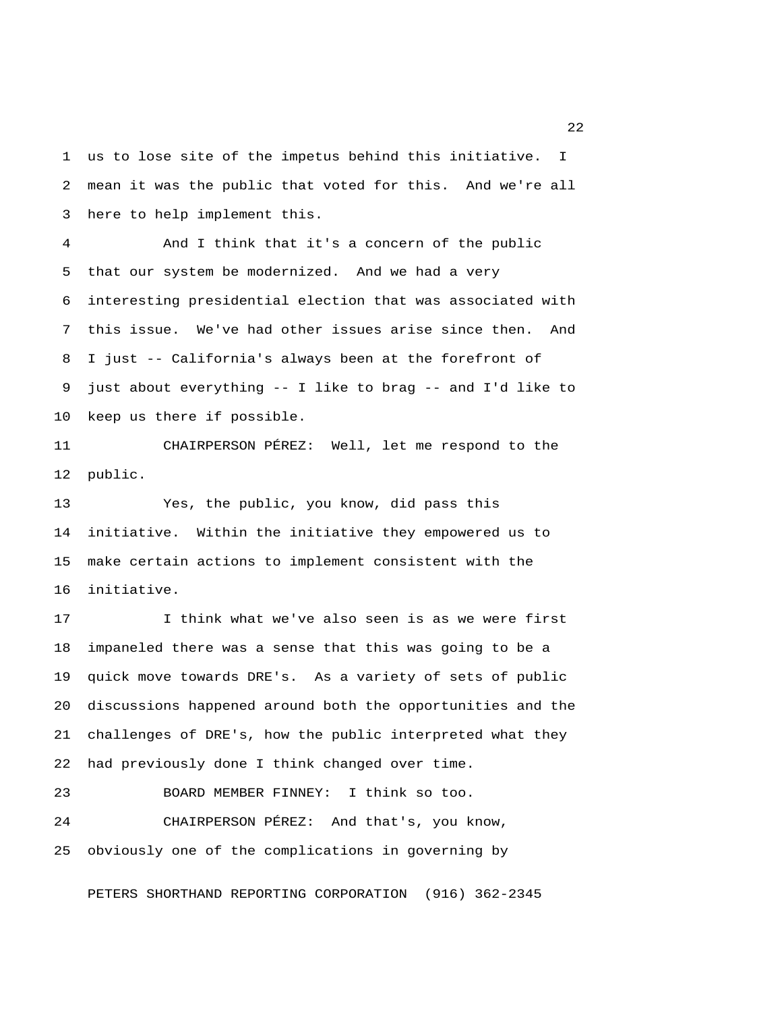1 us to lose site of the impetus behind this initiative. I 2 mean it was the public that voted for this. And we're all 3 here to help implement this.

 4 And I think that it's a concern of the public 5 that our system be modernized. And we had a very 6 interesting presidential election that was associated with 7 this issue. We've had other issues arise since then. And 8 I just -- California's always been at the forefront of 9 just about everything -- I like to brag -- and I'd like to 10 keep us there if possible.

11 CHAIRPERSON PÉREZ: Well, let me respond to the 12 public.

13 Yes, the public, you know, did pass this 14 initiative. Within the initiative they empowered us to 15 make certain actions to implement consistent with the 16 initiative.

17 I think what we've also seen is as we were first 18 impaneled there was a sense that this was going to be a 19 quick move towards DRE's. As a variety of sets of public 20 discussions happened around both the opportunities and the 21 challenges of DRE's, how the public interpreted what they 22 had previously done I think changed over time.

23 BOARD MEMBER FINNEY: I think so too. 24 CHAIRPERSON PÉREZ: And that's, you know, 25 obviously one of the complications in governing by

PETERS SHORTHAND REPORTING CORPORATION (916) 362-2345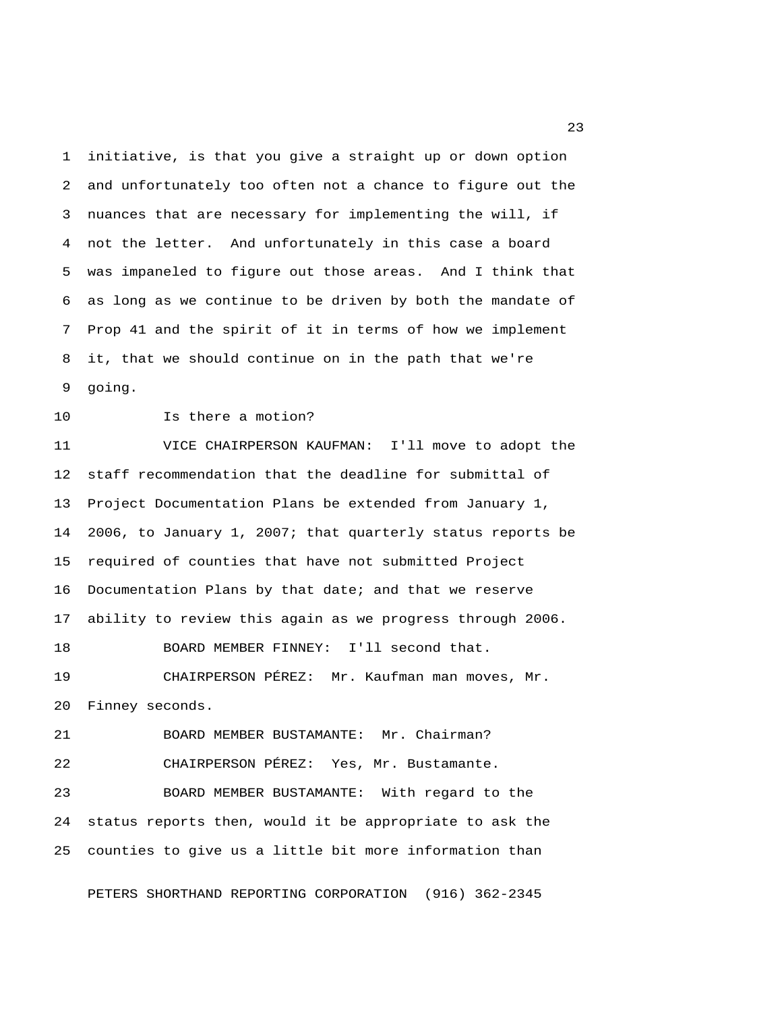1 initiative, is that you give a straight up or down option 2 and unfortunately too often not a chance to figure out the 3 nuances that are necessary for implementing the will, if 4 not the letter. And unfortunately in this case a board 5 was impaneled to figure out those areas. And I think that 6 as long as we continue to be driven by both the mandate of 7 Prop 41 and the spirit of it in terms of how we implement 8 it, that we should continue on in the path that we're 9 going.

10 Is there a motion?

11 VICE CHAIRPERSON KAUFMAN: I'll move to adopt the 12 staff recommendation that the deadline for submittal of 13 Project Documentation Plans be extended from January 1, 14 2006, to January 1, 2007; that quarterly status reports be 15 required of counties that have not submitted Project 16 Documentation Plans by that date; and that we reserve 17 ability to review this again as we progress through 2006. 18 BOARD MEMBER FINNEY: I'll second that. 19 CHAIRPERSON PÉREZ: Mr. Kaufman man moves, Mr.

20 Finney seconds.

21 BOARD MEMBER BUSTAMANTE: Mr. Chairman? 22 CHAIRPERSON PÉREZ: Yes, Mr. Bustamante. 23 BOARD MEMBER BUSTAMANTE: With regard to the 24 status reports then, would it be appropriate to ask the 25 counties to give us a little bit more information than

PETERS SHORTHAND REPORTING CORPORATION (916) 362-2345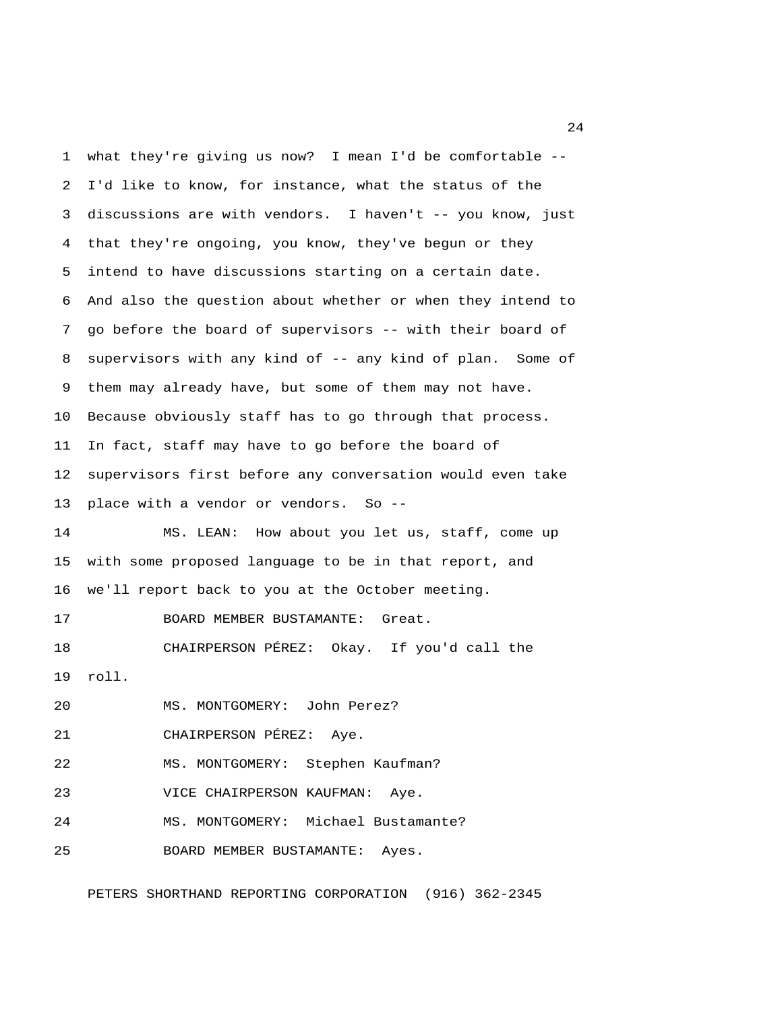1 what they're giving us now? I mean I'd be comfortable -- 2 I'd like to know, for instance, what the status of the 3 discussions are with vendors. I haven't -- you know, just 4 that they're ongoing, you know, they've begun or they 5 intend to have discussions starting on a certain date. 6 And also the question about whether or when they intend to 7 go before the board of supervisors -- with their board of 8 supervisors with any kind of -- any kind of plan. Some of 9 them may already have, but some of them may not have. 10 Because obviously staff has to go through that process. 11 In fact, staff may have to go before the board of 12 supervisors first before any conversation would even take 13 place with a vendor or vendors. So -- 14 MS. LEAN: How about you let us, staff, come up 15 with some proposed language to be in that report, and 16 we'll report back to you at the October meeting. 17 BOARD MEMBER BUSTAMANTE: Great. 18 CHAIRPERSON PÉREZ: Okay. If you'd call the 19 roll. 20 MS. MONTGOMERY: John Perez? 21 CHAIRPERSON PÉREZ: Aye. 22 MS. MONTGOMERY: Stephen Kaufman? 23 VICE CHAIRPERSON KAUFMAN: Aye. 24 MS. MONTGOMERY: Michael Bustamante? 25 BOARD MEMBER BUSTAMANTE: Ayes. PETERS SHORTHAND REPORTING CORPORATION (916) 362-2345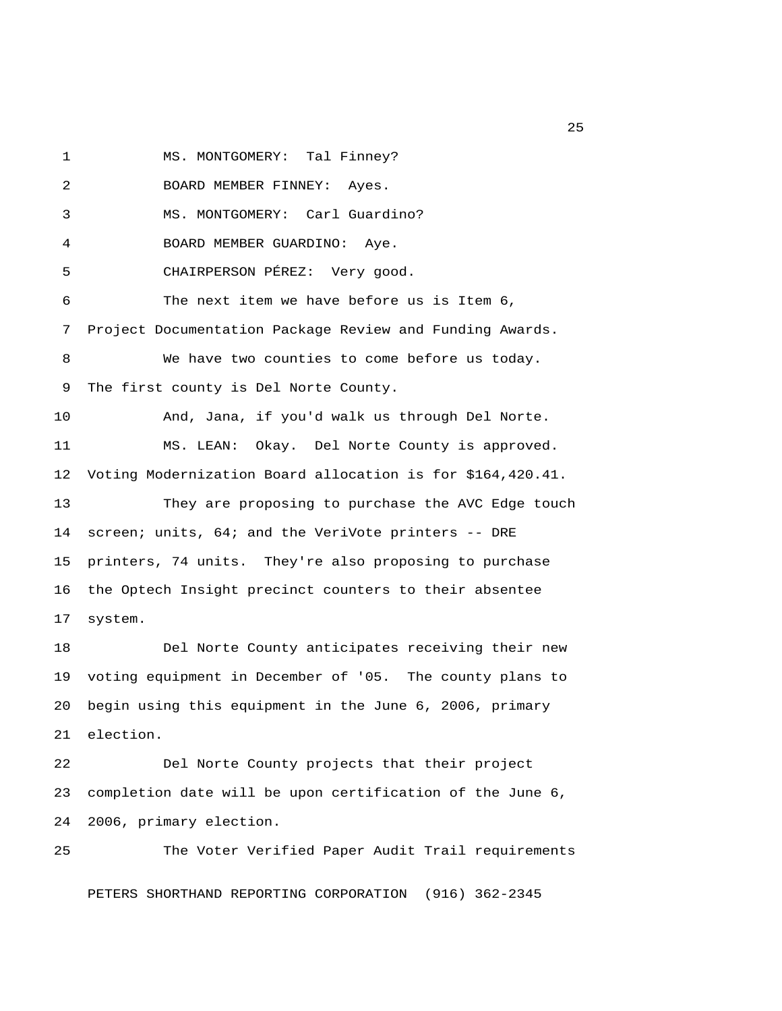1 MS. MONTGOMERY: Tal Finney?

 2 BOARD MEMBER FINNEY: Ayes. 3 MS. MONTGOMERY: Carl Guardino? 4 BOARD MEMBER GUARDINO: Aye. 5 CHAIRPERSON PÉREZ: Very good. 6 The next item we have before us is Item 6, 7 Project Documentation Package Review and Funding Awards. 8 We have two counties to come before us today. 9 The first county is Del Norte County. 10 And, Jana, if you'd walk us through Del Norte. 11 MS. LEAN: Okay. Del Norte County is approved. 12 Voting Modernization Board allocation is for \$164,420.41. 13 They are proposing to purchase the AVC Edge touch 14 screen; units, 64; and the VeriVote printers -- DRE 15 printers, 74 units. They're also proposing to purchase 16 the Optech Insight precinct counters to their absentee 17 system. 18 Del Norte County anticipates receiving their new 19 voting equipment in December of '05. The county plans to 20 begin using this equipment in the June 6, 2006, primary 21 election. 22 Del Norte County projects that their project 23 completion date will be upon certification of the June 6, 24 2006, primary election.

25 The Voter Verified Paper Audit Trail requirements PETERS SHORTHAND REPORTING CORPORATION (916) 362-2345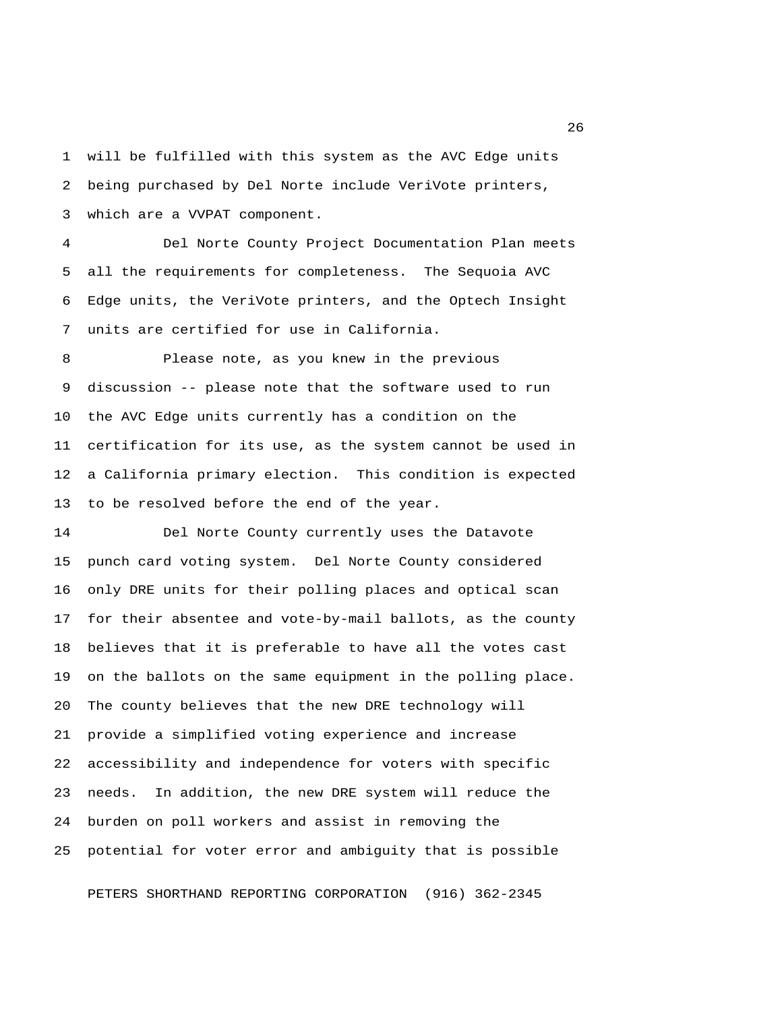1 will be fulfilled with this system as the AVC Edge units 2 being purchased by Del Norte include VeriVote printers, 3 which are a VVPAT component.

 4 Del Norte County Project Documentation Plan meets 5 all the requirements for completeness. The Sequoia AVC 6 Edge units, the VeriVote printers, and the Optech Insight 7 units are certified for use in California.

 8 Please note, as you knew in the previous 9 discussion -- please note that the software used to run 10 the AVC Edge units currently has a condition on the 11 certification for its use, as the system cannot be used in 12 a California primary election. This condition is expected 13 to be resolved before the end of the year.

14 Del Norte County currently uses the Datavote 15 punch card voting system. Del Norte County considered 16 only DRE units for their polling places and optical scan 17 for their absentee and vote-by-mail ballots, as the county 18 believes that it is preferable to have all the votes cast 19 on the ballots on the same equipment in the polling place. 20 The county believes that the new DRE technology will 21 provide a simplified voting experience and increase 22 accessibility and independence for voters with specific 23 needs. In addition, the new DRE system will reduce the 24 burden on poll workers and assist in removing the 25 potential for voter error and ambiguity that is possible

PETERS SHORTHAND REPORTING CORPORATION (916) 362-2345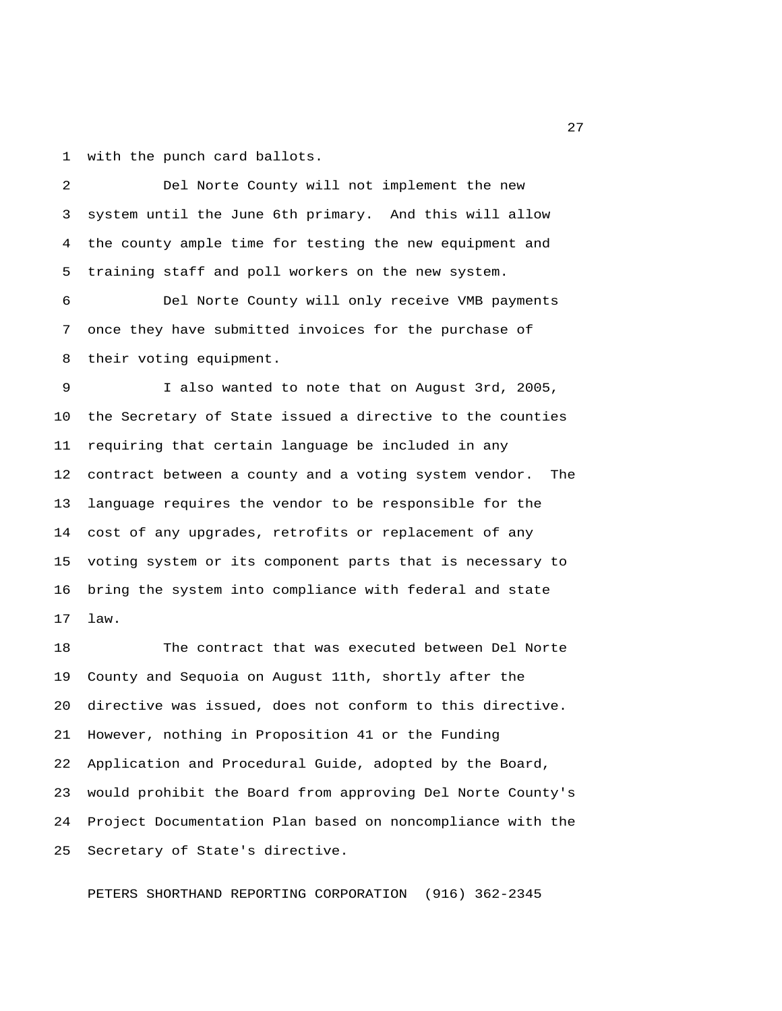1 with the punch card ballots.

 2 Del Norte County will not implement the new 3 system until the June 6th primary. And this will allow 4 the county ample time for testing the new equipment and 5 training staff and poll workers on the new system.

 6 Del Norte County will only receive VMB payments 7 once they have submitted invoices for the purchase of 8 their voting equipment.

 9 I also wanted to note that on August 3rd, 2005, 10 the Secretary of State issued a directive to the counties 11 requiring that certain language be included in any 12 contract between a county and a voting system vendor. The 13 language requires the vendor to be responsible for the 14 cost of any upgrades, retrofits or replacement of any 15 voting system or its component parts that is necessary to 16 bring the system into compliance with federal and state 17 law.

18 The contract that was executed between Del Norte 19 County and Sequoia on August 11th, shortly after the 20 directive was issued, does not conform to this directive. 21 However, nothing in Proposition 41 or the Funding 22 Application and Procedural Guide, adopted by the Board, 23 would prohibit the Board from approving Del Norte County's 24 Project Documentation Plan based on noncompliance with the 25 Secretary of State's directive.

PETERS SHORTHAND REPORTING CORPORATION (916) 362-2345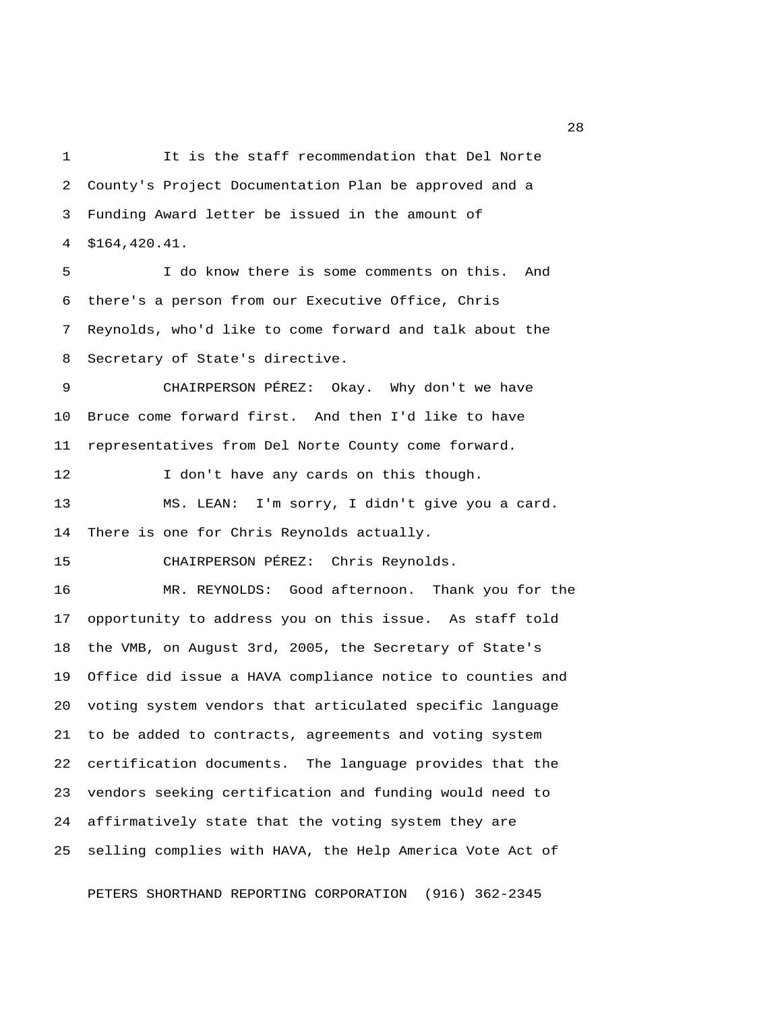1 It is the staff recommendation that Del Norte 2 County's Project Documentation Plan be approved and a 3 Funding Award letter be issued in the amount of 4 \$164,420.41.

 5 I do know there is some comments on this. And 6 there's a person from our Executive Office, Chris 7 Reynolds, who'd like to come forward and talk about the 8 Secretary of State's directive.

 9 CHAIRPERSON PÉREZ: Okay. Why don't we have 10 Bruce come forward first. And then I'd like to have 11 representatives from Del Norte County come forward.

12 I don't have any cards on this though. 13 MS. LEAN: I'm sorry, I didn't give you a card. 14 There is one for Chris Reynolds actually.

15 CHAIRPERSON PÉREZ: Chris Reynolds.

16 MR. REYNOLDS: Good afternoon. Thank you for the 17 opportunity to address you on this issue. As staff told 18 the VMB, on August 3rd, 2005, the Secretary of State's 19 Office did issue a HAVA compliance notice to counties and 20 voting system vendors that articulated specific language 21 to be added to contracts, agreements and voting system 22 certification documents. The language provides that the 23 vendors seeking certification and funding would need to 24 affirmatively state that the voting system they are 25 selling complies with HAVA, the Help America Vote Act of

PETERS SHORTHAND REPORTING CORPORATION (916) 362-2345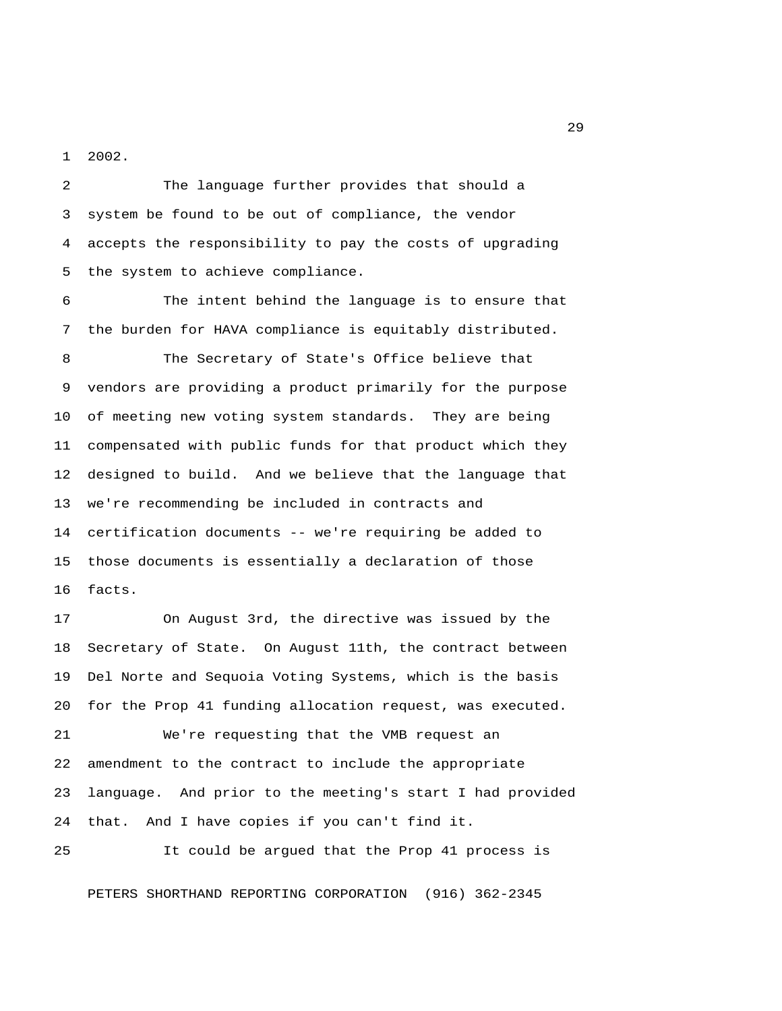1 2002.

 2 The language further provides that should a 3 system be found to be out of compliance, the vendor 4 accepts the responsibility to pay the costs of upgrading 5 the system to achieve compliance.

 6 The intent behind the language is to ensure that 7 the burden for HAVA compliance is equitably distributed.

 8 The Secretary of State's Office believe that 9 vendors are providing a product primarily for the purpose 10 of meeting new voting system standards. They are being 11 compensated with public funds for that product which they 12 designed to build. And we believe that the language that 13 we're recommending be included in contracts and 14 certification documents -- we're requiring be added to 15 those documents is essentially a declaration of those 16 facts.

17 On August 3rd, the directive was issued by the 18 Secretary of State. On August 11th, the contract between 19 Del Norte and Sequoia Voting Systems, which is the basis 20 for the Prop 41 funding allocation request, was executed. 21 We're requesting that the VMB request an 22 amendment to the contract to include the appropriate 23 language. And prior to the meeting's start I had provided

24 that. And I have copies if you can't find it.

25 It could be argued that the Prop 41 process is

PETERS SHORTHAND REPORTING CORPORATION (916) 362-2345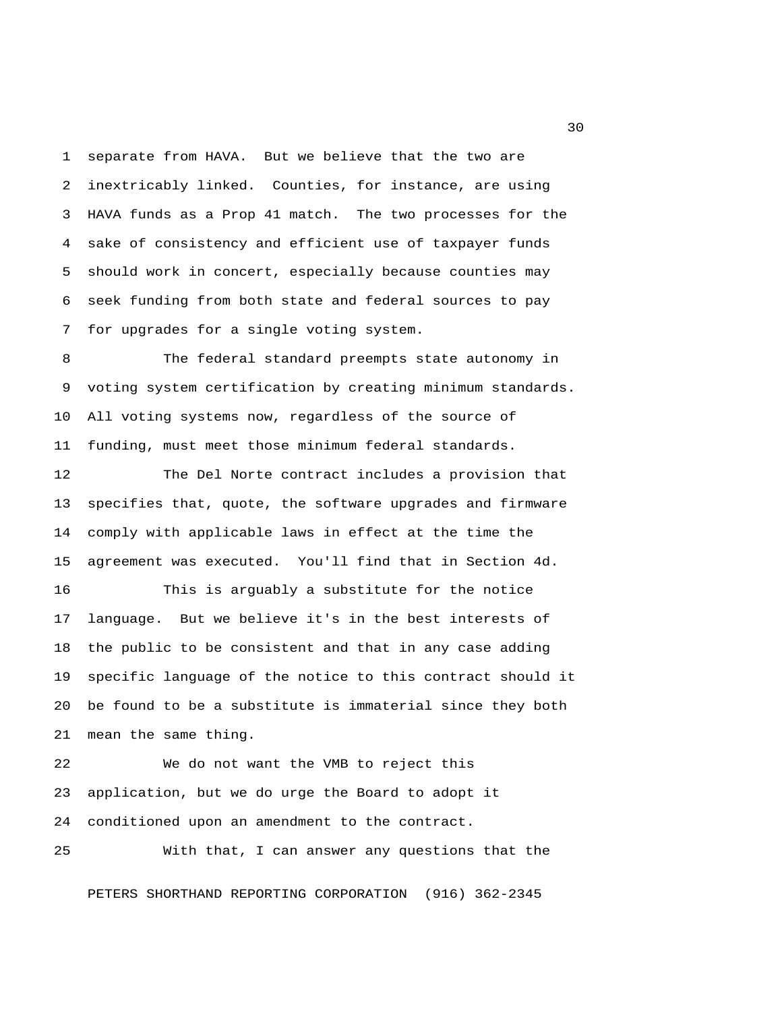1 separate from HAVA. But we believe that the two are 2 inextricably linked. Counties, for instance, are using 3 HAVA funds as a Prop 41 match. The two processes for the 4 sake of consistency and efficient use of taxpayer funds 5 should work in concert, especially because counties may 6 seek funding from both state and federal sources to pay 7 for upgrades for a single voting system.

 8 The federal standard preempts state autonomy in 9 voting system certification by creating minimum standards. 10 All voting systems now, regardless of the source of 11 funding, must meet those minimum federal standards.

12 The Del Norte contract includes a provision that 13 specifies that, quote, the software upgrades and firmware 14 comply with applicable laws in effect at the time the 15 agreement was executed. You'll find that in Section 4d. 16 This is arguably a substitute for the notice 17 language. But we believe it's in the best interests of 18 the public to be consistent and that in any case adding 19 specific language of the notice to this contract should it

20 be found to be a substitute is immaterial since they both 21 mean the same thing.

22 We do not want the VMB to reject this 23 application, but we do urge the Board to adopt it 24 conditioned upon an amendment to the contract.

25 With that, I can answer any questions that the

PETERS SHORTHAND REPORTING CORPORATION (916) 362-2345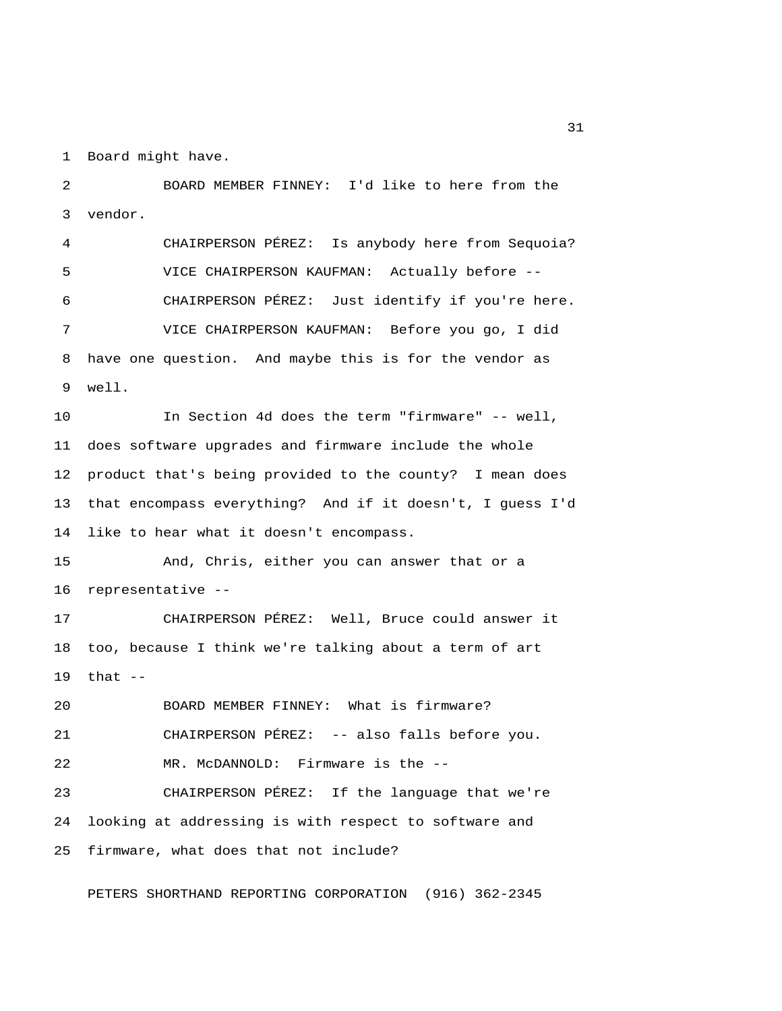1 Board might have.

 2 BOARD MEMBER FINNEY: I'd like to here from the 3 vendor. 4 CHAIRPERSON PÉREZ: Is anybody here from Sequoia? 5 VICE CHAIRPERSON KAUFMAN: Actually before -- 6 CHAIRPERSON PÉREZ: Just identify if you're here. 7 VICE CHAIRPERSON KAUFMAN: Before you go, I did 8 have one question. And maybe this is for the vendor as 9 well. 10 In Section 4d does the term "firmware" -- well, 11 does software upgrades and firmware include the whole 12 product that's being provided to the county? I mean does 13 that encompass everything? And if it doesn't, I guess I'd 14 like to hear what it doesn't encompass. 15 And, Chris, either you can answer that or a 16 representative -- 17 CHAIRPERSON PÉREZ: Well, Bruce could answer it 18 too, because I think we're talking about a term of art 19 that -- 20 BOARD MEMBER FINNEY: What is firmware? 21 CHAIRPERSON PÉREZ: -- also falls before you. 22 MR. McDANNOLD: Firmware is the -- 23 CHAIRPERSON PÉREZ: If the language that we're 24 looking at addressing is with respect to software and 25 firmware, what does that not include?

PETERS SHORTHAND REPORTING CORPORATION (916) 362-2345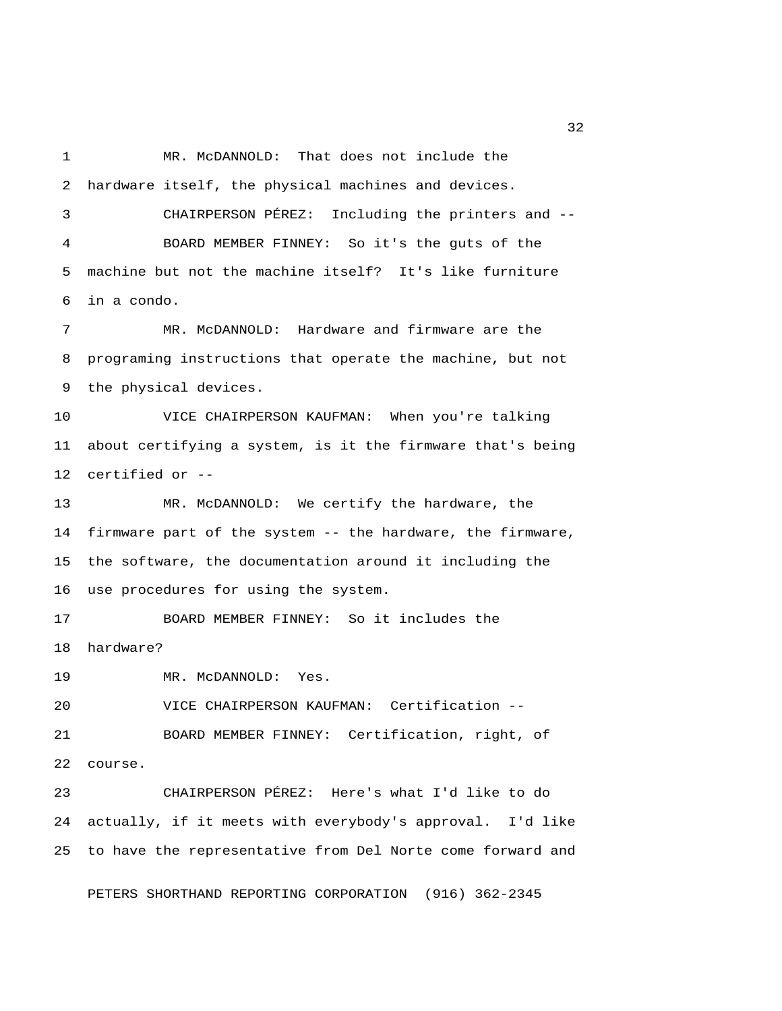1 MR. McDANNOLD: That does not include the 2 hardware itself, the physical machines and devices. 3 CHAIRPERSON PÉREZ: Including the printers and -- 4 BOARD MEMBER FINNEY: So it's the guts of the 5 machine but not the machine itself? It's like furniture 6 in a condo. 7 MR. McDANNOLD: Hardware and firmware are the 8 programing instructions that operate the machine, but not 9 the physical devices. 10 VICE CHAIRPERSON KAUFMAN: When you're talking 11 about certifying a system, is it the firmware that's being 12 certified or -- 13 MR. McDANNOLD: We certify the hardware, the 14 firmware part of the system -- the hardware, the firmware, 15 the software, the documentation around it including the 16 use procedures for using the system. 17 BOARD MEMBER FINNEY: So it includes the 18 hardware? 19 MR. McDANNOLD: Yes. 20 VICE CHAIRPERSON KAUFMAN: Certification -- 21 BOARD MEMBER FINNEY: Certification, right, of 22 course. 23 CHAIRPERSON PÉREZ: Here's what I'd like to do 24 actually, if it meets with everybody's approval. I'd like 25 to have the representative from Del Norte come forward and PETERS SHORTHAND REPORTING CORPORATION (916) 362-2345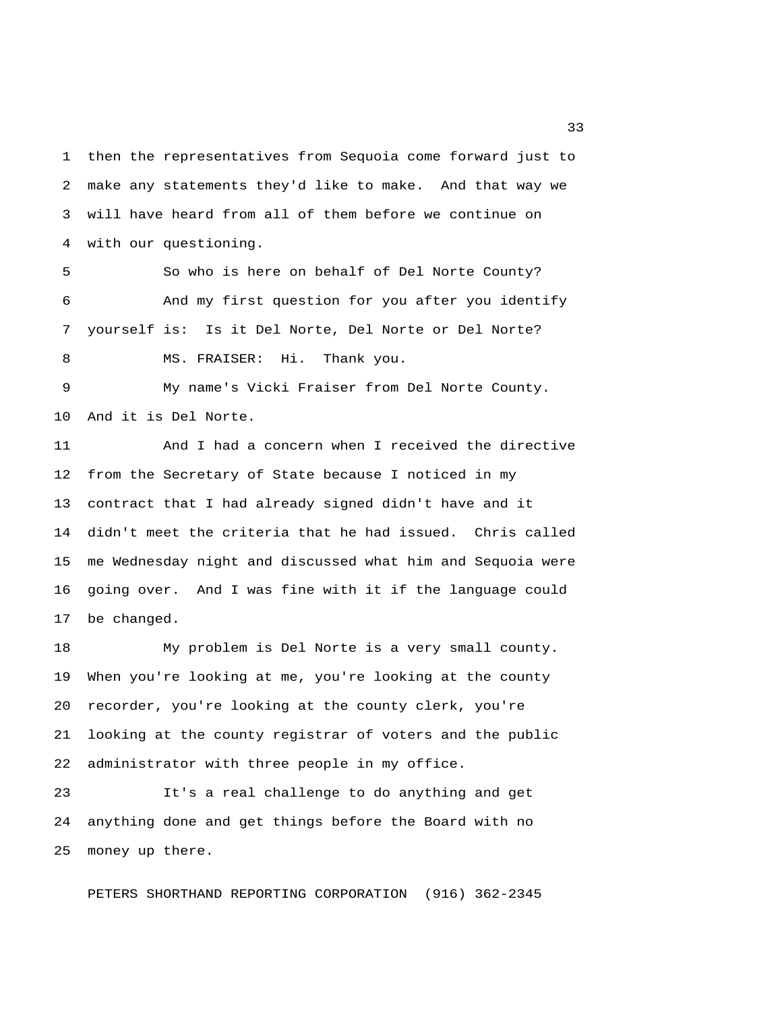1 then the representatives from Sequoia come forward just to 2 make any statements they'd like to make. And that way we 3 will have heard from all of them before we continue on 4 with our questioning.

 5 So who is here on behalf of Del Norte County? 6 And my first question for you after you identify 7 yourself is: Is it Del Norte, Del Norte or Del Norte? 8 MS. FRAISER: Hi. Thank you.

 9 My name's Vicki Fraiser from Del Norte County. 10 And it is Del Norte.

11 And I had a concern when I received the directive 12 from the Secretary of State because I noticed in my 13 contract that I had already signed didn't have and it 14 didn't meet the criteria that he had issued. Chris called 15 me Wednesday night and discussed what him and Sequoia were 16 going over. And I was fine with it if the language could 17 be changed.

18 My problem is Del Norte is a very small county. 19 When you're looking at me, you're looking at the county 20 recorder, you're looking at the county clerk, you're 21 looking at the county registrar of voters and the public 22 administrator with three people in my office.

23 It's a real challenge to do anything and get 24 anything done and get things before the Board with no 25 money up there.

PETERS SHORTHAND REPORTING CORPORATION (916) 362-2345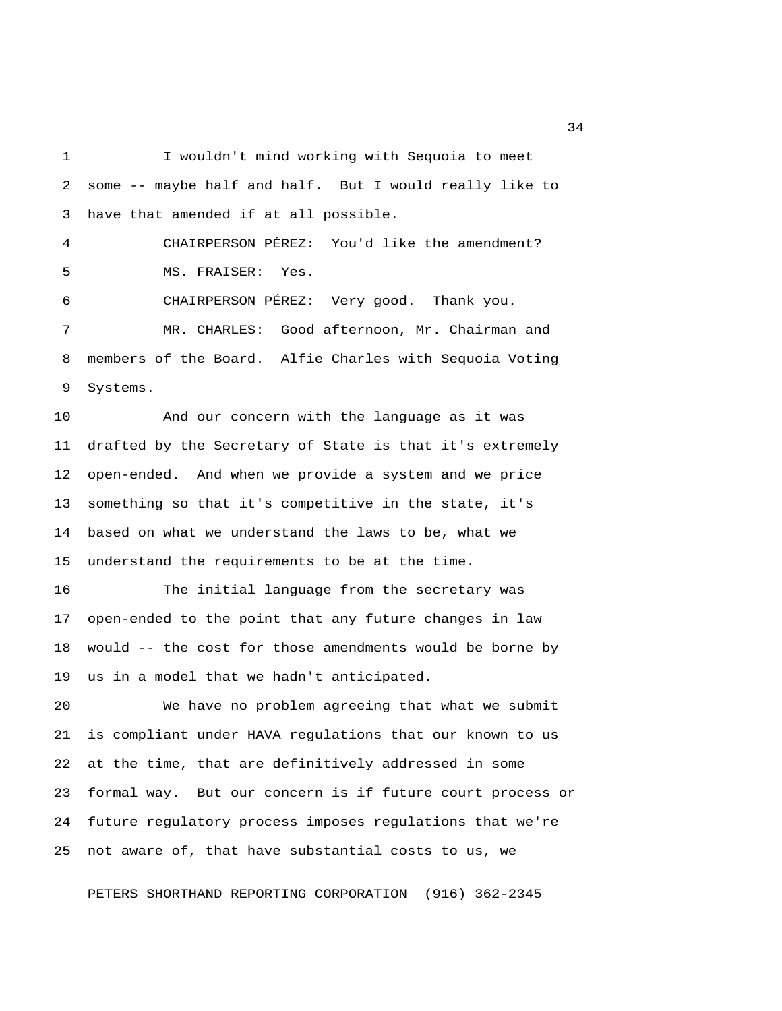1 I wouldn't mind working with Sequoia to meet 2 some -- maybe half and half. But I would really like to 3 have that amended if at all possible. 4 CHAIRPERSON PÉREZ: You'd like the amendment? 5 MS. FRAISER: Yes. 6 CHAIRPERSON PÉREZ: Very good. Thank you. 7 MR. CHARLES: Good afternoon, Mr. Chairman and 8 members of the Board. Alfie Charles with Sequoia Voting 9 Systems.

10 And our concern with the language as it was 11 drafted by the Secretary of State is that it's extremely 12 open-ended. And when we provide a system and we price 13 something so that it's competitive in the state, it's 14 based on what we understand the laws to be, what we 15 understand the requirements to be at the time.

16 The initial language from the secretary was 17 open-ended to the point that any future changes in law 18 would -- the cost for those amendments would be borne by 19 us in a model that we hadn't anticipated.

20 We have no problem agreeing that what we submit 21 is compliant under HAVA regulations that our known to us 22 at the time, that are definitively addressed in some 23 formal way. But our concern is if future court process or 24 future regulatory process imposes regulations that we're 25 not aware of, that have substantial costs to us, we

PETERS SHORTHAND REPORTING CORPORATION (916) 362-2345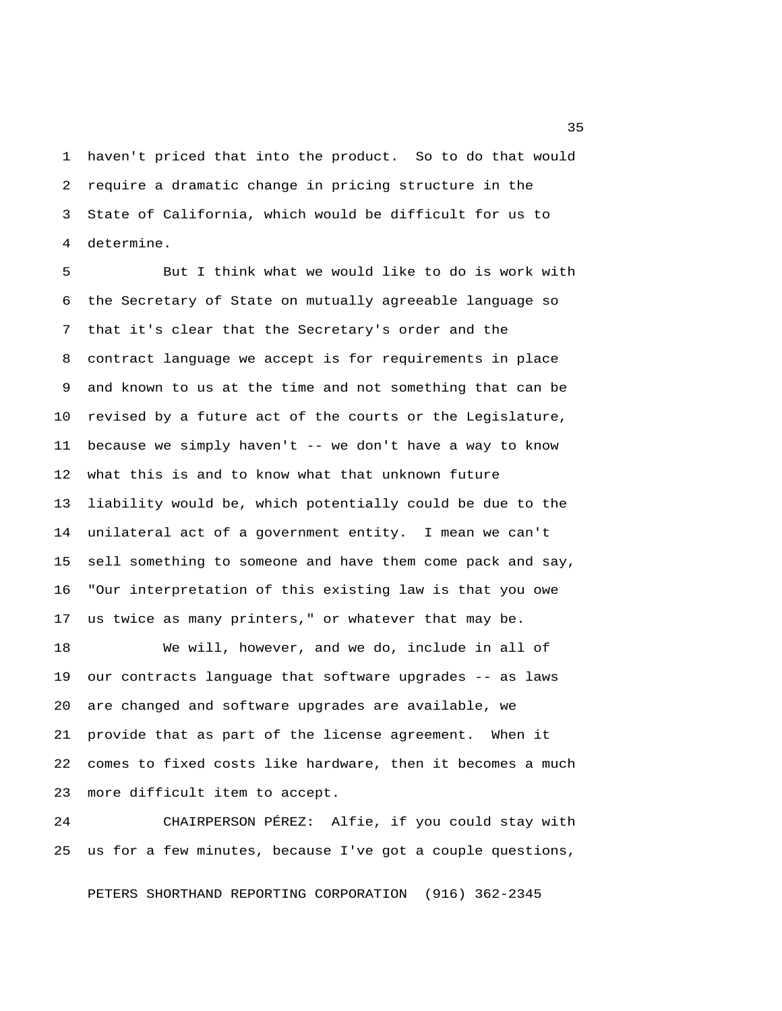1 haven't priced that into the product. So to do that would 2 require a dramatic change in pricing structure in the 3 State of California, which would be difficult for us to 4 determine.

 5 But I think what we would like to do is work with 6 the Secretary of State on mutually agreeable language so 7 that it's clear that the Secretary's order and the 8 contract language we accept is for requirements in place 9 and known to us at the time and not something that can be 10 revised by a future act of the courts or the Legislature, 11 because we simply haven't -- we don't have a way to know 12 what this is and to know what that unknown future 13 liability would be, which potentially could be due to the 14 unilateral act of a government entity. I mean we can't 15 sell something to someone and have them come pack and say, 16 "Our interpretation of this existing law is that you owe 17 us twice as many printers," or whatever that may be.

18 We will, however, and we do, include in all of 19 our contracts language that software upgrades -- as laws 20 are changed and software upgrades are available, we 21 provide that as part of the license agreement. When it 22 comes to fixed costs like hardware, then it becomes a much 23 more difficult item to accept.

24 CHAIRPERSON PÉREZ: Alfie, if you could stay with 25 us for a few minutes, because I've got a couple questions,

PETERS SHORTHAND REPORTING CORPORATION (916) 362-2345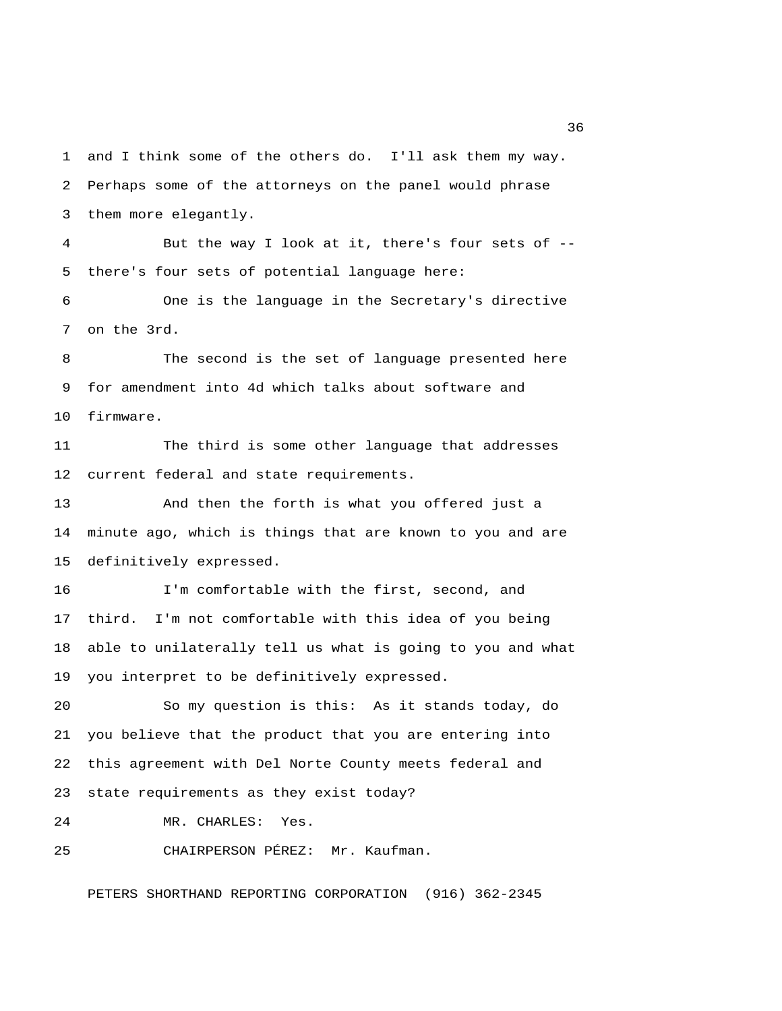1 and I think some of the others do. I'll ask them my way. 2 Perhaps some of the attorneys on the panel would phrase 3 them more elegantly.

 4 But the way I look at it, there's four sets of -- 5 there's four sets of potential language here:

 6 One is the language in the Secretary's directive 7 on the 3rd.

 8 The second is the set of language presented here 9 for amendment into 4d which talks about software and 10 firmware.

11 The third is some other language that addresses 12 current federal and state requirements.

13 And then the forth is what you offered just a 14 minute ago, which is things that are known to you and are 15 definitively expressed.

16 I'm comfortable with the first, second, and 17 third. I'm not comfortable with this idea of you being 18 able to unilaterally tell us what is going to you and what 19 you interpret to be definitively expressed.

20 So my question is this: As it stands today, do 21 you believe that the product that you are entering into 22 this agreement with Del Norte County meets federal and 23 state requirements as they exist today?

24 MR. CHARLES: Yes.

25 CHAIRPERSON PÉREZ: Mr. Kaufman.

PETERS SHORTHAND REPORTING CORPORATION (916) 362-2345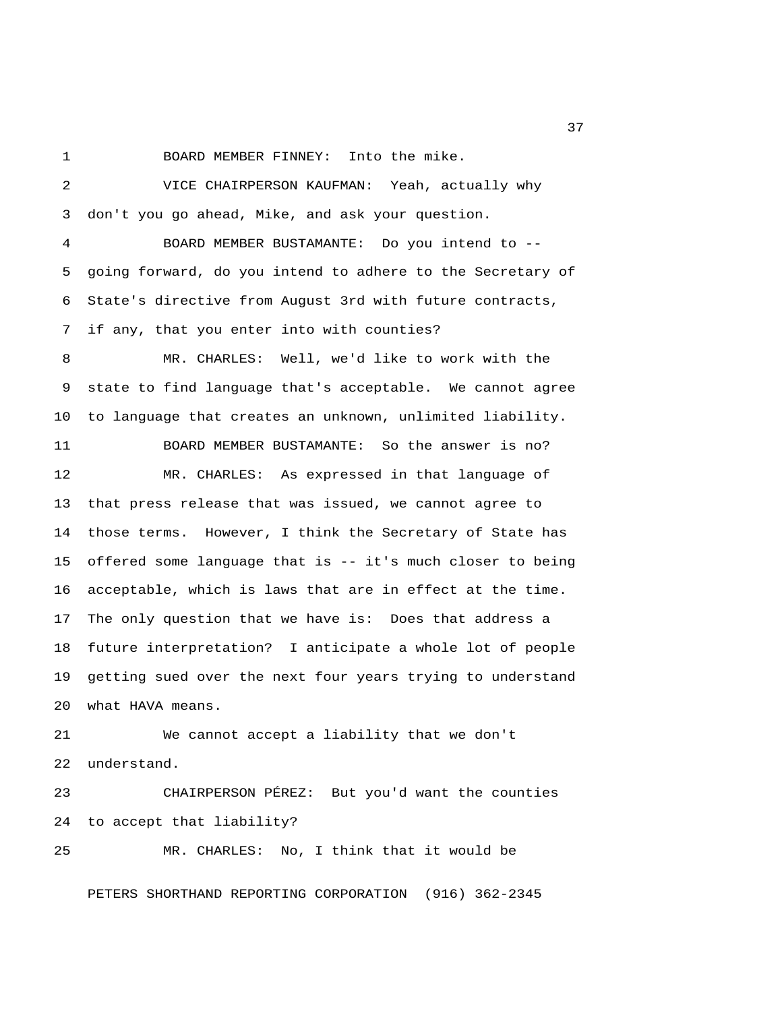1 BOARD MEMBER FINNEY: Into the mike.

 2 VICE CHAIRPERSON KAUFMAN: Yeah, actually why 3 don't you go ahead, Mike, and ask your question. 4 BOARD MEMBER BUSTAMANTE: Do you intend to -- 5 going forward, do you intend to adhere to the Secretary of 6 State's directive from August 3rd with future contracts, 7 if any, that you enter into with counties? 8 MR. CHARLES: Well, we'd like to work with the 9 state to find language that's acceptable. We cannot agree 10 to language that creates an unknown, unlimited liability. 11 BOARD MEMBER BUSTAMANTE: So the answer is no? 12 MR. CHARLES: As expressed in that language of 13 that press release that was issued, we cannot agree to 14 those terms. However, I think the Secretary of State has 15 offered some language that is -- it's much closer to being 16 acceptable, which is laws that are in effect at the time. 17 The only question that we have is: Does that address a 18 future interpretation? I anticipate a whole lot of people 19 getting sued over the next four years trying to understand 20 what HAVA means. 21 We cannot accept a liability that we don't 22 understand. 23 CHAIRPERSON PÉREZ: But you'd want the counties 24 to accept that liability? 25 MR. CHARLES: No, I think that it would be PETERS SHORTHAND REPORTING CORPORATION (916) 362-2345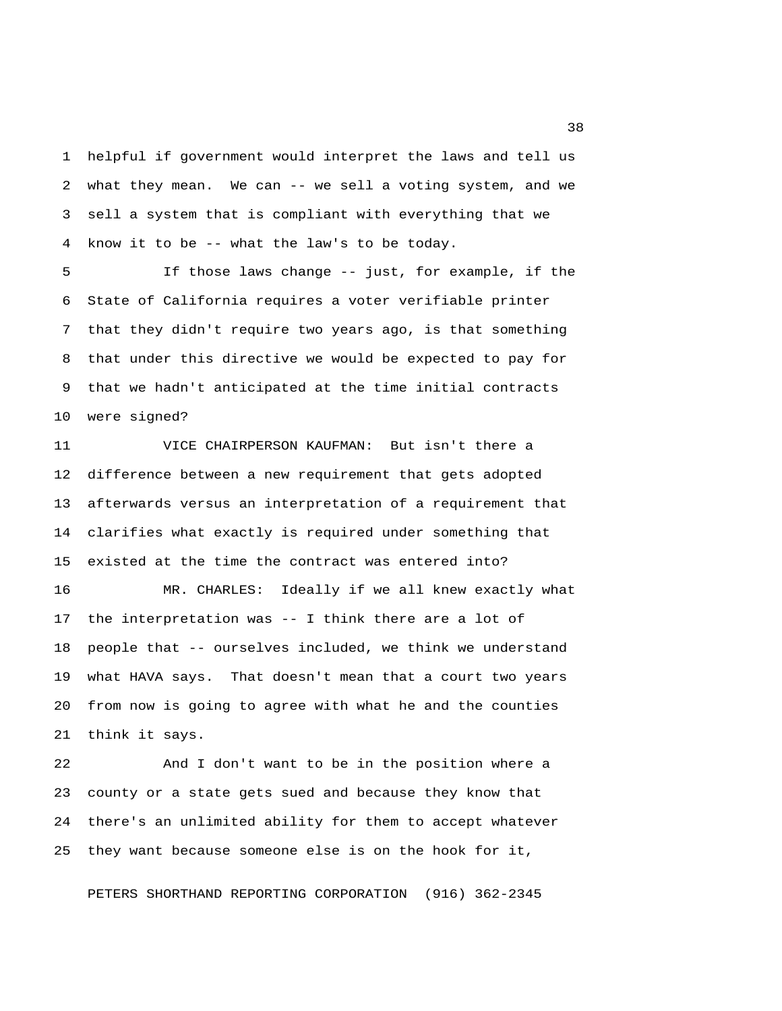1 helpful if government would interpret the laws and tell us 2 what they mean. We can -- we sell a voting system, and we 3 sell a system that is compliant with everything that we 4 know it to be -- what the law's to be today.

 5 If those laws change -- just, for example, if the 6 State of California requires a voter verifiable printer 7 that they didn't require two years ago, is that something 8 that under this directive we would be expected to pay for 9 that we hadn't anticipated at the time initial contracts 10 were signed?

11 VICE CHAIRPERSON KAUFMAN: But isn't there a 12 difference between a new requirement that gets adopted 13 afterwards versus an interpretation of a requirement that 14 clarifies what exactly is required under something that 15 existed at the time the contract was entered into? 16 MR. CHARLES: Ideally if we all knew exactly what 17 the interpretation was -- I think there are a lot of 18 people that -- ourselves included, we think we understand 19 what HAVA says. That doesn't mean that a court two years

21 think it says.

22 And I don't want to be in the position where a 23 county or a state gets sued and because they know that 24 there's an unlimited ability for them to accept whatever 25 they want because someone else is on the hook for it,

20 from now is going to agree with what he and the counties

PETERS SHORTHAND REPORTING CORPORATION (916) 362-2345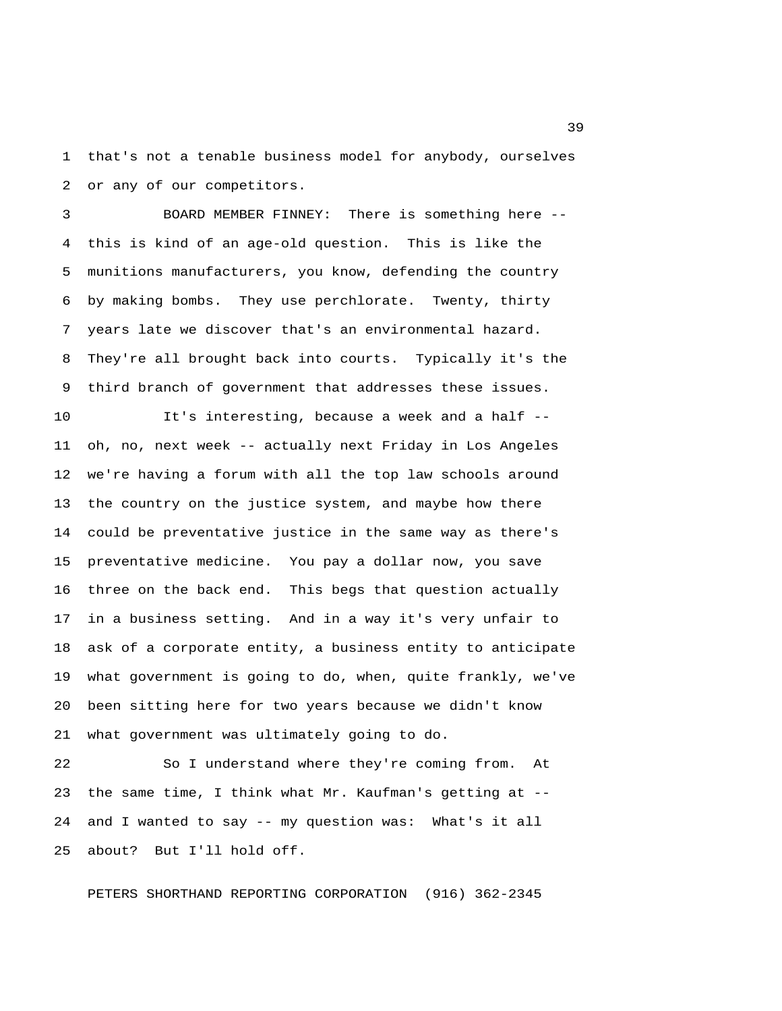1 that's not a tenable business model for anybody, ourselves 2 or any of our competitors.

 3 BOARD MEMBER FINNEY: There is something here -- 4 this is kind of an age-old question. This is like the 5 munitions manufacturers, you know, defending the country 6 by making bombs. They use perchlorate. Twenty, thirty 7 years late we discover that's an environmental hazard. 8 They're all brought back into courts. Typically it's the 9 third branch of government that addresses these issues.

10 It's interesting, because a week and a half -- 11 oh, no, next week -- actually next Friday in Los Angeles 12 we're having a forum with all the top law schools around 13 the country on the justice system, and maybe how there 14 could be preventative justice in the same way as there's 15 preventative medicine. You pay a dollar now, you save 16 three on the back end. This begs that question actually 17 in a business setting. And in a way it's very unfair to 18 ask of a corporate entity, a business entity to anticipate 19 what government is going to do, when, quite frankly, we've 20 been sitting here for two years because we didn't know 21 what government was ultimately going to do.

22 So I understand where they're coming from. At 23 the same time, I think what Mr. Kaufman's getting at -- 24 and I wanted to say -- my question was: What's it all 25 about? But I'll hold off.

PETERS SHORTHAND REPORTING CORPORATION (916) 362-2345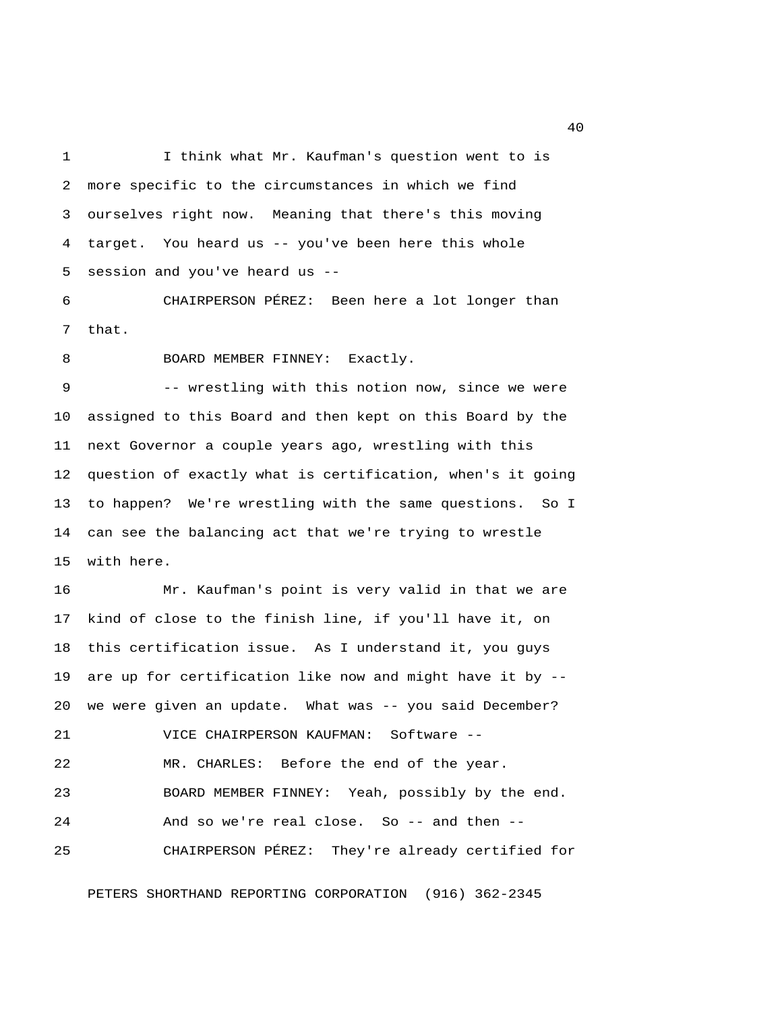1 I think what Mr. Kaufman's question went to is 2 more specific to the circumstances in which we find 3 ourselves right now. Meaning that there's this moving 4 target. You heard us -- you've been here this whole 5 session and you've heard us --

 6 CHAIRPERSON PÉREZ: Been here a lot longer than 7 that.

8 BOARD MEMBER FINNEY: Exactly.

 9 -- wrestling with this notion now, since we were 10 assigned to this Board and then kept on this Board by the 11 next Governor a couple years ago, wrestling with this 12 question of exactly what is certification, when's it going 13 to happen? We're wrestling with the same questions. So I 14 can see the balancing act that we're trying to wrestle 15 with here.

16 Mr. Kaufman's point is very valid in that we are 17 kind of close to the finish line, if you'll have it, on 18 this certification issue. As I understand it, you guys 19 are up for certification like now and might have it by -- 20 we were given an update. What was -- you said December? 21 VICE CHAIRPERSON KAUFMAN: Software -- 22 MR. CHARLES: Before the end of the year. 23 BOARD MEMBER FINNEY: Yeah, possibly by the end. 24 And so we're real close. So -- and then -- 25 CHAIRPERSON PÉREZ: They're already certified for

PETERS SHORTHAND REPORTING CORPORATION (916) 362-2345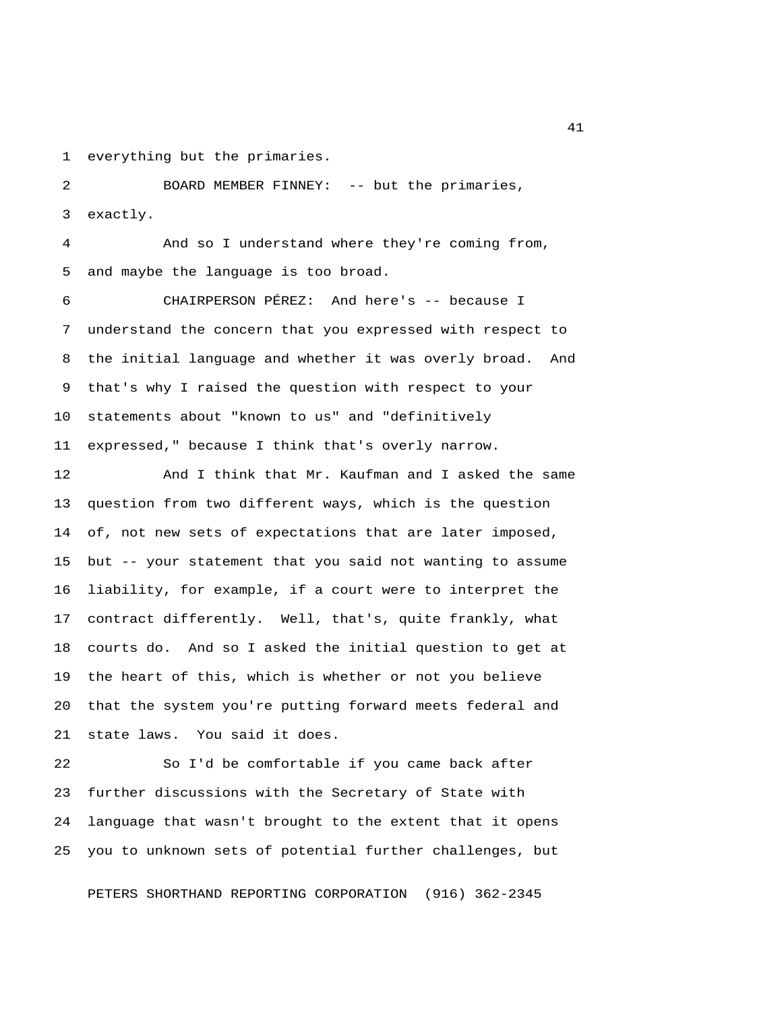1 everything but the primaries.

 2 BOARD MEMBER FINNEY: -- but the primaries, 3 exactly.

 4 And so I understand where they're coming from, 5 and maybe the language is too broad.

 6 CHAIRPERSON PÉREZ: And here's -- because I 7 understand the concern that you expressed with respect to 8 the initial language and whether it was overly broad. And 9 that's why I raised the question with respect to your 10 statements about "known to us" and "definitively 11 expressed," because I think that's overly narrow.

12 And I think that Mr. Kaufman and I asked the same 13 question from two different ways, which is the question 14 of, not new sets of expectations that are later imposed, 15 but -- your statement that you said not wanting to assume 16 liability, for example, if a court were to interpret the 17 contract differently. Well, that's, quite frankly, what 18 courts do. And so I asked the initial question to get at 19 the heart of this, which is whether or not you believe 20 that the system you're putting forward meets federal and 21 state laws. You said it does.

22 So I'd be comfortable if you came back after 23 further discussions with the Secretary of State with 24 language that wasn't brought to the extent that it opens 25 you to unknown sets of potential further challenges, but

PETERS SHORTHAND REPORTING CORPORATION (916) 362-2345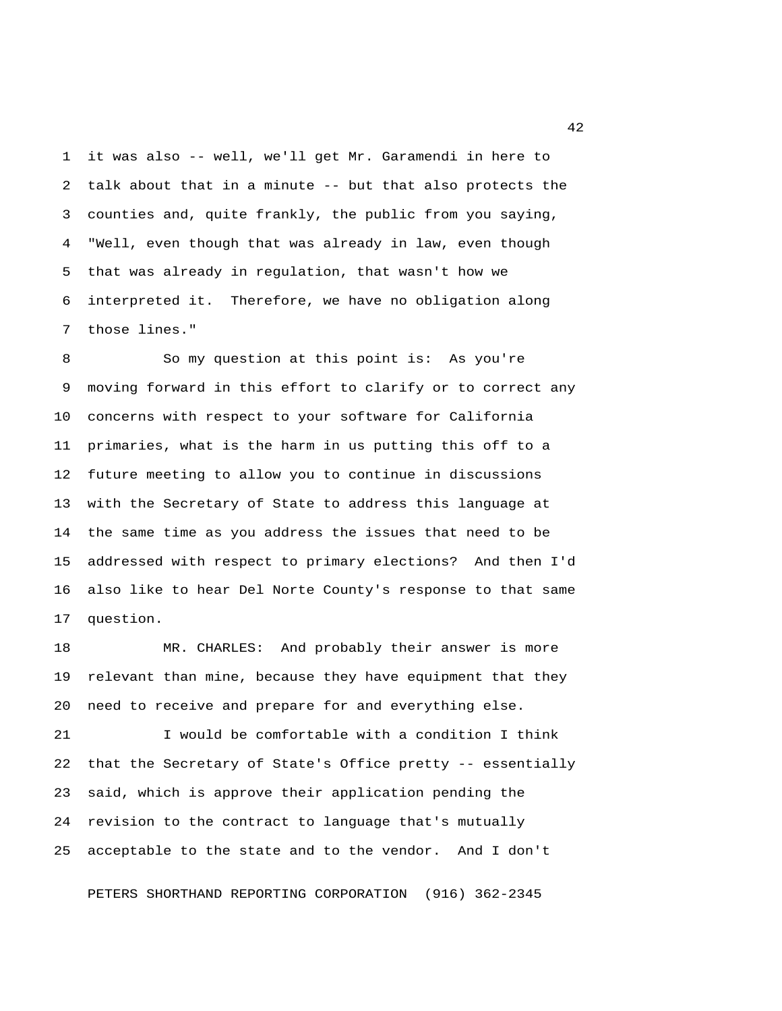1 it was also -- well, we'll get Mr. Garamendi in here to 2 talk about that in a minute -- but that also protects the 3 counties and, quite frankly, the public from you saying, 4 "Well, even though that was already in law, even though 5 that was already in regulation, that wasn't how we 6 interpreted it. Therefore, we have no obligation along 7 those lines."

 8 So my question at this point is: As you're 9 moving forward in this effort to clarify or to correct any 10 concerns with respect to your software for California 11 primaries, what is the harm in us putting this off to a 12 future meeting to allow you to continue in discussions 13 with the Secretary of State to address this language at 14 the same time as you address the issues that need to be 15 addressed with respect to primary elections? And then I'd 16 also like to hear Del Norte County's response to that same 17 question.

18 MR. CHARLES: And probably their answer is more 19 relevant than mine, because they have equipment that they 20 need to receive and prepare for and everything else.

21 I would be comfortable with a condition I think 22 that the Secretary of State's Office pretty -- essentially 23 said, which is approve their application pending the 24 revision to the contract to language that's mutually 25 acceptable to the state and to the vendor. And I don't

PETERS SHORTHAND REPORTING CORPORATION (916) 362-2345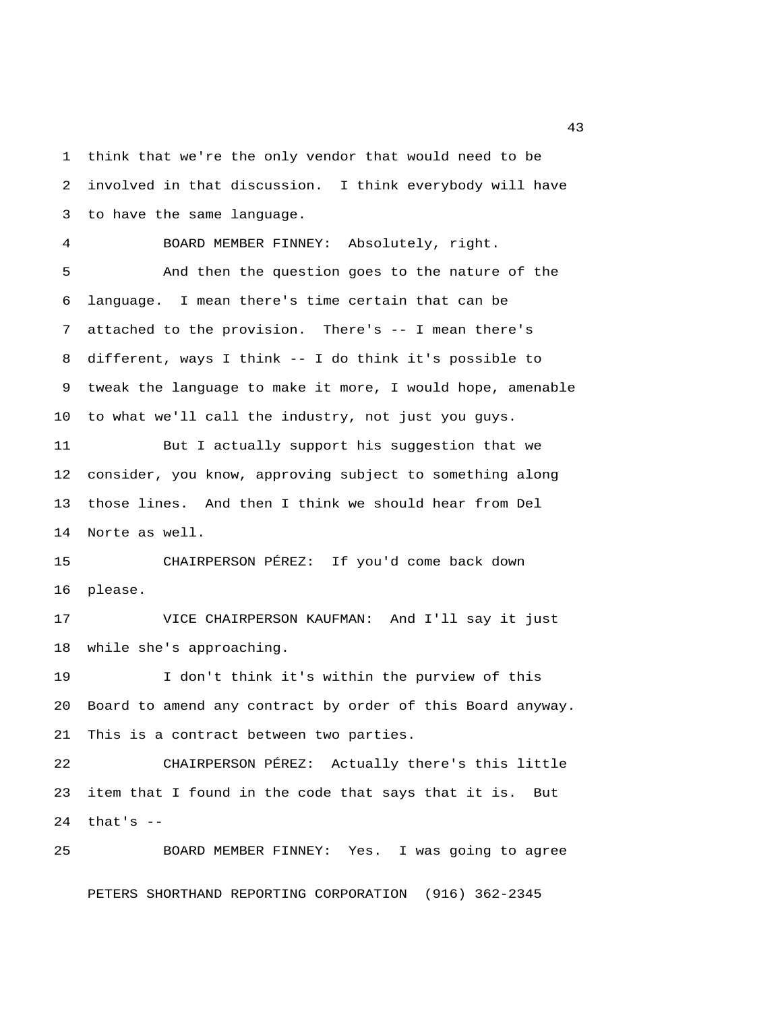1 think that we're the only vendor that would need to be 2 involved in that discussion. I think everybody will have 3 to have the same language. 4 BOARD MEMBER FINNEY: Absolutely, right. 5 And then the question goes to the nature of the 6 language. I mean there's time certain that can be 7 attached to the provision. There's -- I mean there's 8 different, ways I think -- I do think it's possible to 9 tweak the language to make it more, I would hope, amenable 10 to what we'll call the industry, not just you guys. 11 But I actually support his suggestion that we 12 consider, you know, approving subject to something along 13 those lines. And then I think we should hear from Del 14 Norte as well. 15 CHAIRPERSON PÉREZ: If you'd come back down 16 please. 17 VICE CHAIRPERSON KAUFMAN: And I'll say it just 18 while she's approaching. 19 I don't think it's within the purview of this 20 Board to amend any contract by order of this Board anyway. 21 This is a contract between two parties. 22 CHAIRPERSON PÉREZ: Actually there's this little 23 item that I found in the code that says that it is. But 24 that's -- 25 BOARD MEMBER FINNEY: Yes. I was going to agree

PETERS SHORTHAND REPORTING CORPORATION (916) 362-2345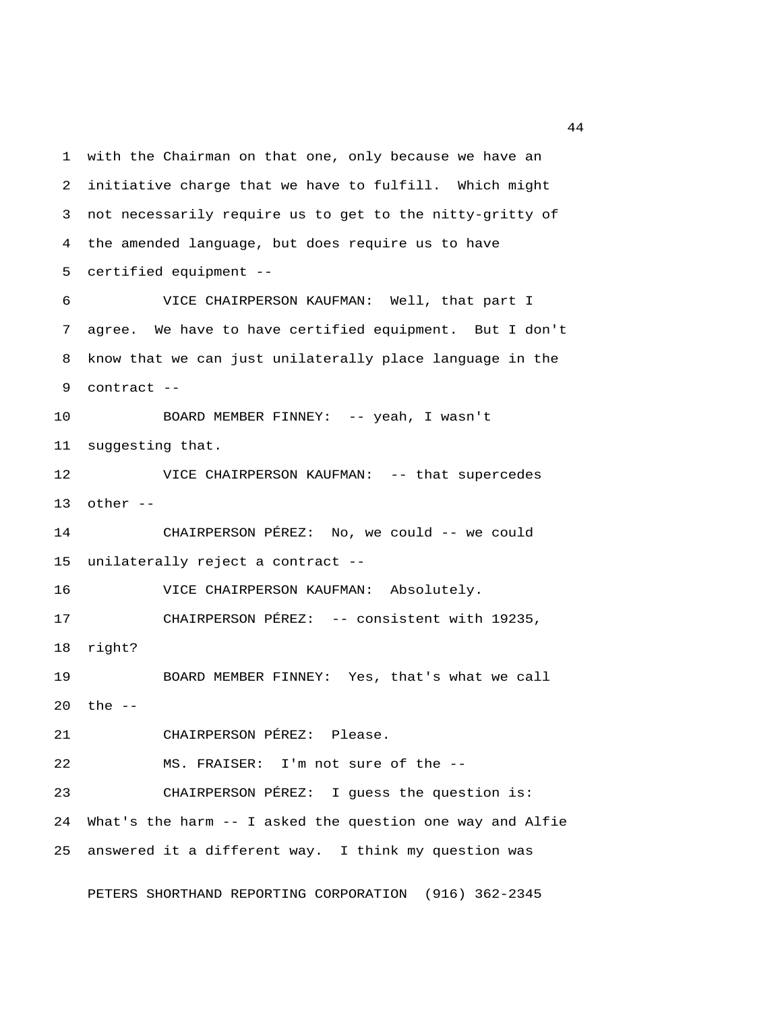1 with the Chairman on that one, only because we have an 2 initiative charge that we have to fulfill. Which might 3 not necessarily require us to get to the nitty-gritty of 4 the amended language, but does require us to have 5 certified equipment -- 6 VICE CHAIRPERSON KAUFMAN: Well, that part I 7 agree. We have to have certified equipment. But I don't 8 know that we can just unilaterally place language in the 9 contract -- 10 BOARD MEMBER FINNEY: -- yeah, I wasn't 11 suggesting that. 12 VICE CHAIRPERSON KAUFMAN: -- that supercedes 13 other -- 14 CHAIRPERSON PÉREZ: No, we could -- we could 15 unilaterally reject a contract -- 16 VICE CHAIRPERSON KAUFMAN: Absolutely. 17 CHAIRPERSON PÉREZ: -- consistent with 19235, 18 right? 19 BOARD MEMBER FINNEY: Yes, that's what we call 20 the -- 21 CHAIRPERSON PÉREZ: Please. 22 MS. FRAISER: I'm not sure of the -- 23 CHAIRPERSON PÉREZ: I guess the question is: 24 What's the harm -- I asked the question one way and Alfie 25 answered it a different way. I think my question was

PETERS SHORTHAND REPORTING CORPORATION (916) 362-2345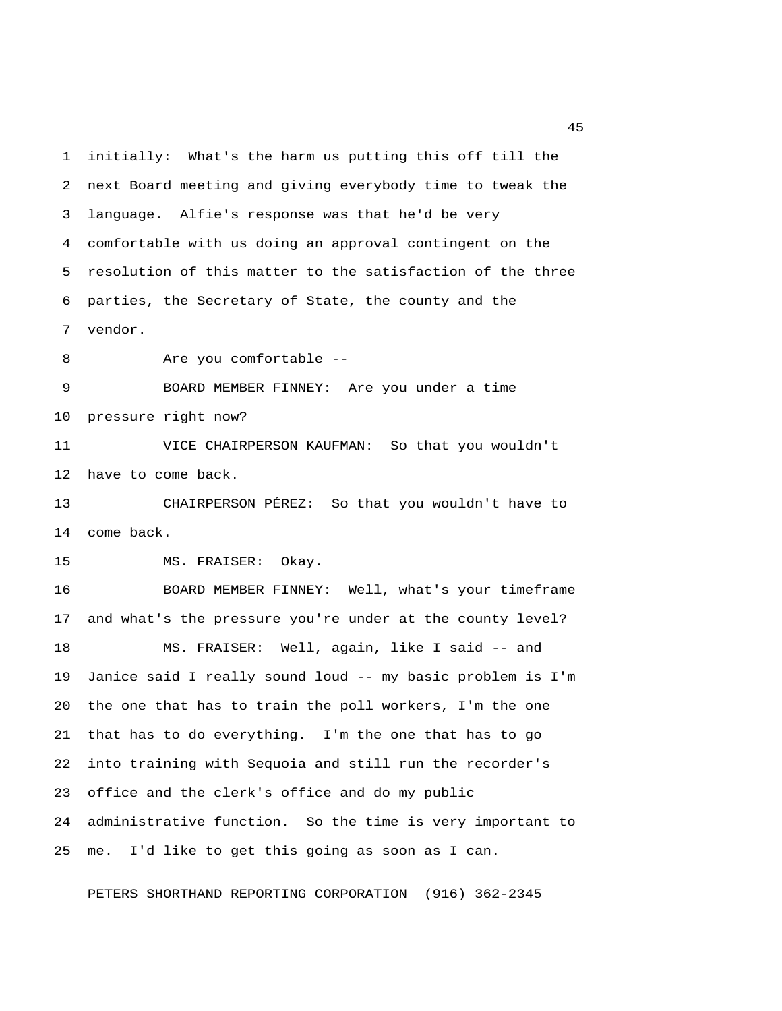1 initially: What's the harm us putting this off till the 2 next Board meeting and giving everybody time to tweak the 3 language. Alfie's response was that he'd be very 4 comfortable with us doing an approval contingent on the 5 resolution of this matter to the satisfaction of the three 6 parties, the Secretary of State, the county and the 7 vendor.

8 Are you comfortable --

 9 BOARD MEMBER FINNEY: Are you under a time 10 pressure right now?

11 VICE CHAIRPERSON KAUFMAN: So that you wouldn't 12 have to come back.

13 CHAIRPERSON PÉREZ: So that you wouldn't have to 14 come back.

15 MS. FRAISER: Okay.

16 BOARD MEMBER FINNEY: Well, what's your timeframe 17 and what's the pressure you're under at the county level? 18 MS. FRAISER: Well, again, like I said -- and 19 Janice said I really sound loud -- my basic problem is I'm 20 the one that has to train the poll workers, I'm the one 21 that has to do everything. I'm the one that has to go 22 into training with Sequoia and still run the recorder's 23 office and the clerk's office and do my public 24 administrative function. So the time is very important to 25 me. I'd like to get this going as soon as I can.

PETERS SHORTHAND REPORTING CORPORATION (916) 362-2345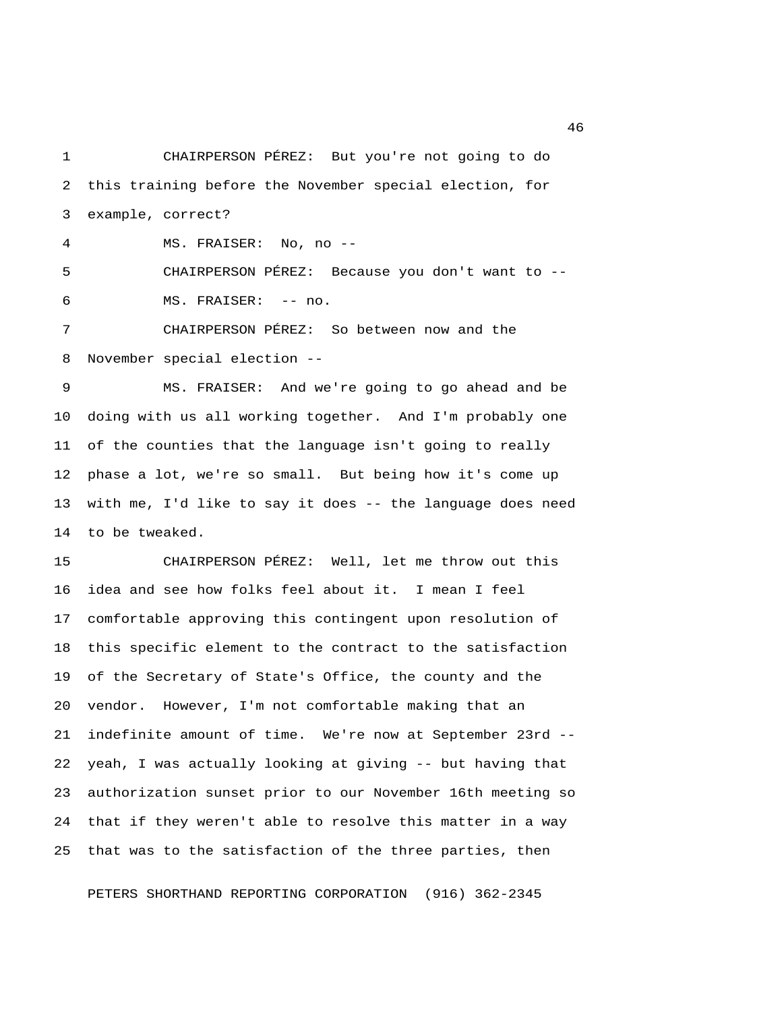1 CHAIRPERSON PÉREZ: But you're not going to do 2 this training before the November special election, for 3 example, correct?

4 MS. FRAISER: No, no --

 5 CHAIRPERSON PÉREZ: Because you don't want to -- 6 MS. FRAISER: -- no.

 7 CHAIRPERSON PÉREZ: So between now and the 8 November special election --

 9 MS. FRAISER: And we're going to go ahead and be 10 doing with us all working together. And I'm probably one 11 of the counties that the language isn't going to really 12 phase a lot, we're so small. But being how it's come up 13 with me, I'd like to say it does -- the language does need 14 to be tweaked.

15 CHAIRPERSON PÉREZ: Well, let me throw out this 16 idea and see how folks feel about it. I mean I feel 17 comfortable approving this contingent upon resolution of 18 this specific element to the contract to the satisfaction 19 of the Secretary of State's Office, the county and the 20 vendor. However, I'm not comfortable making that an 21 indefinite amount of time. We're now at September 23rd -- 22 yeah, I was actually looking at giving -- but having that 23 authorization sunset prior to our November 16th meeting so 24 that if they weren't able to resolve this matter in a way 25 that was to the satisfaction of the three parties, then

PETERS SHORTHAND REPORTING CORPORATION (916) 362-2345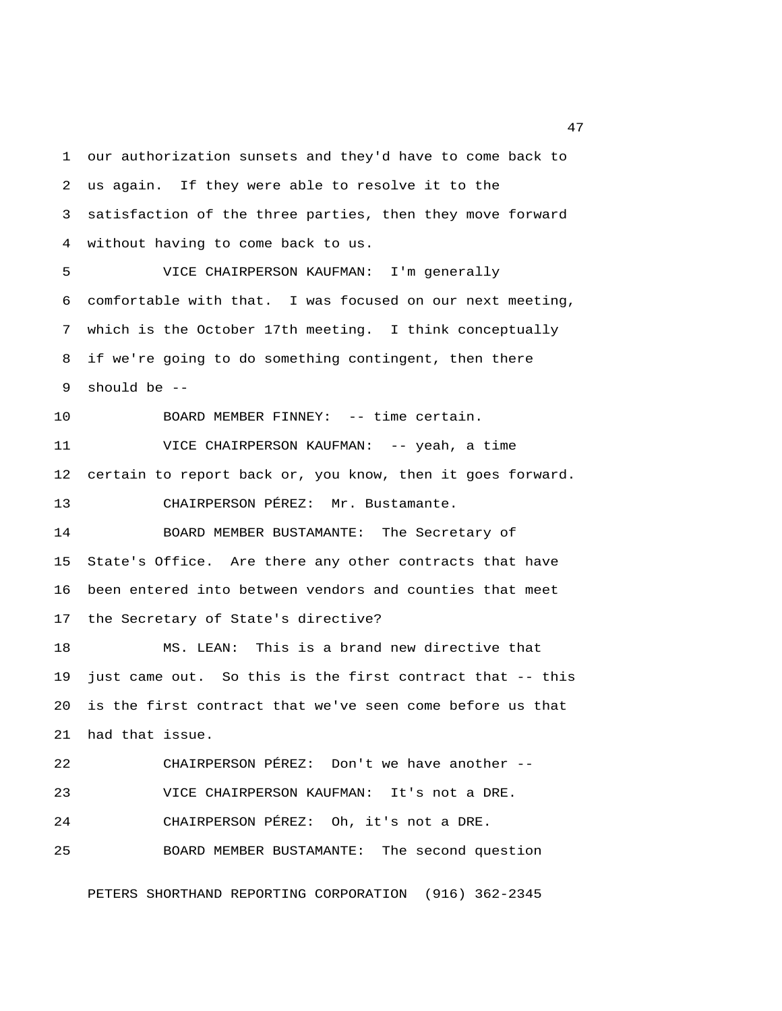1 our authorization sunsets and they'd have to come back to 2 us again. If they were able to resolve it to the 3 satisfaction of the three parties, then they move forward 4 without having to come back to us. 5 VICE CHAIRPERSON KAUFMAN: I'm generally 6 comfortable with that. I was focused on our next meeting, 7 which is the October 17th meeting. I think conceptually 8 if we're going to do something contingent, then there 9 should be -- 10 BOARD MEMBER FINNEY: -- time certain. 11 VICE CHAIRPERSON KAUFMAN: -- yeah, a time 12 certain to report back or, you know, then it goes forward. 13 CHAIRPERSON PÉREZ: Mr. Bustamante. 14 BOARD MEMBER BUSTAMANTE: The Secretary of 15 State's Office. Are there any other contracts that have 16 been entered into between vendors and counties that meet 17 the Secretary of State's directive? 18 MS. LEAN: This is a brand new directive that 19 just came out. So this is the first contract that -- this 20 is the first contract that we've seen come before us that 21 had that issue. 22 CHAIRPERSON PÉREZ: Don't we have another -- 23 VICE CHAIRPERSON KAUFMAN: It's not a DRE. 24 CHAIRPERSON PÉREZ: Oh, it's not a DRE. 25 BOARD MEMBER BUSTAMANTE: The second question

PETERS SHORTHAND REPORTING CORPORATION (916) 362-2345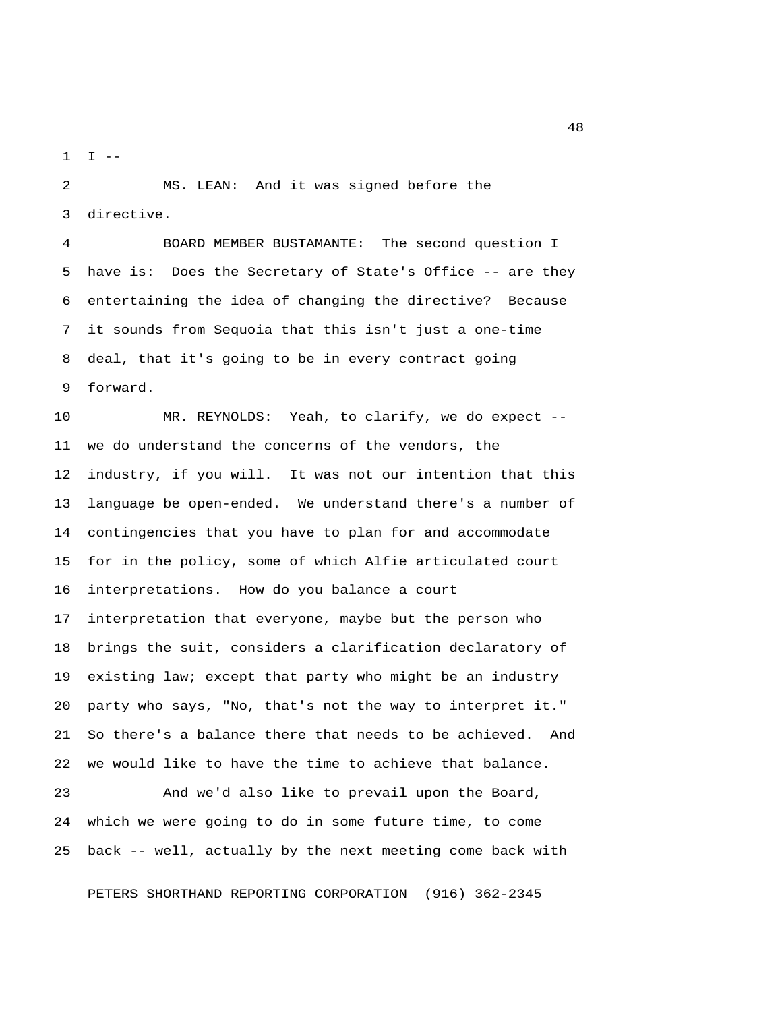$1$   $I$   $-$ 

 2 MS. LEAN: And it was signed before the 3 directive.

 4 BOARD MEMBER BUSTAMANTE: The second question I 5 have is: Does the Secretary of State's Office -- are they 6 entertaining the idea of changing the directive? Because 7 it sounds from Sequoia that this isn't just a one-time 8 deal, that it's going to be in every contract going 9 forward.

10 MR. REYNOLDS: Yeah, to clarify, we do expect -- 11 we do understand the concerns of the vendors, the 12 industry, if you will. It was not our intention that this 13 language be open-ended. We understand there's a number of 14 contingencies that you have to plan for and accommodate 15 for in the policy, some of which Alfie articulated court 16 interpretations. How do you balance a court 17 interpretation that everyone, maybe but the person who 18 brings the suit, considers a clarification declaratory of 19 existing law; except that party who might be an industry 20 party who says, "No, that's not the way to interpret it." 21 So there's a balance there that needs to be achieved. And 22 we would like to have the time to achieve that balance.

23 And we'd also like to prevail upon the Board, 24 which we were going to do in some future time, to come 25 back -- well, actually by the next meeting come back with

PETERS SHORTHAND REPORTING CORPORATION (916) 362-2345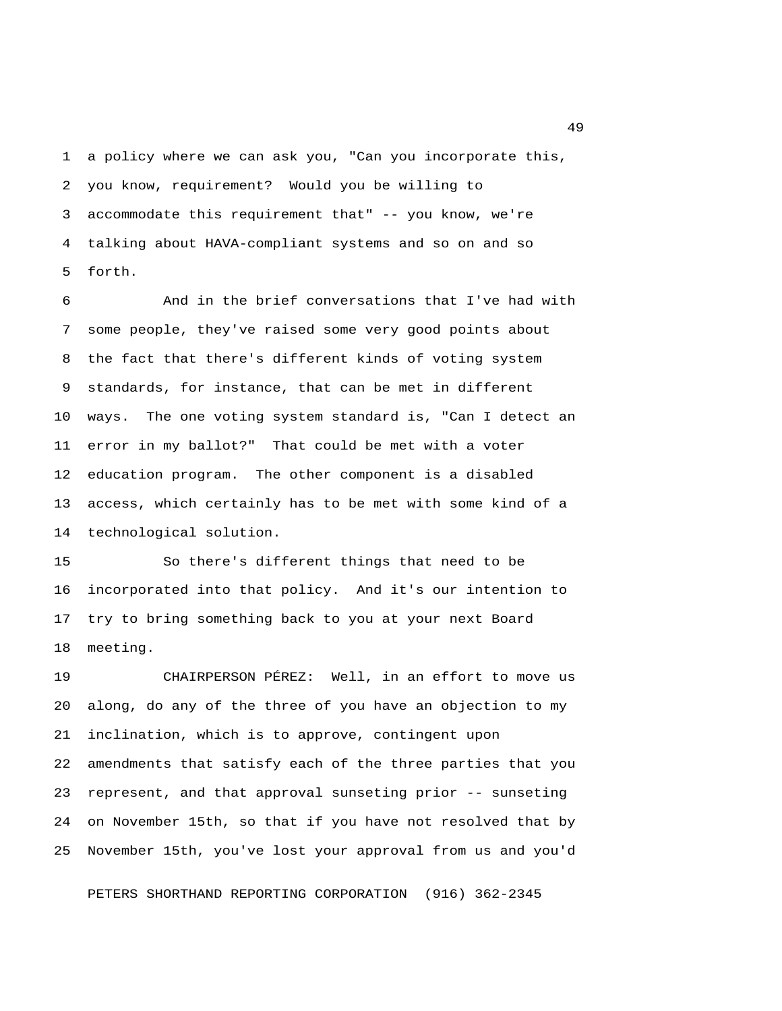1 a policy where we can ask you, "Can you incorporate this, 2 you know, requirement? Would you be willing to 3 accommodate this requirement that" -- you know, we're 4 talking about HAVA-compliant systems and so on and so 5 forth.

 6 And in the brief conversations that I've had with 7 some people, they've raised some very good points about 8 the fact that there's different kinds of voting system 9 standards, for instance, that can be met in different 10 ways. The one voting system standard is, "Can I detect an 11 error in my ballot?" That could be met with a voter 12 education program. The other component is a disabled 13 access, which certainly has to be met with some kind of a 14 technological solution.

15 So there's different things that need to be 16 incorporated into that policy. And it's our intention to 17 try to bring something back to you at your next Board 18 meeting.

19 CHAIRPERSON PÉREZ: Well, in an effort to move us 20 along, do any of the three of you have an objection to my 21 inclination, which is to approve, contingent upon 22 amendments that satisfy each of the three parties that you 23 represent, and that approval sunseting prior -- sunseting 24 on November 15th, so that if you have not resolved that by 25 November 15th, you've lost your approval from us and you'd

PETERS SHORTHAND REPORTING CORPORATION (916) 362-2345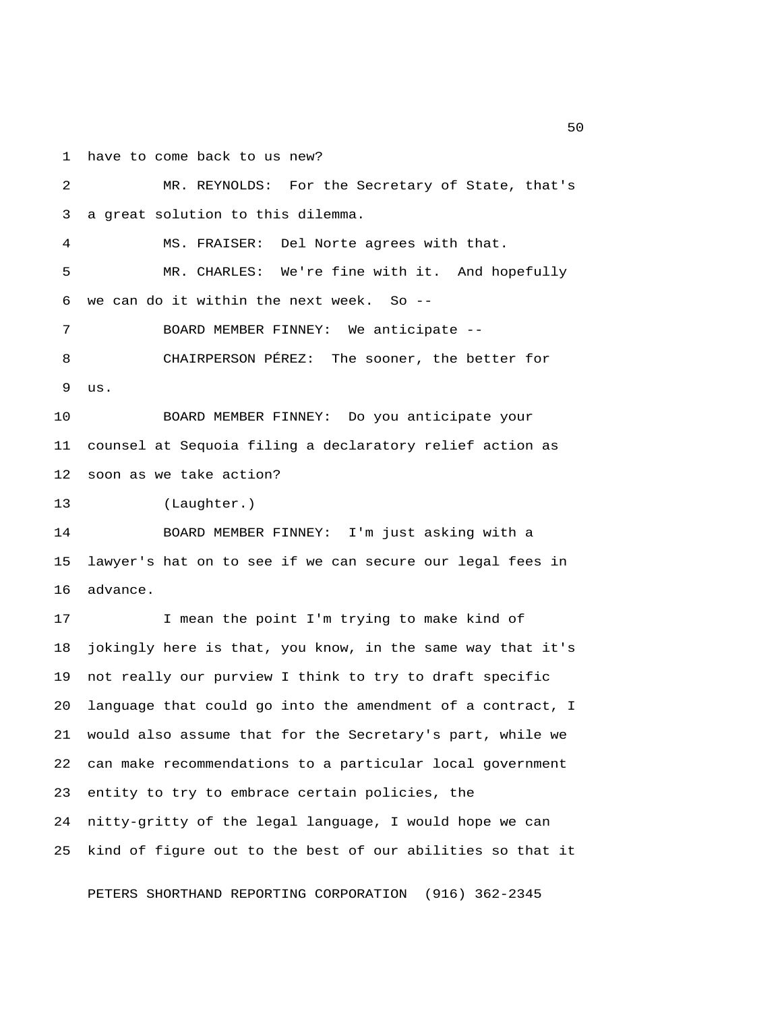1 have to come back to us new?

 2 MR. REYNOLDS: For the Secretary of State, that's 3 a great solution to this dilemma. 4 MS. FRAISER: Del Norte agrees with that. 5 MR. CHARLES: We're fine with it. And hopefully 6 we can do it within the next week. So  $-$ - 7 BOARD MEMBER FINNEY: We anticipate -- 8 CHAIRPERSON PÉREZ: The sooner, the better for 9 us. 10 BOARD MEMBER FINNEY: Do you anticipate your 11 counsel at Sequoia filing a declaratory relief action as 12 soon as we take action? 13 (Laughter.) 14 BOARD MEMBER FINNEY: I'm just asking with a 15 lawyer's hat on to see if we can secure our legal fees in 16 advance. 17 I mean the point I'm trying to make kind of 18 jokingly here is that, you know, in the same way that it's 19 not really our purview I think to try to draft specific 20 language that could go into the amendment of a contract, I 21 would also assume that for the Secretary's part, while we 22 can make recommendations to a particular local government 23 entity to try to embrace certain policies, the 24 nitty-gritty of the legal language, I would hope we can 25 kind of figure out to the best of our abilities so that it

PETERS SHORTHAND REPORTING CORPORATION (916) 362-2345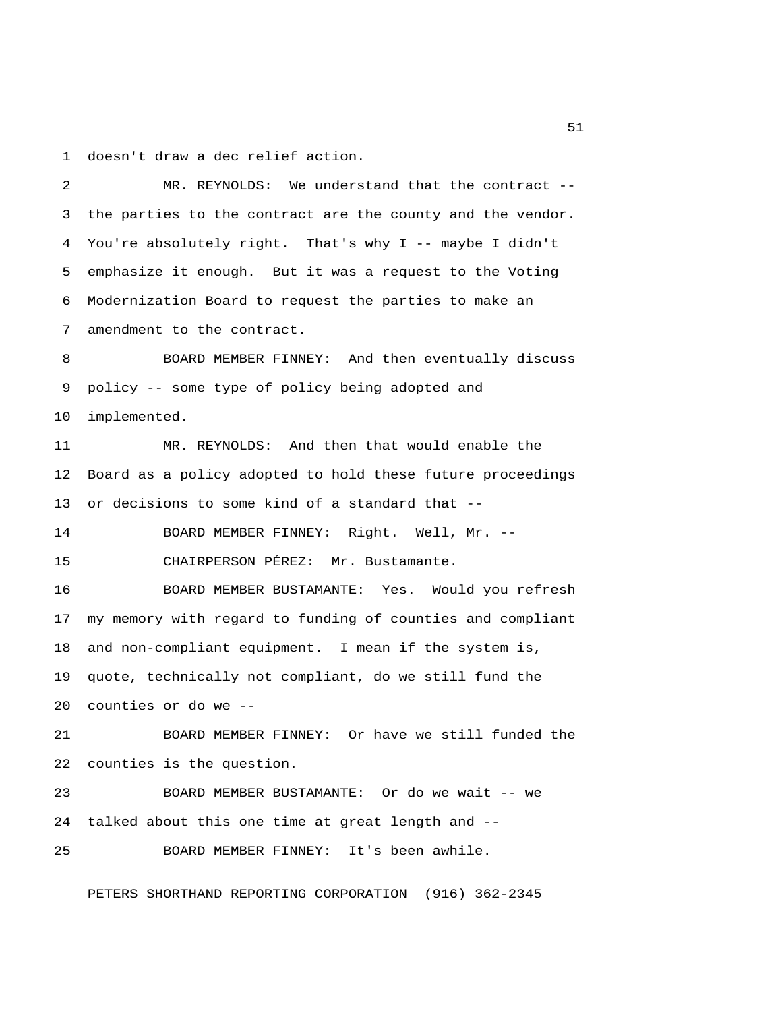1 doesn't draw a dec relief action.

 2 MR. REYNOLDS: We understand that the contract -- 3 the parties to the contract are the county and the vendor. 4 You're absolutely right. That's why I -- maybe I didn't 5 emphasize it enough. But it was a request to the Voting 6 Modernization Board to request the parties to make an 7 amendment to the contract. 8 BOARD MEMBER FINNEY: And then eventually discuss 9 policy -- some type of policy being adopted and 10 implemented. 11 MR. REYNOLDS: And then that would enable the 12 Board as a policy adopted to hold these future proceedings 13 or decisions to some kind of a standard that -- 14 BOARD MEMBER FINNEY: Right. Well, Mr. -- 15 CHAIRPERSON PÉREZ: Mr. Bustamante. 16 BOARD MEMBER BUSTAMANTE: Yes. Would you refresh 17 my memory with regard to funding of counties and compliant 18 and non-compliant equipment. I mean if the system is, 19 quote, technically not compliant, do we still fund the 20 counties or do we -- 21 BOARD MEMBER FINNEY: Or have we still funded the 22 counties is the question. 23 BOARD MEMBER BUSTAMANTE: Or do we wait -- we 24 talked about this one time at great length and -- 25 BOARD MEMBER FINNEY: It's been awhile.

PETERS SHORTHAND REPORTING CORPORATION (916) 362-2345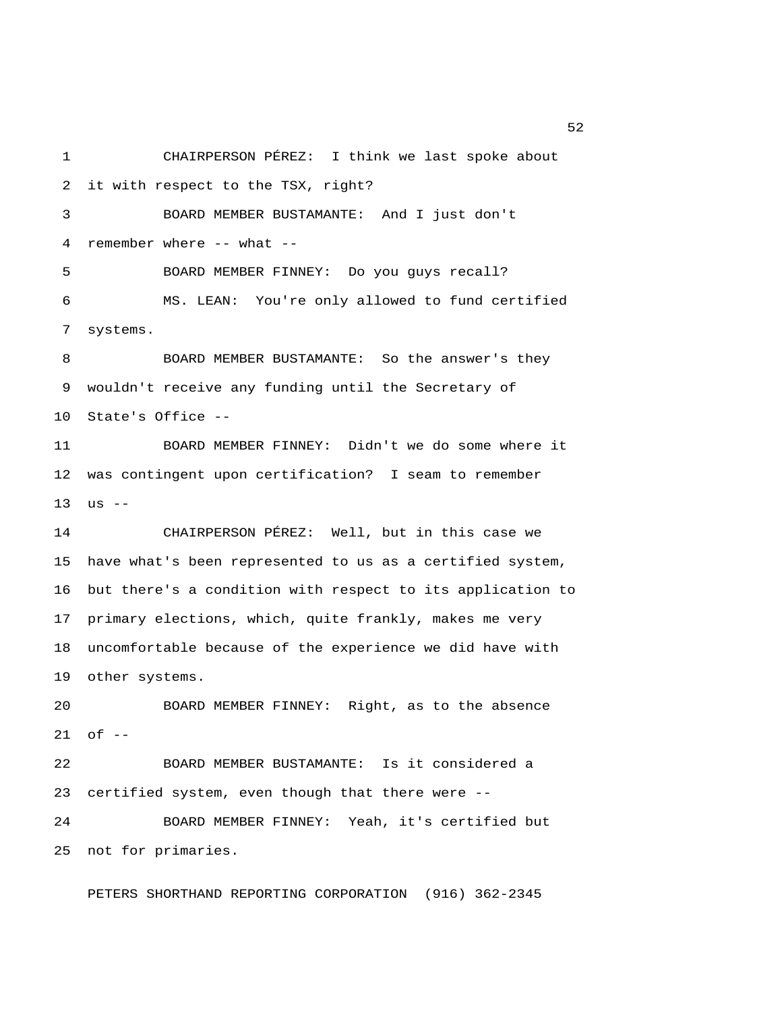1 CHAIRPERSON PÉREZ: I think we last spoke about 2 it with respect to the TSX, right? 3 BOARD MEMBER BUSTAMANTE: And I just don't 4 remember where -- what -- 5 BOARD MEMBER FINNEY: Do you guys recall? 6 MS. LEAN: You're only allowed to fund certified 7 systems. 8 BOARD MEMBER BUSTAMANTE: So the answer's they 9 wouldn't receive any funding until the Secretary of 10 State's Office -- 11 BOARD MEMBER FINNEY: Didn't we do some where it 12 was contingent upon certification? I seam to remember  $13$  us  $-$ 14 CHAIRPERSON PÉREZ: Well, but in this case we 15 have what's been represented to us as a certified system, 16 but there's a condition with respect to its application to 17 primary elections, which, quite frankly, makes me very 18 uncomfortable because of the experience we did have with 19 other systems. 20 BOARD MEMBER FINNEY: Right, as to the absence 21 of -- 22 BOARD MEMBER BUSTAMANTE: Is it considered a 23 certified system, even though that there were -- 24 BOARD MEMBER FINNEY: Yeah, it's certified but 25 not for primaries. PETERS SHORTHAND REPORTING CORPORATION (916) 362-2345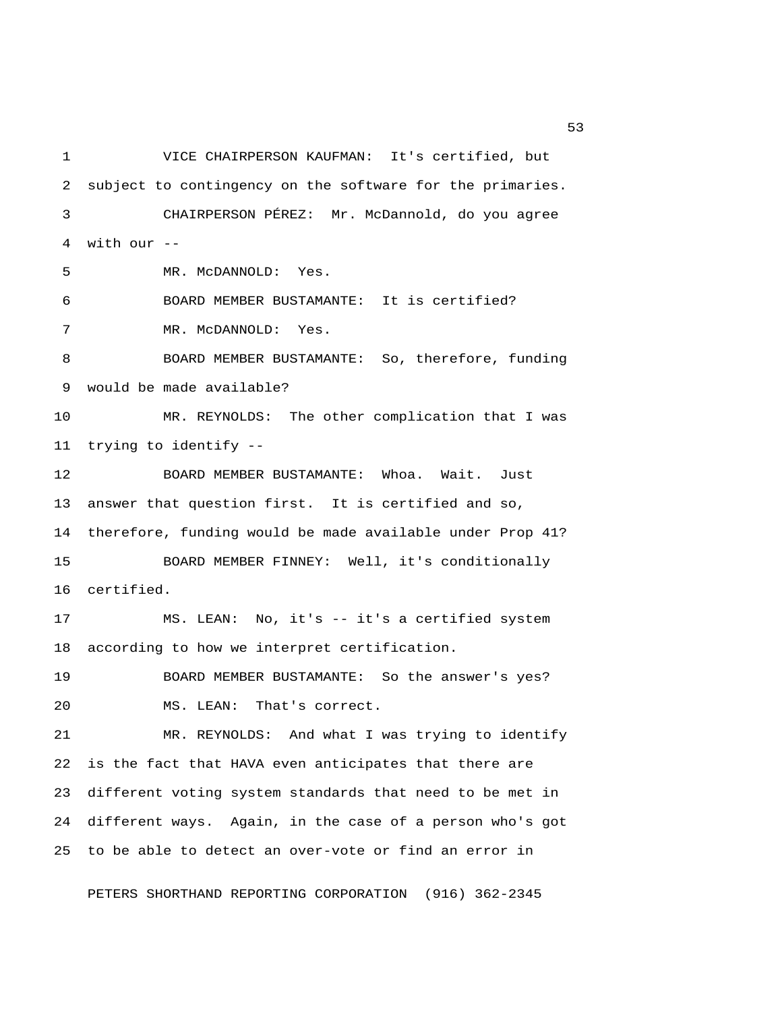1 VICE CHAIRPERSON KAUFMAN: It's certified, but 2 subject to contingency on the software for the primaries. 3 CHAIRPERSON PÉREZ: Mr. McDannold, do you agree 4 with our -- 5 MR. McDANNOLD: Yes. 6 BOARD MEMBER BUSTAMANTE: It is certified? 7 MR. McDANNOLD: Yes. 8 BOARD MEMBER BUSTAMANTE: So, therefore, funding 9 would be made available? 10 MR. REYNOLDS: The other complication that I was 11 trying to identify -- 12 BOARD MEMBER BUSTAMANTE: Whoa. Wait. Just 13 answer that question first. It is certified and so, 14 therefore, funding would be made available under Prop 41? 15 BOARD MEMBER FINNEY: Well, it's conditionally 16 certified. 17 MS. LEAN: No, it's -- it's a certified system 18 according to how we interpret certification. 19 BOARD MEMBER BUSTAMANTE: So the answer's yes? 20 MS. LEAN: That's correct. 21 MR. REYNOLDS: And what I was trying to identify 22 is the fact that HAVA even anticipates that there are 23 different voting system standards that need to be met in 24 different ways. Again, in the case of a person who's got 25 to be able to detect an over-vote or find an error in

PETERS SHORTHAND REPORTING CORPORATION (916) 362-2345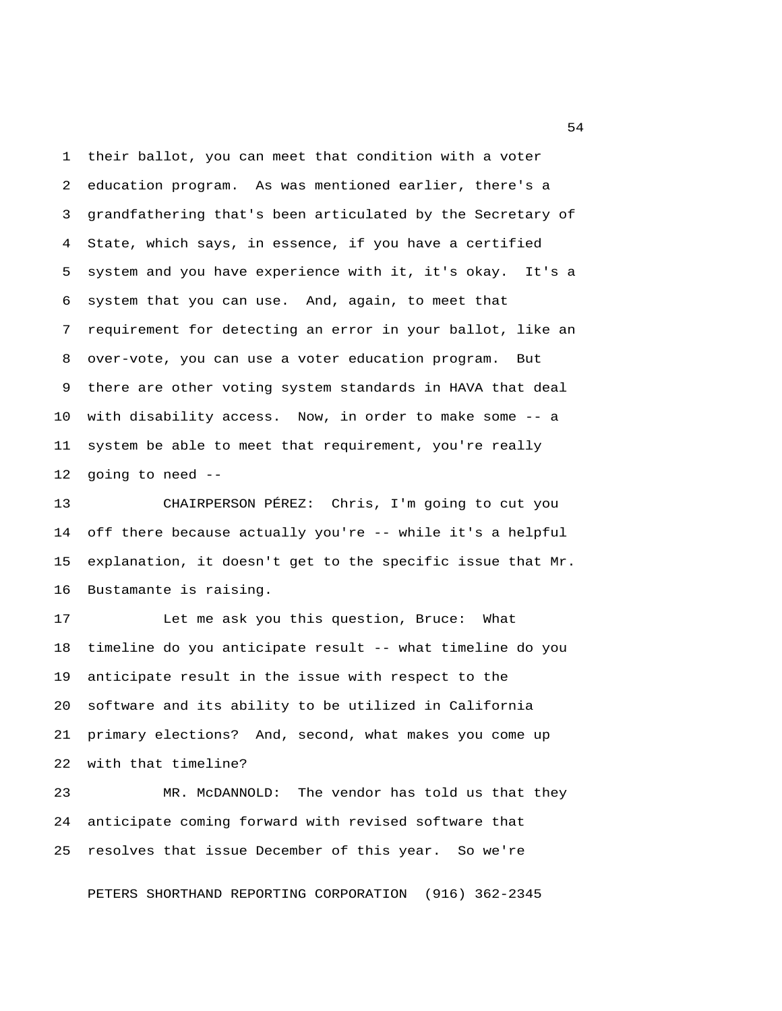1 their ballot, you can meet that condition with a voter 2 education program. As was mentioned earlier, there's a 3 grandfathering that's been articulated by the Secretary of 4 State, which says, in essence, if you have a certified 5 system and you have experience with it, it's okay. It's a 6 system that you can use. And, again, to meet that 7 requirement for detecting an error in your ballot, like an 8 over-vote, you can use a voter education program. But 9 there are other voting system standards in HAVA that deal 10 with disability access. Now, in order to make some -- a 11 system be able to meet that requirement, you're really 12 going to need --

13 CHAIRPERSON PÉREZ: Chris, I'm going to cut you 14 off there because actually you're -- while it's a helpful 15 explanation, it doesn't get to the specific issue that Mr. 16 Bustamante is raising.

17 Let me ask you this question, Bruce: What 18 timeline do you anticipate result -- what timeline do you 19 anticipate result in the issue with respect to the 20 software and its ability to be utilized in California 21 primary elections? And, second, what makes you come up 22 with that timeline?

23 MR. McDANNOLD: The vendor has told us that they 24 anticipate coming forward with revised software that 25 resolves that issue December of this year. So we're

PETERS SHORTHAND REPORTING CORPORATION (916) 362-2345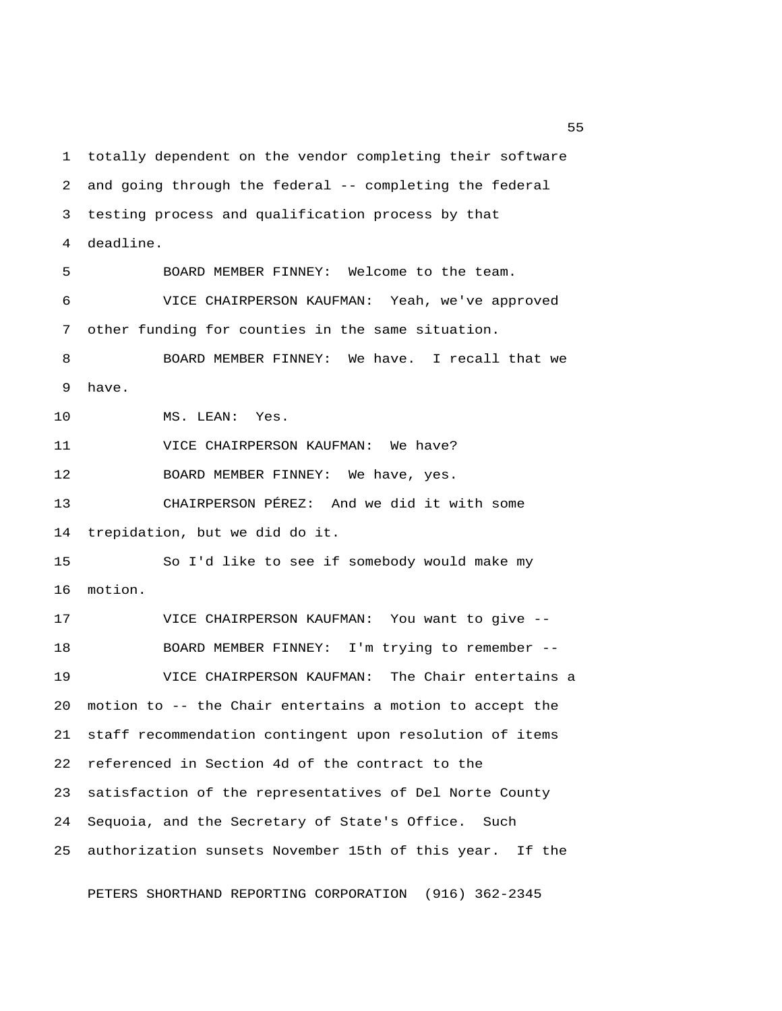1 totally dependent on the vendor completing their software 2 and going through the federal -- completing the federal 3 testing process and qualification process by that 4 deadline. 5 BOARD MEMBER FINNEY: Welcome to the team. 6 VICE CHAIRPERSON KAUFMAN: Yeah, we've approved 7 other funding for counties in the same situation. 8 BOARD MEMBER FINNEY: We have. I recall that we 9 have. 10 MS. LEAN: Yes. 11 VICE CHAIRPERSON KAUFMAN: We have? 12 BOARD MEMBER FINNEY: We have, yes. 13 CHAIRPERSON PÉREZ: And we did it with some 14 trepidation, but we did do it. 15 So I'd like to see if somebody would make my 16 motion. 17 VICE CHAIRPERSON KAUFMAN: You want to give -- 18 BOARD MEMBER FINNEY: I'm trying to remember -- 19 VICE CHAIRPERSON KAUFMAN: The Chair entertains a 20 motion to -- the Chair entertains a motion to accept the 21 staff recommendation contingent upon resolution of items 22 referenced in Section 4d of the contract to the 23 satisfaction of the representatives of Del Norte County 24 Sequoia, and the Secretary of State's Office. Such 25 authorization sunsets November 15th of this year. If the

PETERS SHORTHAND REPORTING CORPORATION (916) 362-2345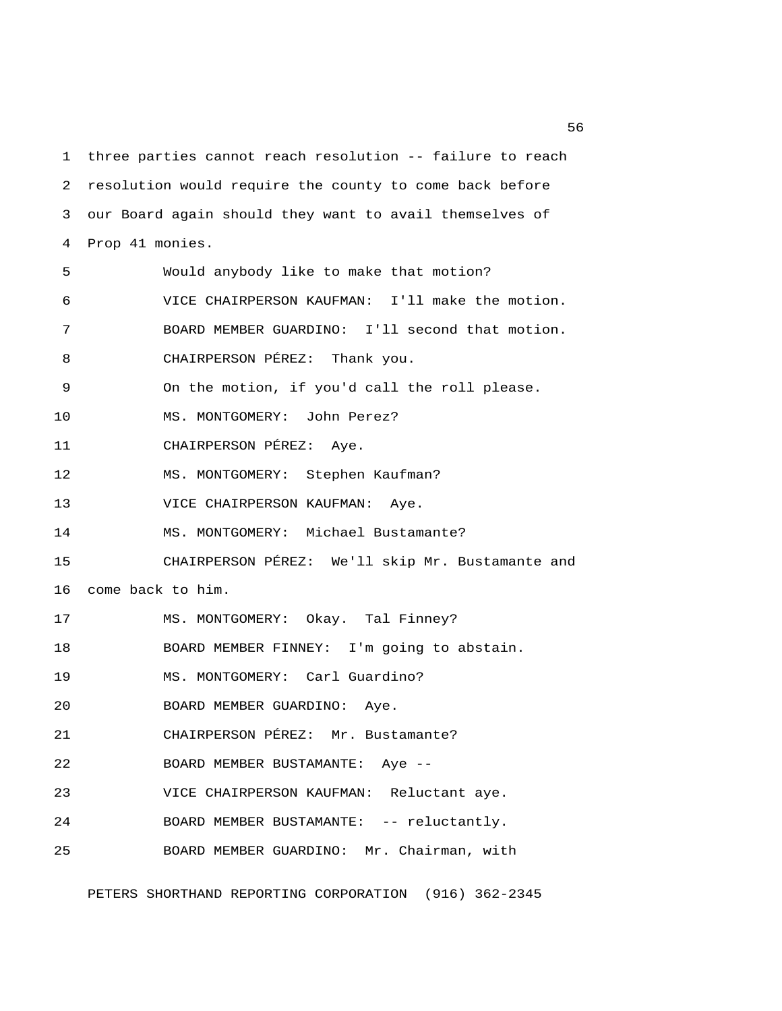1 three parties cannot reach resolution -- failure to reach 2 resolution would require the county to come back before 3 our Board again should they want to avail themselves of 4 Prop 41 monies. 5 Would anybody like to make that motion? 6 VICE CHAIRPERSON KAUFMAN: I'll make the motion. 7 BOARD MEMBER GUARDINO: I'll second that motion. 8 CHAIRPERSON PÉREZ: Thank you. 9 On the motion, if you'd call the roll please. 10 MS. MONTGOMERY: John Perez? 11 CHAIRPERSON PÉREZ: Aye. 12 MS. MONTGOMERY: Stephen Kaufman? 13 VICE CHAIRPERSON KAUFMAN: Aye. 14 MS. MONTGOMERY: Michael Bustamante? 15 CHAIRPERSON PÉREZ: We'll skip Mr. Bustamante and 16 come back to him. 17 MS. MONTGOMERY: Okay. Tal Finney? 18 BOARD MEMBER FINNEY: I'm going to abstain. 19 MS. MONTGOMERY: Carl Guardino? 20 BOARD MEMBER GUARDINO: Aye. 21 CHAIRPERSON PÉREZ: Mr. Bustamante? 22 BOARD MEMBER BUSTAMANTE: Aye -- 23 VICE CHAIRPERSON KAUFMAN: Reluctant aye. 24 BOARD MEMBER BUSTAMANTE: -- reluctantly. 25 BOARD MEMBER GUARDINO: Mr. Chairman, with

PETERS SHORTHAND REPORTING CORPORATION (916) 362-2345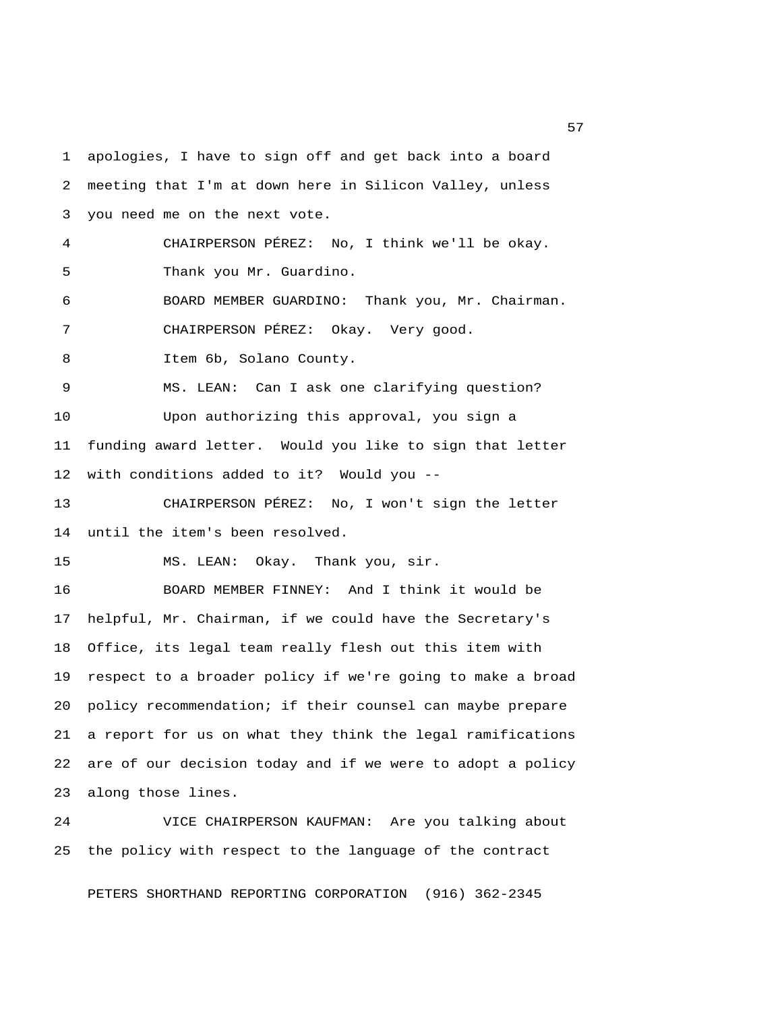1 apologies, I have to sign off and get back into a board 2 meeting that I'm at down here in Silicon Valley, unless 3 you need me on the next vote. 4 CHAIRPERSON PÉREZ: No, I think we'll be okay. 5 Thank you Mr. Guardino. 6 BOARD MEMBER GUARDINO: Thank you, Mr. Chairman. 7 CHAIRPERSON PÉREZ: Okay. Very good. 8 Item 6b, Solano County. 9 MS. LEAN: Can I ask one clarifying question? 10 Upon authorizing this approval, you sign a 11 funding award letter. Would you like to sign that letter 12 with conditions added to it? Would you -- 13 CHAIRPERSON PÉREZ: No, I won't sign the letter 14 until the item's been resolved. 15 MS. LEAN: Okay. Thank you, sir. 16 BOARD MEMBER FINNEY: And I think it would be 17 helpful, Mr. Chairman, if we could have the Secretary's 18 Office, its legal team really flesh out this item with 19 respect to a broader policy if we're going to make a broad 20 policy recommendation; if their counsel can maybe prepare 21 a report for us on what they think the legal ramifications 22 are of our decision today and if we were to adopt a policy 23 along those lines.

24 VICE CHAIRPERSON KAUFMAN: Are you talking about 25 the policy with respect to the language of the contract

PETERS SHORTHAND REPORTING CORPORATION (916) 362-2345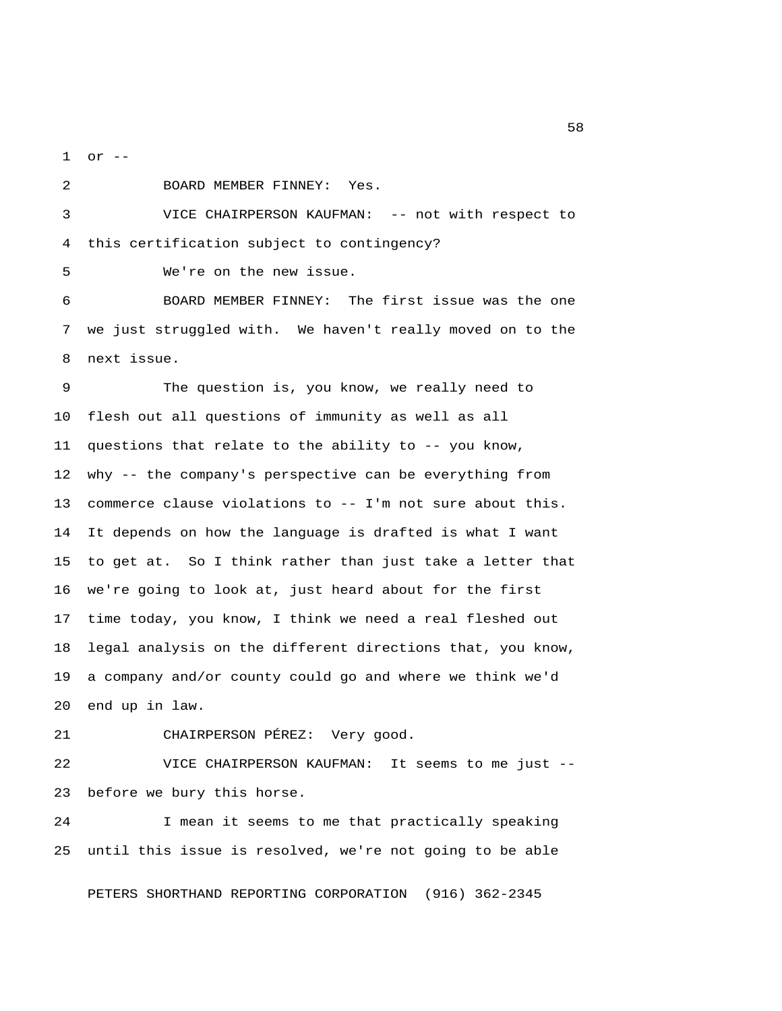1 or --

2 BOARD MEMBER FINNEY: Yes.

 3 VICE CHAIRPERSON KAUFMAN: -- not with respect to 4 this certification subject to contingency?

5 We're on the new issue.

 6 BOARD MEMBER FINNEY: The first issue was the one 7 we just struggled with. We haven't really moved on to the 8 next issue.

 9 The question is, you know, we really need to 10 flesh out all questions of immunity as well as all 11 questions that relate to the ability to -- you know, 12 why -- the company's perspective can be everything from 13 commerce clause violations to -- I'm not sure about this. 14 It depends on how the language is drafted is what I want 15 to get at. So I think rather than just take a letter that 16 we're going to look at, just heard about for the first 17 time today, you know, I think we need a real fleshed out 18 legal analysis on the different directions that, you know, 19 a company and/or county could go and where we think we'd 20 end up in law.

21 CHAIRPERSON PÉREZ: Very good.

22 VICE CHAIRPERSON KAUFMAN: It seems to me just -- 23 before we bury this horse.

24 I mean it seems to me that practically speaking 25 until this issue is resolved, we're not going to be able

PETERS SHORTHAND REPORTING CORPORATION (916) 362-2345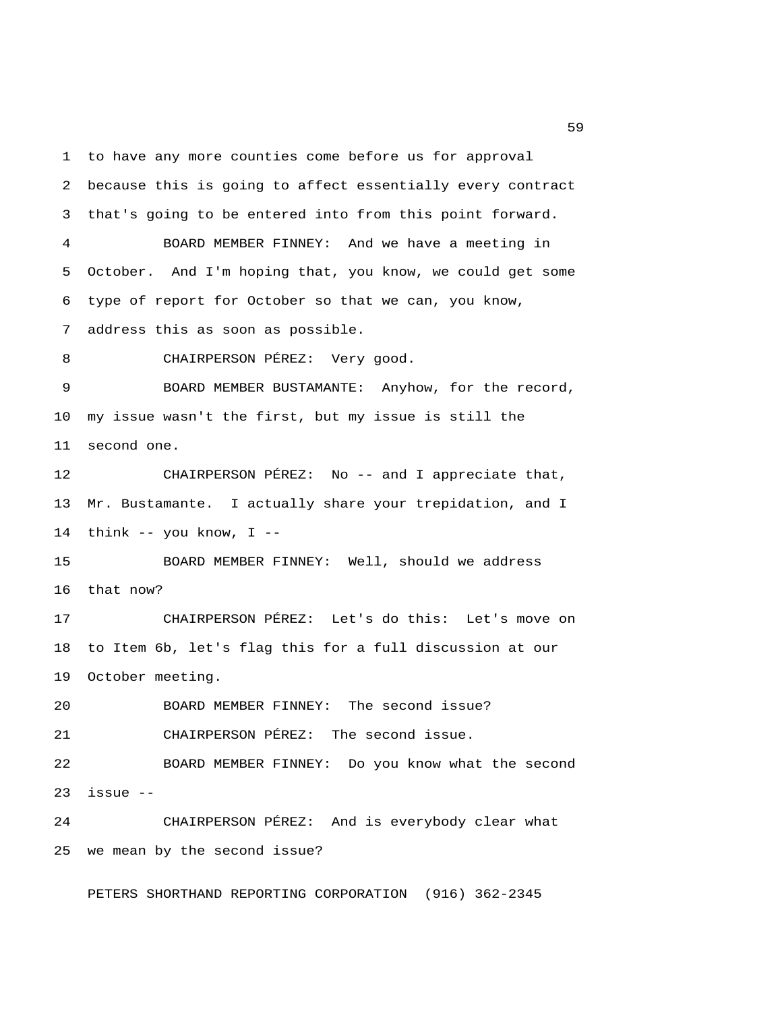1 to have any more counties come before us for approval 2 because this is going to affect essentially every contract 3 that's going to be entered into from this point forward. 4 BOARD MEMBER FINNEY: And we have a meeting in 5 October. And I'm hoping that, you know, we could get some 6 type of report for October so that we can, you know, 7 address this as soon as possible. 8 CHAIRPERSON PÉREZ: Very good. 9 BOARD MEMBER BUSTAMANTE: Anyhow, for the record, 10 my issue wasn't the first, but my issue is still the 11 second one. 12 CHAIRPERSON PÉREZ: No -- and I appreciate that, 13 Mr. Bustamante. I actually share your trepidation, and I 14 think  $-$ - you know, I  $-$ 15 BOARD MEMBER FINNEY: Well, should we address 16 that now? 17 CHAIRPERSON PÉREZ: Let's do this: Let's move on 18 to Item 6b, let's flag this for a full discussion at our 19 October meeting. 20 BOARD MEMBER FINNEY: The second issue? 21 CHAIRPERSON PÉREZ: The second issue. 22 BOARD MEMBER FINNEY: Do you know what the second  $23$  issue  $-$ 24 CHAIRPERSON PÉREZ: And is everybody clear what 25 we mean by the second issue?

PETERS SHORTHAND REPORTING CORPORATION (916) 362-2345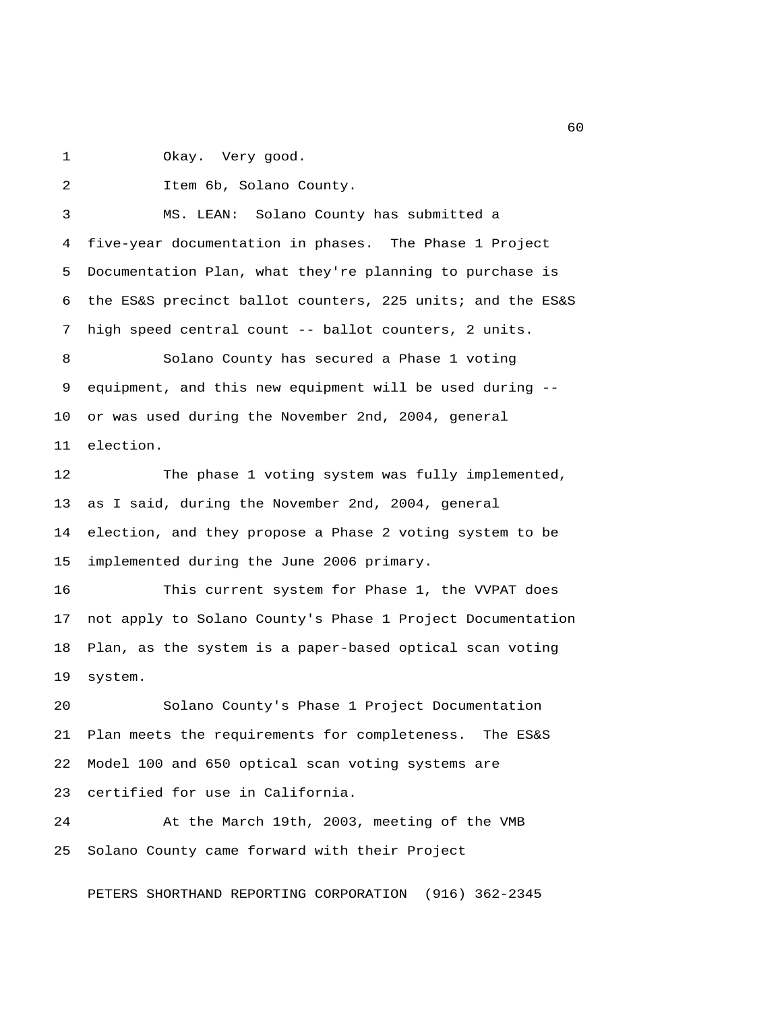1 Okay. Very good.

2 Item 6b, Solano County.

 3 MS. LEAN: Solano County has submitted a 4 five-year documentation in phases. The Phase 1 Project 5 Documentation Plan, what they're planning to purchase is 6 the ES&S precinct ballot counters, 225 units; and the ES&S 7 high speed central count -- ballot counters, 2 units. 8 Solano County has secured a Phase 1 voting 9 equipment, and this new equipment will be used during -- 10 or was used during the November 2nd, 2004, general 11 election. 12 The phase 1 voting system was fully implemented, 13 as I said, during the November 2nd, 2004, general 14 election, and they propose a Phase 2 voting system to be 15 implemented during the June 2006 primary.

16 This current system for Phase 1, the VVPAT does 17 not apply to Solano County's Phase 1 Project Documentation 18 Plan, as the system is a paper-based optical scan voting 19 system.

20 Solano County's Phase 1 Project Documentation 21 Plan meets the requirements for completeness. The ES&S 22 Model 100 and 650 optical scan voting systems are 23 certified for use in California.

24 At the March 19th, 2003, meeting of the VMB 25 Solano County came forward with their Project

PETERS SHORTHAND REPORTING CORPORATION (916) 362-2345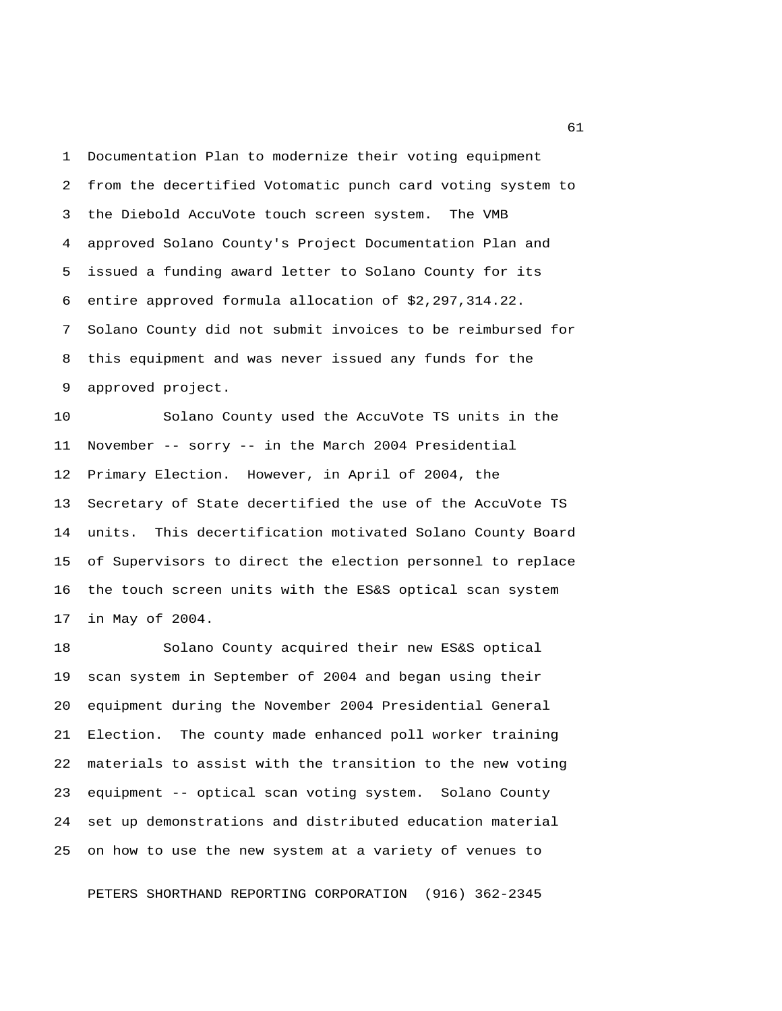1 Documentation Plan to modernize their voting equipment 2 from the decertified Votomatic punch card voting system to 3 the Diebold AccuVote touch screen system. The VMB 4 approved Solano County's Project Documentation Plan and 5 issued a funding award letter to Solano County for its 6 entire approved formula allocation of \$2,297,314.22. 7 Solano County did not submit invoices to be reimbursed for 8 this equipment and was never issued any funds for the 9 approved project.

10 Solano County used the AccuVote TS units in the 11 November -- sorry -- in the March 2004 Presidential 12 Primary Election. However, in April of 2004, the 13 Secretary of State decertified the use of the AccuVote TS 14 units. This decertification motivated Solano County Board 15 of Supervisors to direct the election personnel to replace 16 the touch screen units with the ES&S optical scan system 17 in May of 2004.

18 Solano County acquired their new ES&S optical 19 scan system in September of 2004 and began using their 20 equipment during the November 2004 Presidential General 21 Election. The county made enhanced poll worker training 22 materials to assist with the transition to the new voting 23 equipment -- optical scan voting system. Solano County 24 set up demonstrations and distributed education material 25 on how to use the new system at a variety of venues to

PETERS SHORTHAND REPORTING CORPORATION (916) 362-2345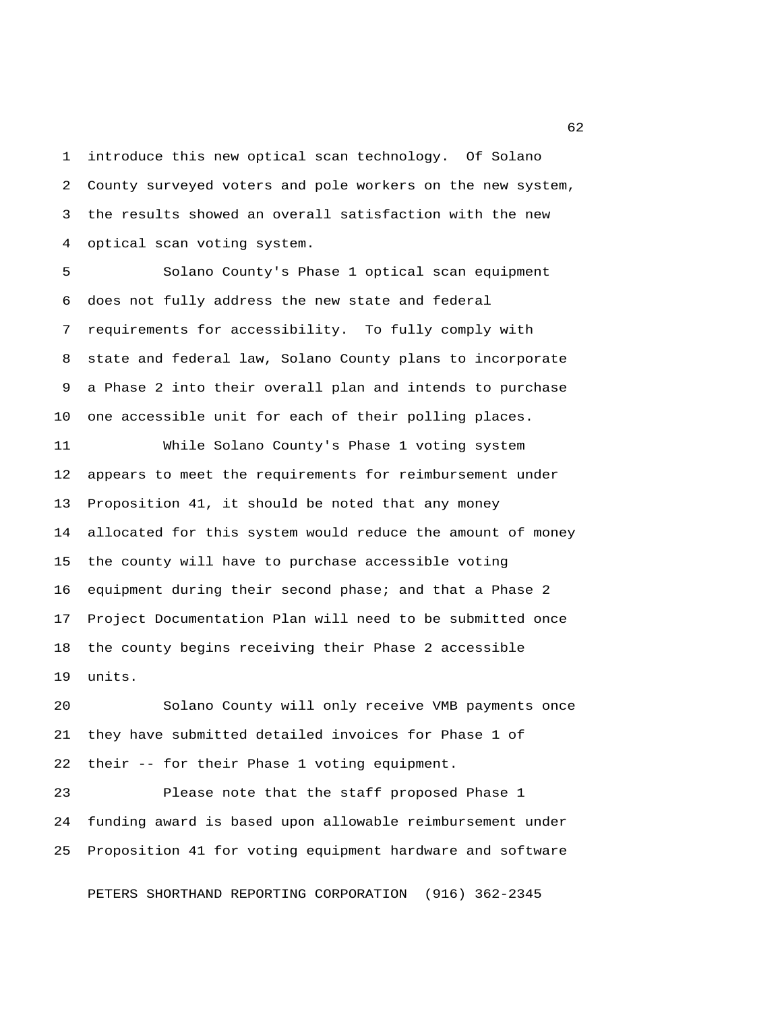1 introduce this new optical scan technology. Of Solano 2 County surveyed voters and pole workers on the new system, 3 the results showed an overall satisfaction with the new 4 optical scan voting system.

 5 Solano County's Phase 1 optical scan equipment 6 does not fully address the new state and federal 7 requirements for accessibility. To fully comply with 8 state and federal law, Solano County plans to incorporate 9 a Phase 2 into their overall plan and intends to purchase 10 one accessible unit for each of their polling places.

11 While Solano County's Phase 1 voting system 12 appears to meet the requirements for reimbursement under 13 Proposition 41, it should be noted that any money 14 allocated for this system would reduce the amount of money 15 the county will have to purchase accessible voting 16 equipment during their second phase; and that a Phase 2 17 Project Documentation Plan will need to be submitted once 18 the county begins receiving their Phase 2 accessible 19 units.

20 Solano County will only receive VMB payments once 21 they have submitted detailed invoices for Phase 1 of 22 their -- for their Phase 1 voting equipment.

23 Please note that the staff proposed Phase 1 24 funding award is based upon allowable reimbursement under 25 Proposition 41 for voting equipment hardware and software

PETERS SHORTHAND REPORTING CORPORATION (916) 362-2345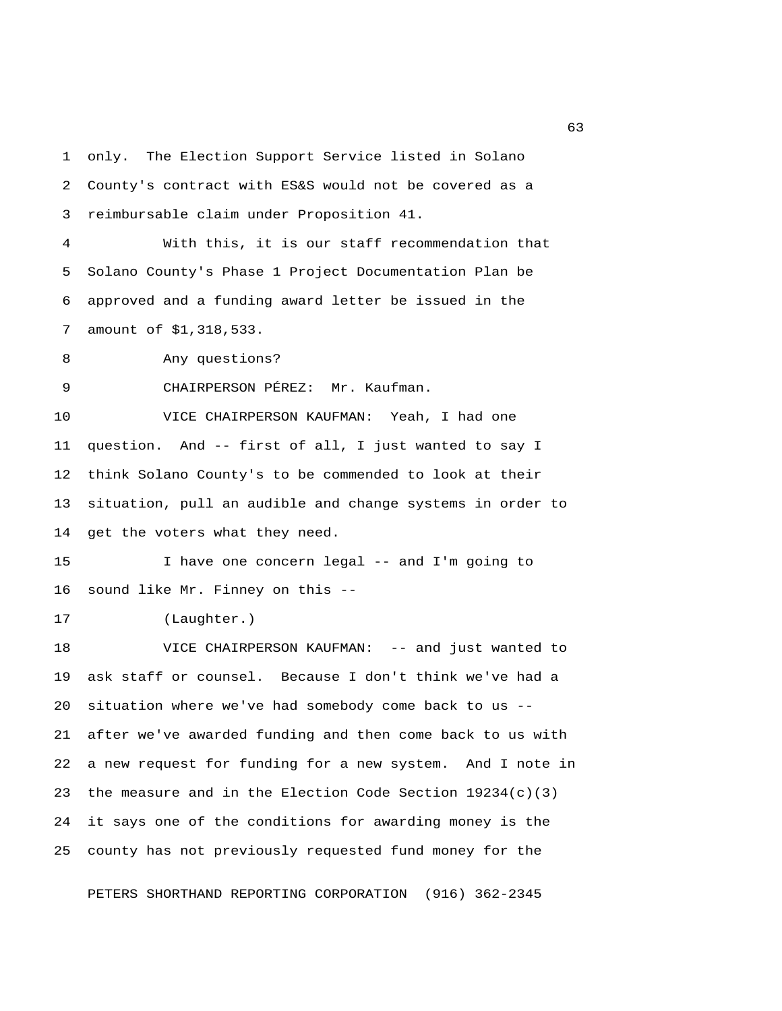1 only. The Election Support Service listed in Solano 2 County's contract with ES&S would not be covered as a 3 reimbursable claim under Proposition 41. 4 With this, it is our staff recommendation that 5 Solano County's Phase 1 Project Documentation Plan be 6 approved and a funding award letter be issued in the 7 amount of \$1,318,533. 8 Any questions? 9 CHAIRPERSON PÉREZ: Mr. Kaufman. 10 VICE CHAIRPERSON KAUFMAN: Yeah, I had one 11 question. And -- first of all, I just wanted to say I 12 think Solano County's to be commended to look at their 13 situation, pull an audible and change systems in order to 14 get the voters what they need. 15 I have one concern legal -- and I'm going to 16 sound like Mr. Finney on this -- 17 (Laughter.) 18 VICE CHAIRPERSON KAUFMAN: -- and just wanted to 19 ask staff or counsel. Because I don't think we've had a 20 situation where we've had somebody come back to us -- 21 after we've awarded funding and then come back to us with 22 a new request for funding for a new system. And I note in 23 the measure and in the Election Code Section  $19234(c)(3)$ 24 it says one of the conditions for awarding money is the 25 county has not previously requested fund money for the

PETERS SHORTHAND REPORTING CORPORATION (916) 362-2345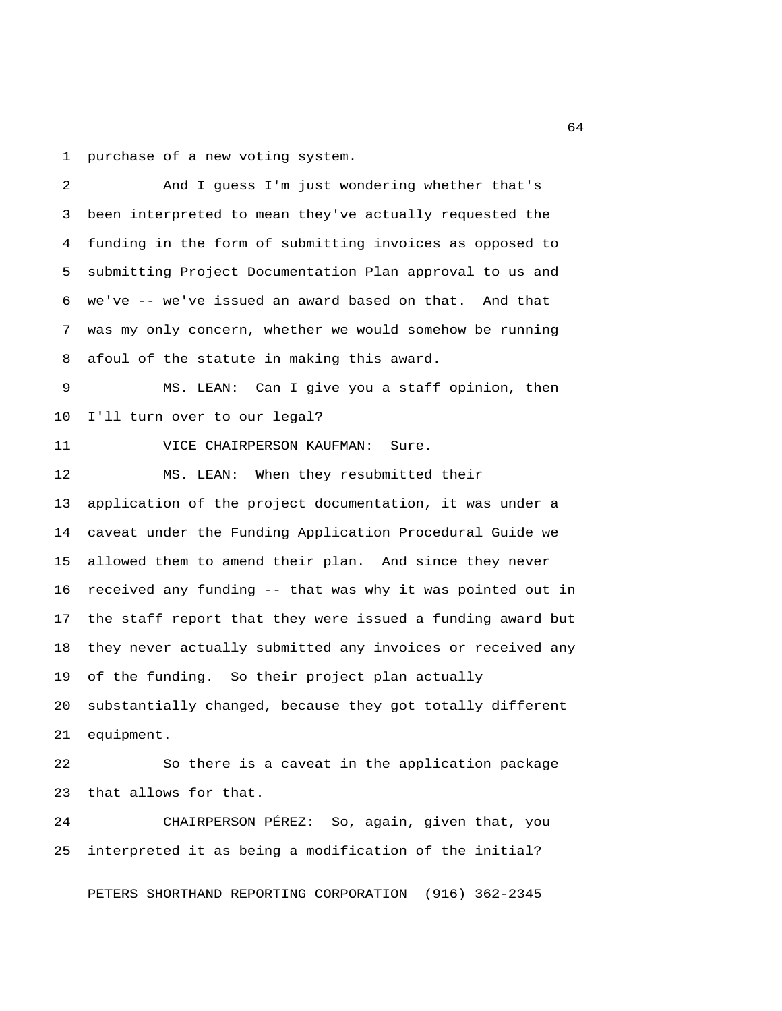1 purchase of a new voting system.

 2 And I guess I'm just wondering whether that's 3 been interpreted to mean they've actually requested the 4 funding in the form of submitting invoices as opposed to 5 submitting Project Documentation Plan approval to us and 6 we've -- we've issued an award based on that. And that 7 was my only concern, whether we would somehow be running 8 afoul of the statute in making this award. 9 MS. LEAN: Can I give you a staff opinion, then 10 I'll turn over to our legal? 11 VICE CHAIRPERSON KAUFMAN: Sure. 12 MS. LEAN: When they resubmitted their 13 application of the project documentation, it was under a 14 caveat under the Funding Application Procedural Guide we 15 allowed them to amend their plan. And since they never 16 received any funding -- that was why it was pointed out in 17 the staff report that they were issued a funding award but 18 they never actually submitted any invoices or received any 19 of the funding. So their project plan actually 20 substantially changed, because they got totally different 21 equipment. 22 So there is a caveat in the application package 23 that allows for that. 24 CHAIRPERSON PÉREZ: So, again, given that, you 25 interpreted it as being a modification of the initial? PETERS SHORTHAND REPORTING CORPORATION (916) 362-2345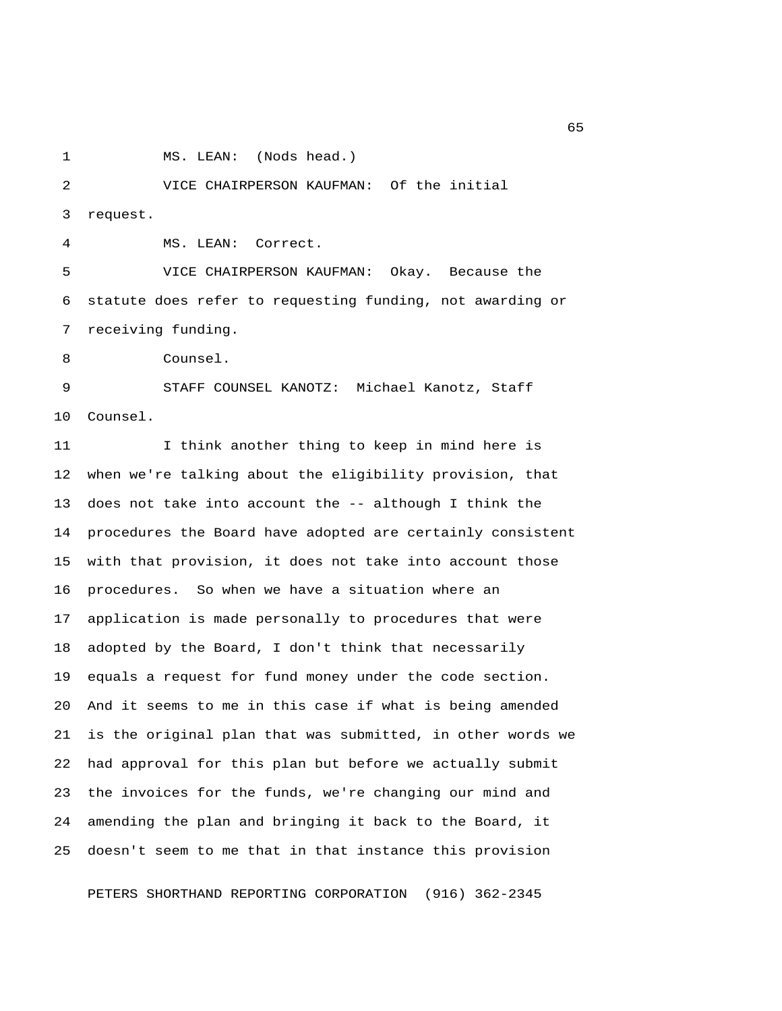1 MS. LEAN: (Nods head.)

 2 VICE CHAIRPERSON KAUFMAN: Of the initial 3 request.

4 MS. LEAN: Correct.

 5 VICE CHAIRPERSON KAUFMAN: Okay. Because the 6 statute does refer to requesting funding, not awarding or 7 receiving funding.

8 Counsel.

 9 STAFF COUNSEL KANOTZ: Michael Kanotz, Staff 10 Counsel.

11 I think another thing to keep in mind here is 12 when we're talking about the eligibility provision, that 13 does not take into account the -- although I think the 14 procedures the Board have adopted are certainly consistent 15 with that provision, it does not take into account those 16 procedures. So when we have a situation where an 17 application is made personally to procedures that were 18 adopted by the Board, I don't think that necessarily 19 equals a request for fund money under the code section. 20 And it seems to me in this case if what is being amended 21 is the original plan that was submitted, in other words we 22 had approval for this plan but before we actually submit 23 the invoices for the funds, we're changing our mind and 24 amending the plan and bringing it back to the Board, it 25 doesn't seem to me that in that instance this provision

PETERS SHORTHAND REPORTING CORPORATION (916) 362-2345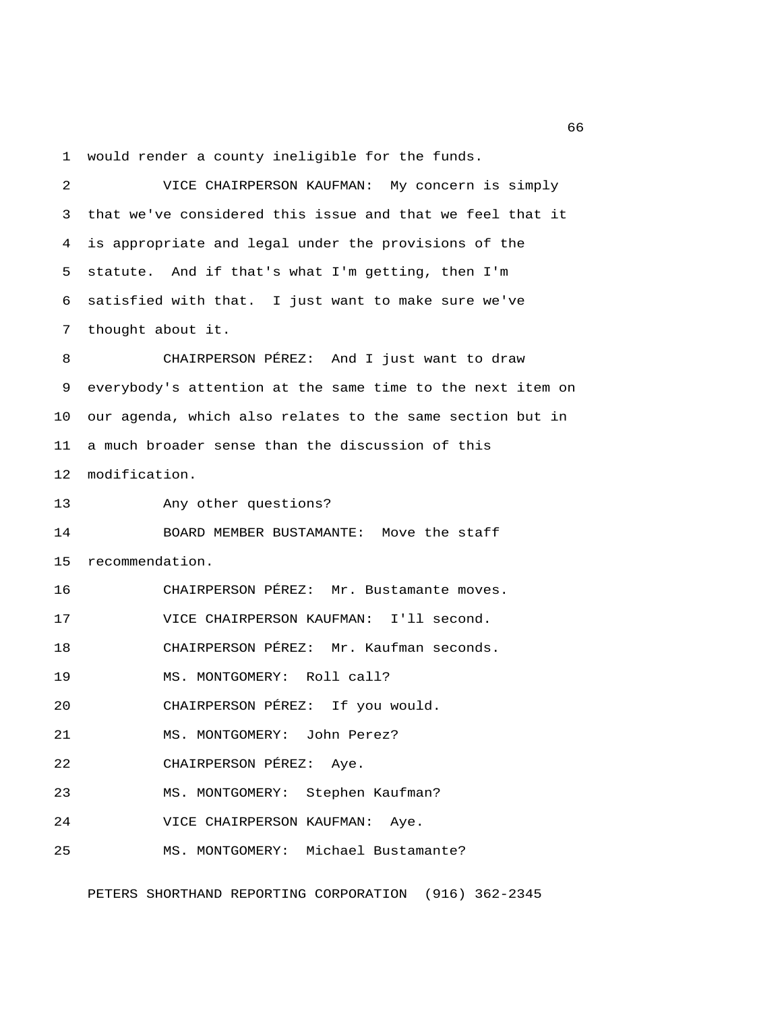1 would render a county ineligible for the funds.

| 2  | VICE CHAIRPERSON KAUFMAN: My concern is simply             |
|----|------------------------------------------------------------|
| 3  | that we've considered this issue and that we feel that it  |
| 4  | is appropriate and legal under the provisions of the       |
| 5  | statute. And if that's what I'm getting, then I'm          |
| 6  | satisfied with that. I just want to make sure we've        |
| 7  | thought about it.                                          |
| 8  | CHAIRPERSON PÉREZ: And I just want to draw                 |
| 9  | everybody's attention at the same time to the next item on |
| 10 | our agenda, which also relates to the same section but in  |
| 11 | a much broader sense than the discussion of this           |
| 12 | modification.                                              |
| 13 | Any other questions?                                       |
| 14 | BOARD MEMBER BUSTAMANTE: Move the staff                    |
| 15 | recommendation.                                            |
| 16 | CHAIRPERSON PÉREZ: Mr. Bustamante moves.                   |
| 17 | VICE CHAIRPERSON KAUFMAN: I'll second.                     |
| 18 | CHAIRPERSON PÉREZ: Mr. Kaufman seconds.                    |
| 19 | MS. MONTGOMERY: Roll call?                                 |
| 20 | CHAIRPERSON PÉREZ: If you would.                           |
| 21 | MS. MONTGOMERY: John Perez?                                |
| 22 | CHAIRPERSON PÉREZ:<br>Aye.                                 |
| 23 | Stephen Kaufman?<br>MS. MONTGOMERY:                        |
| 24 | VICE CHAIRPERSON KAUFMAN:<br>Aye.                          |
| 25 | Michael Bustamante?<br>MS. MONTGOMERY:                     |

PETERS SHORTHAND REPORTING CORPORATION (916) 362-2345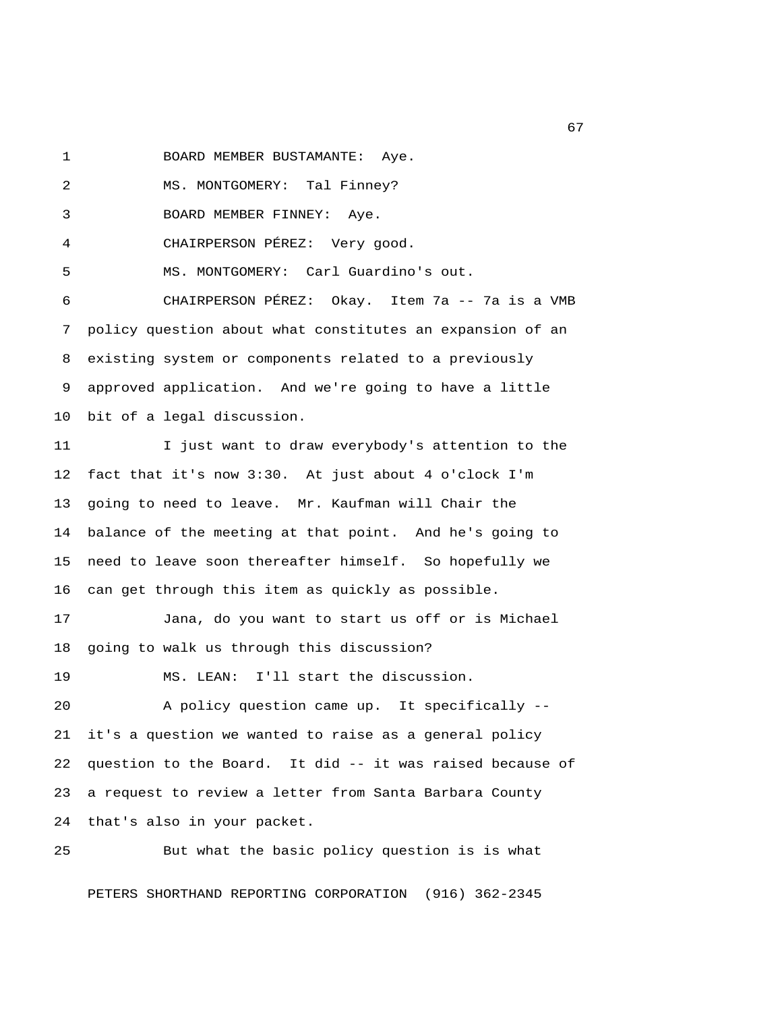1 BOARD MEMBER BUSTAMANTE: Aye.

2 MS. MONTGOMERY: Tal Finney?

3 BOARD MEMBER FINNEY: Aye.

4 CHAIRPERSON PÉREZ: Very good.

5 MS. MONTGOMERY: Carl Guardino's out.

 6 CHAIRPERSON PÉREZ: Okay. Item 7a -- 7a is a VMB 7 policy question about what constitutes an expansion of an 8 existing system or components related to a previously 9 approved application. And we're going to have a little 10 bit of a legal discussion.

11 I just want to draw everybody's attention to the 12 fact that it's now 3:30. At just about 4 o'clock I'm 13 going to need to leave. Mr. Kaufman will Chair the 14 balance of the meeting at that point. And he's going to 15 need to leave soon thereafter himself. So hopefully we 16 can get through this item as quickly as possible.

17 Jana, do you want to start us off or is Michael 18 going to walk us through this discussion?

19 MS. LEAN: I'll start the discussion.

20 A policy question came up. It specifically -- 21 it's a question we wanted to raise as a general policy 22 question to the Board. It did -- it was raised because of 23 a request to review a letter from Santa Barbara County 24 that's also in your packet.

25 But what the basic policy question is is what PETERS SHORTHAND REPORTING CORPORATION (916) 362-2345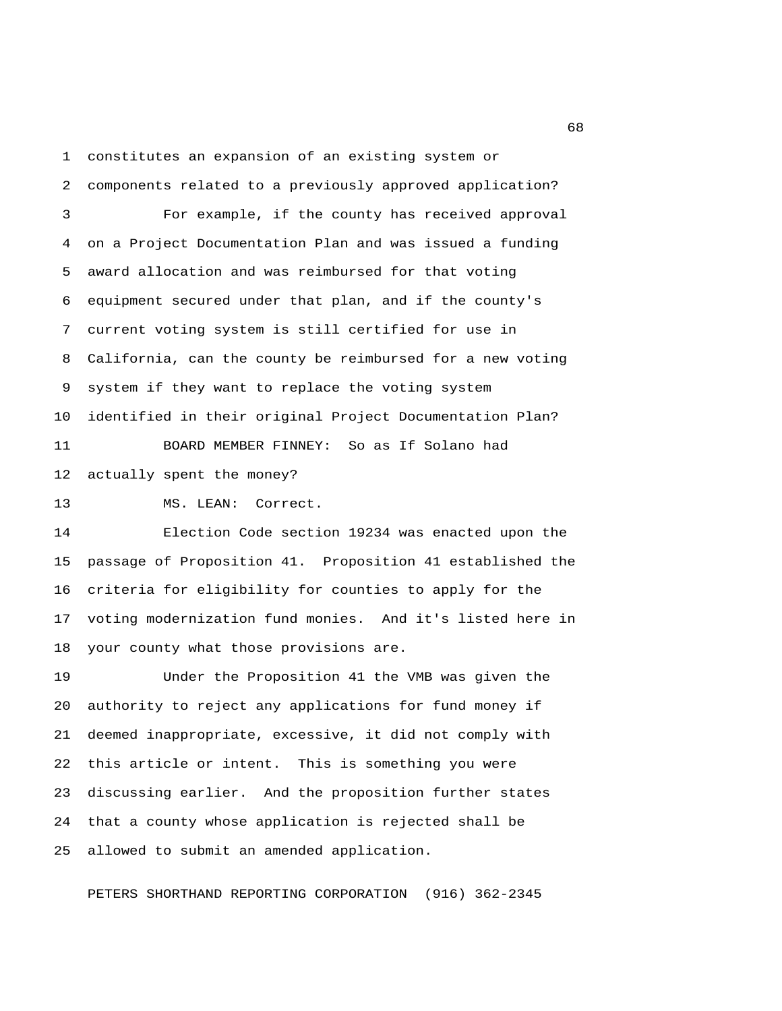1 constitutes an expansion of an existing system or

 2 components related to a previously approved application? 3 For example, if the county has received approval 4 on a Project Documentation Plan and was issued a funding 5 award allocation and was reimbursed for that voting 6 equipment secured under that plan, and if the county's 7 current voting system is still certified for use in 8 California, can the county be reimbursed for a new voting 9 system if they want to replace the voting system 10 identified in their original Project Documentation Plan? 11 BOARD MEMBER FINNEY: So as If Solano had

12 actually spent the money?

13 MS. LEAN: Correct.

14 Election Code section 19234 was enacted upon the 15 passage of Proposition 41. Proposition 41 established the 16 criteria for eligibility for counties to apply for the 17 voting modernization fund monies. And it's listed here in 18 your county what those provisions are.

19 Under the Proposition 41 the VMB was given the 20 authority to reject any applications for fund money if 21 deemed inappropriate, excessive, it did not comply with 22 this article or intent. This is something you were 23 discussing earlier. And the proposition further states 24 that a county whose application is rejected shall be 25 allowed to submit an amended application.

PETERS SHORTHAND REPORTING CORPORATION (916) 362-2345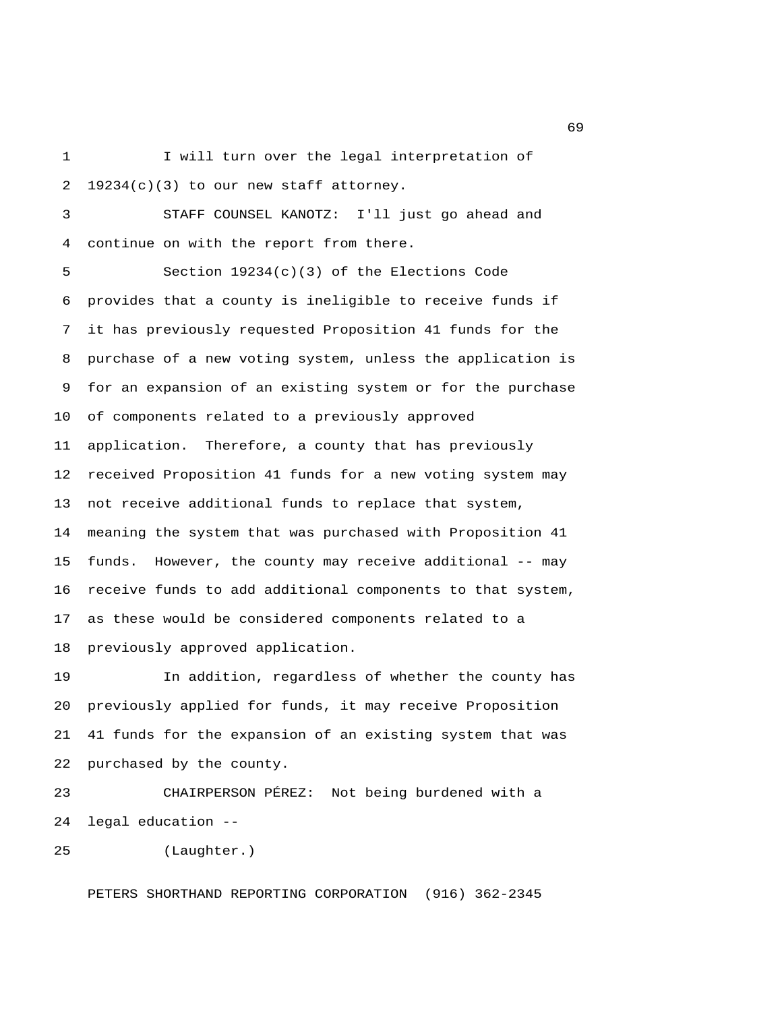1 I will turn over the legal interpretation of 2 19234(c)(3) to our new staff attorney.

 3 STAFF COUNSEL KANOTZ: I'll just go ahead and 4 continue on with the report from there.

 5 Section 19234(c)(3) of the Elections Code 6 provides that a county is ineligible to receive funds if 7 it has previously requested Proposition 41 funds for the 8 purchase of a new voting system, unless the application is 9 for an expansion of an existing system or for the purchase 10 of components related to a previously approved 11 application. Therefore, a county that has previously 12 received Proposition 41 funds for a new voting system may 13 not receive additional funds to replace that system, 14 meaning the system that was purchased with Proposition 41 15 funds. However, the county may receive additional -- may 16 receive funds to add additional components to that system, 17 as these would be considered components related to a 18 previously approved application.

19 In addition, regardless of whether the county has 20 previously applied for funds, it may receive Proposition 21 41 funds for the expansion of an existing system that was 22 purchased by the county.

23 CHAIRPERSON PÉREZ: Not being burdened with a 24 legal education --

25 (Laughter.)

PETERS SHORTHAND REPORTING CORPORATION (916) 362-2345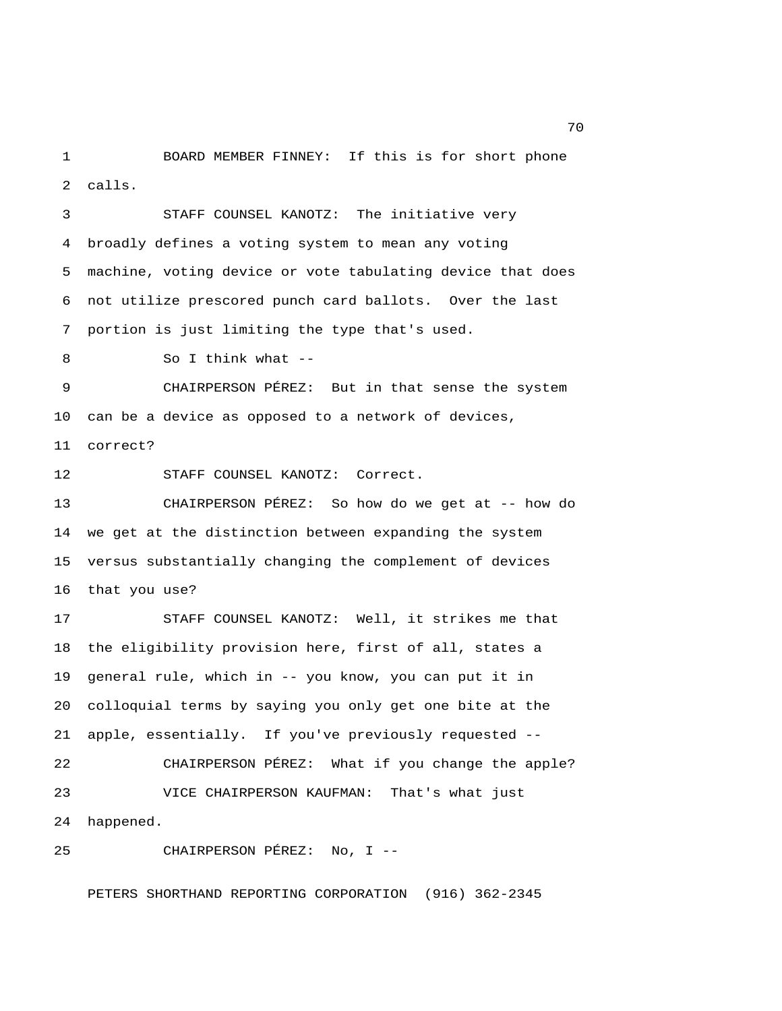1 BOARD MEMBER FINNEY: If this is for short phone 2 calls.

 3 STAFF COUNSEL KANOTZ: The initiative very 4 broadly defines a voting system to mean any voting 5 machine, voting device or vote tabulating device that does 6 not utilize prescored punch card ballots. Over the last 7 portion is just limiting the type that's used. 8 So I think what -- 9 CHAIRPERSON PÉREZ: But in that sense the system 10 can be a device as opposed to a network of devices, 11 correct? 12 STAFF COUNSEL KANOTZ: Correct. 13 CHAIRPERSON PÉREZ: So how do we get at -- how do 14 we get at the distinction between expanding the system 15 versus substantially changing the complement of devices 16 that you use? 17 STAFF COUNSEL KANOTZ: Well, it strikes me that 18 the eligibility provision here, first of all, states a 19 general rule, which in -- you know, you can put it in 20 colloquial terms by saying you only get one bite at the 21 apple, essentially. If you've previously requested -- 22 CHAIRPERSON PÉREZ: What if you change the apple? 23 VICE CHAIRPERSON KAUFMAN: That's what just 24 happened.

25 CHAIRPERSON PÉREZ: No, I --

PETERS SHORTHAND REPORTING CORPORATION (916) 362-2345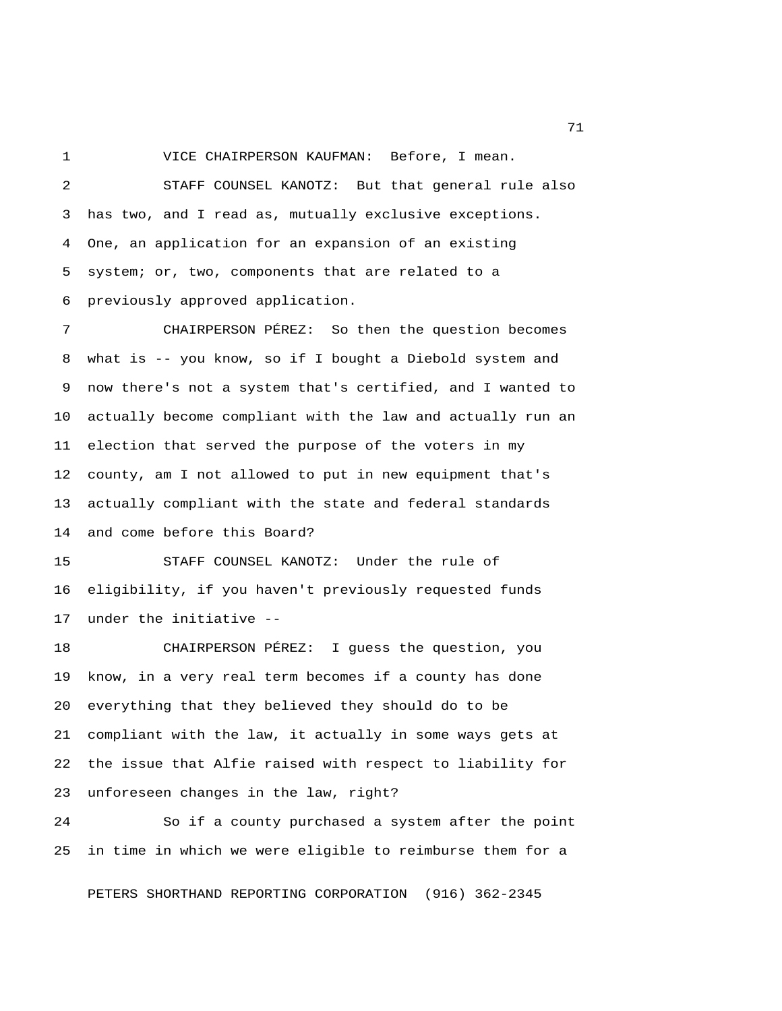1 VICE CHAIRPERSON KAUFMAN: Before, I mean. 2 STAFF COUNSEL KANOTZ: But that general rule also 3 has two, and I read as, mutually exclusive exceptions. 4 One, an application for an expansion of an existing 5 system; or, two, components that are related to a 6 previously approved application.

 7 CHAIRPERSON PÉREZ: So then the question becomes 8 what is -- you know, so if I bought a Diebold system and 9 now there's not a system that's certified, and I wanted to 10 actually become compliant with the law and actually run an 11 election that served the purpose of the voters in my 12 county, am I not allowed to put in new equipment that's 13 actually compliant with the state and federal standards 14 and come before this Board?

15 STAFF COUNSEL KANOTZ: Under the rule of 16 eligibility, if you haven't previously requested funds 17 under the initiative --

18 CHAIRPERSON PÉREZ: I guess the question, you 19 know, in a very real term becomes if a county has done 20 everything that they believed they should do to be 21 compliant with the law, it actually in some ways gets at 22 the issue that Alfie raised with respect to liability for 23 unforeseen changes in the law, right?

24 So if a county purchased a system after the point 25 in time in which we were eligible to reimburse them for a

PETERS SHORTHAND REPORTING CORPORATION (916) 362-2345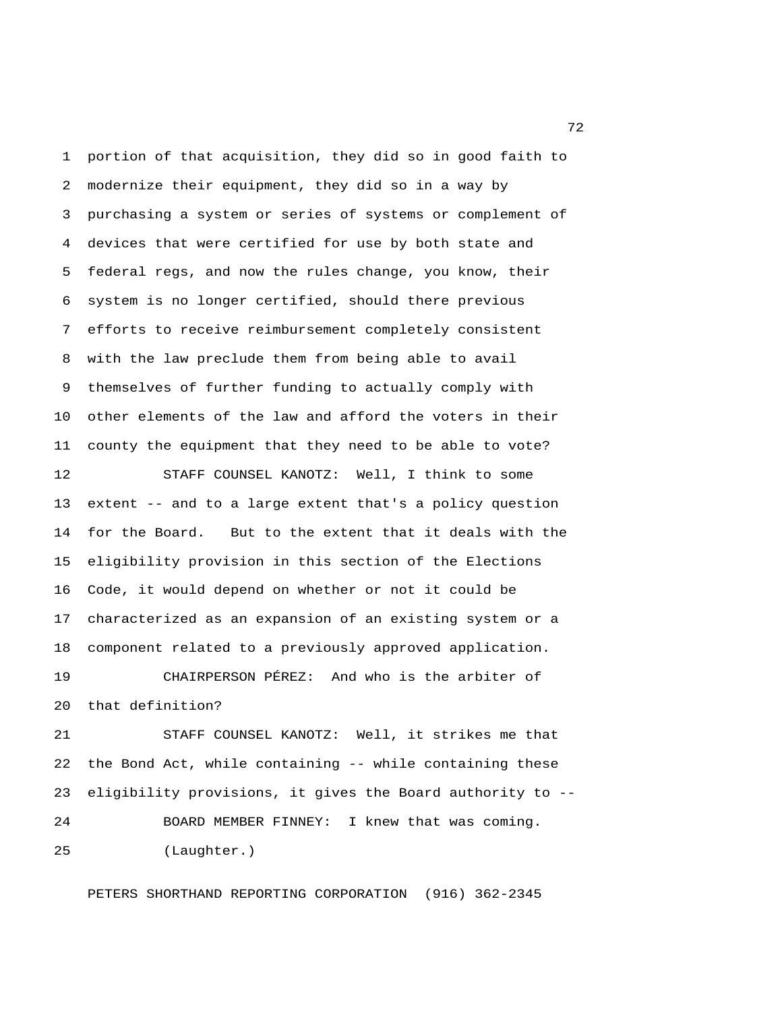1 portion of that acquisition, they did so in good faith to 2 modernize their equipment, they did so in a way by 3 purchasing a system or series of systems or complement of 4 devices that were certified for use by both state and 5 federal regs, and now the rules change, you know, their 6 system is no longer certified, should there previous 7 efforts to receive reimbursement completely consistent 8 with the law preclude them from being able to avail 9 themselves of further funding to actually comply with 10 other elements of the law and afford the voters in their 11 county the equipment that they need to be able to vote?

12 STAFF COUNSEL KANOTZ: Well, I think to some 13 extent -- and to a large extent that's a policy question 14 for the Board. But to the extent that it deals with the 15 eligibility provision in this section of the Elections 16 Code, it would depend on whether or not it could be 17 characterized as an expansion of an existing system or a 18 component related to a previously approved application.

19 CHAIRPERSON PÉREZ: And who is the arbiter of 20 that definition?

21 STAFF COUNSEL KANOTZ: Well, it strikes me that 22 the Bond Act, while containing -- while containing these 23 eligibility provisions, it gives the Board authority to -- 24 BOARD MEMBER FINNEY: I knew that was coming. 25 (Laughter.)

PETERS SHORTHAND REPORTING CORPORATION (916) 362-2345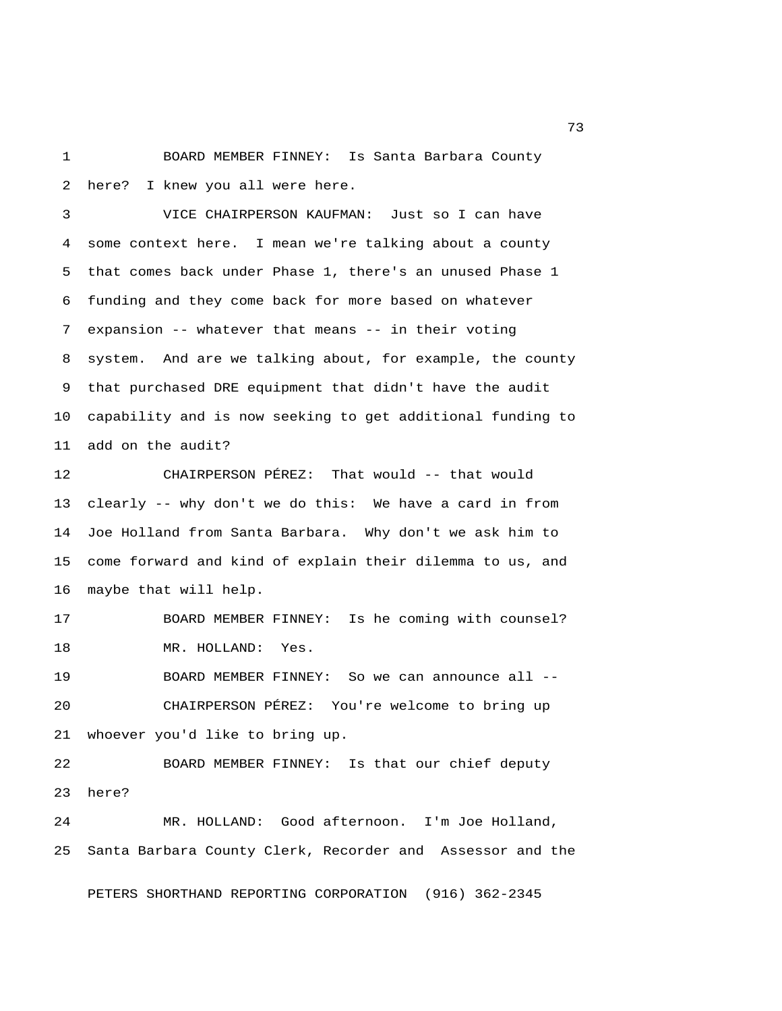1 BOARD MEMBER FINNEY: Is Santa Barbara County 2 here? I knew you all were here.

 3 VICE CHAIRPERSON KAUFMAN: Just so I can have 4 some context here. I mean we're talking about a county 5 that comes back under Phase 1, there's an unused Phase 1 6 funding and they come back for more based on whatever 7 expansion -- whatever that means -- in their voting 8 system. And are we talking about, for example, the county 9 that purchased DRE equipment that didn't have the audit 10 capability and is now seeking to get additional funding to 11 add on the audit?

12 CHAIRPERSON PÉREZ: That would -- that would 13 clearly -- why don't we do this: We have a card in from 14 Joe Holland from Santa Barbara. Why don't we ask him to 15 come forward and kind of explain their dilemma to us, and 16 maybe that will help.

17 BOARD MEMBER FINNEY: Is he coming with counsel? 18 MR. HOLLAND: Yes.

19 BOARD MEMBER FINNEY: So we can announce all -- 20 CHAIRPERSON PÉREZ: You're welcome to bring up 21 whoever you'd like to bring up.

22 BOARD MEMBER FINNEY: Is that our chief deputy 23 here?

24 MR. HOLLAND: Good afternoon. I'm Joe Holland, 25 Santa Barbara County Clerk, Recorder and Assessor and the

PETERS SHORTHAND REPORTING CORPORATION (916) 362-2345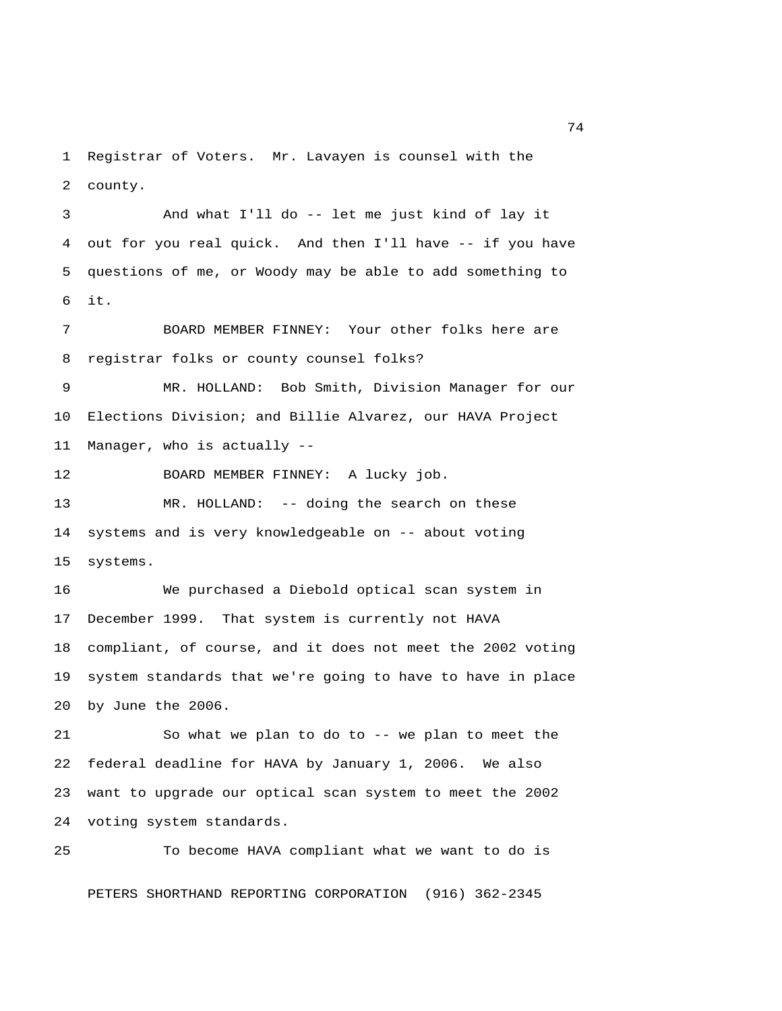1 Registrar of Voters. Mr. Lavayen is counsel with the 2 county.

 3 And what I'll do -- let me just kind of lay it 4 out for you real quick. And then I'll have -- if you have 5 questions of me, or Woody may be able to add something to 6 it.

 7 BOARD MEMBER FINNEY: Your other folks here are 8 registrar folks or county counsel folks?

 9 MR. HOLLAND: Bob Smith, Division Manager for our 10 Elections Division; and Billie Alvarez, our HAVA Project 11 Manager, who is actually --

12 BOARD MEMBER FINNEY: A lucky job. 13 MR. HOLLAND: -- doing the search on these 14 systems and is very knowledgeable on -- about voting 15 systems.

16 We purchased a Diebold optical scan system in 17 December 1999. That system is currently not HAVA 18 compliant, of course, and it does not meet the 2002 voting 19 system standards that we're going to have to have in place 20 by June the 2006.

21 So what we plan to do to -- we plan to meet the 22 federal deadline for HAVA by January 1, 2006. We also 23 want to upgrade our optical scan system to meet the 2002 24 voting system standards.

25 To become HAVA compliant what we want to do is PETERS SHORTHAND REPORTING CORPORATION (916) 362-2345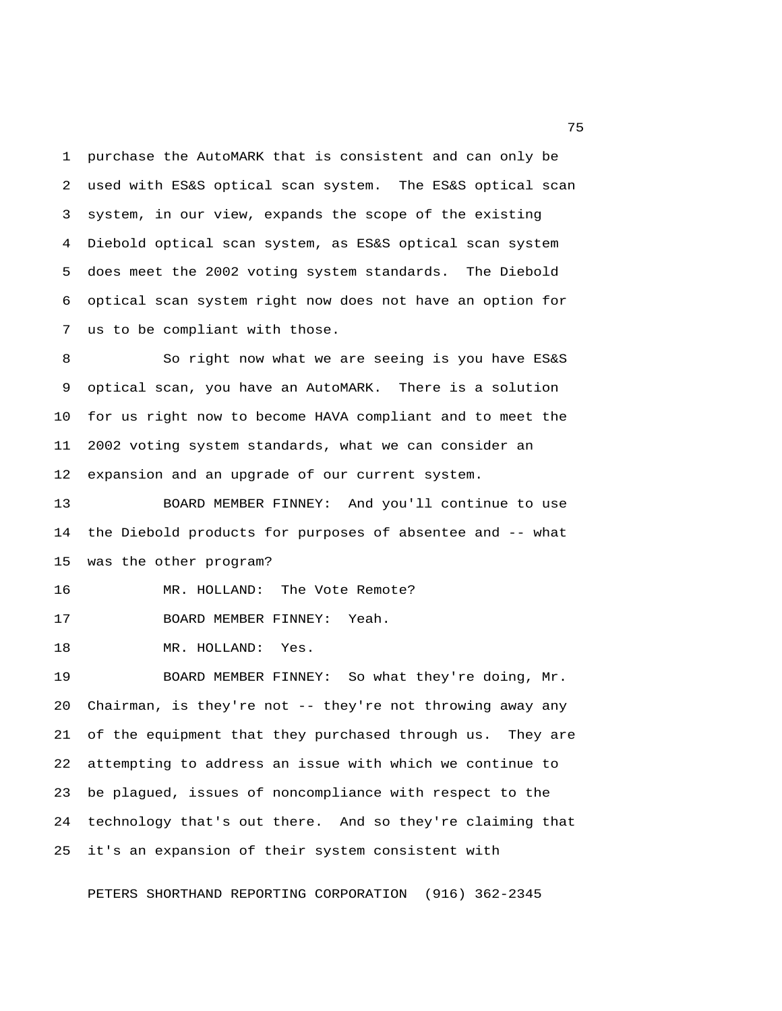1 purchase the AutoMARK that is consistent and can only be 2 used with ES&S optical scan system. The ES&S optical scan 3 system, in our view, expands the scope of the existing 4 Diebold optical scan system, as ES&S optical scan system 5 does meet the 2002 voting system standards. The Diebold 6 optical scan system right now does not have an option for 7 us to be compliant with those.

 8 So right now what we are seeing is you have ES&S 9 optical scan, you have an AutoMARK. There is a solution 10 for us right now to become HAVA compliant and to meet the 11 2002 voting system standards, what we can consider an 12 expansion and an upgrade of our current system.

13 BOARD MEMBER FINNEY: And you'll continue to use 14 the Diebold products for purposes of absentee and -- what 15 was the other program?

16 MR. HOLLAND: The Vote Remote?

17 BOARD MEMBER FINNEY: Yeah.

18 MR. HOLLAND: Yes.

19 BOARD MEMBER FINNEY: So what they're doing, Mr. 20 Chairman, is they're not -- they're not throwing away any 21 of the equipment that they purchased through us. They are 22 attempting to address an issue with which we continue to 23 be plagued, issues of noncompliance with respect to the 24 technology that's out there. And so they're claiming that 25 it's an expansion of their system consistent with

PETERS SHORTHAND REPORTING CORPORATION (916) 362-2345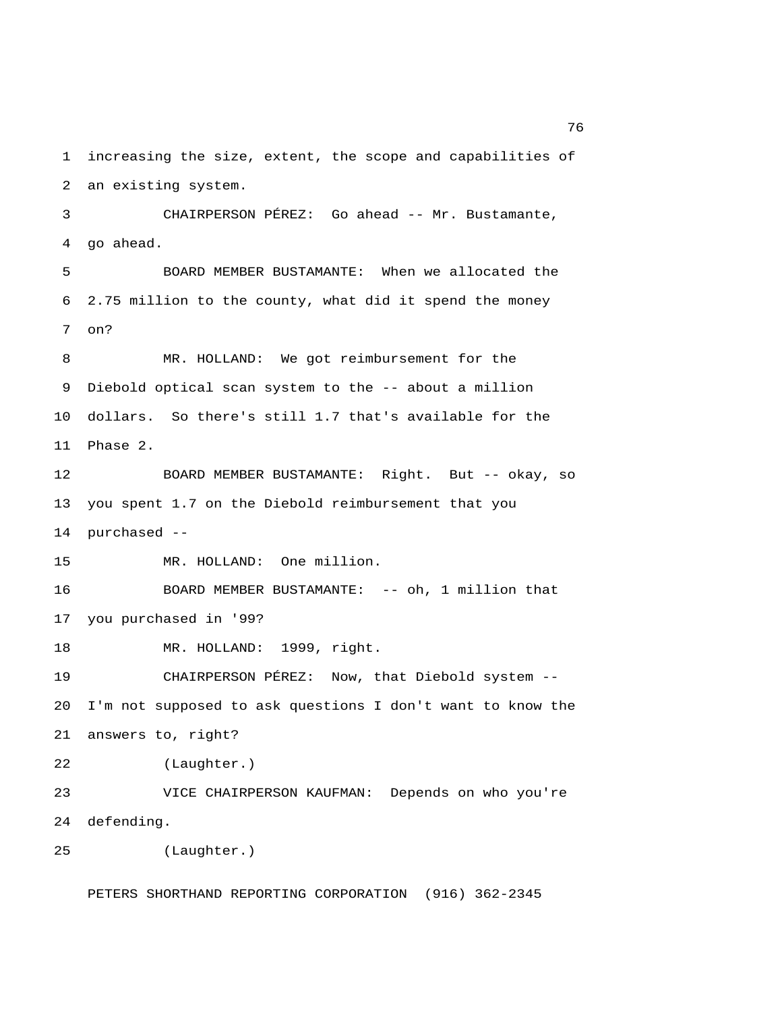1 increasing the size, extent, the scope and capabilities of 2 an existing system. 3 CHAIRPERSON PÉREZ: Go ahead -- Mr. Bustamante, 4 go ahead. 5 BOARD MEMBER BUSTAMANTE: When we allocated the 6 2.75 million to the county, what did it spend the money 7 on? 8 MR. HOLLAND: We got reimbursement for the 9 Diebold optical scan system to the -- about a million 10 dollars. So there's still 1.7 that's available for the 11 Phase 2. 12 BOARD MEMBER BUSTAMANTE: Right. But -- okay, so 13 you spent 1.7 on the Diebold reimbursement that you 14 purchased -- 15 MR. HOLLAND: One million. 16 BOARD MEMBER BUSTAMANTE: -- oh, 1 million that 17 you purchased in '99? 18 MR. HOLLAND: 1999, right. 19 CHAIRPERSON PÉREZ: Now, that Diebold system -- 20 I'm not supposed to ask questions I don't want to know the 21 answers to, right? 22 (Laughter.) 23 VICE CHAIRPERSON KAUFMAN: Depends on who you're 24 defending. 25 (Laughter.)

PETERS SHORTHAND REPORTING CORPORATION (916) 362-2345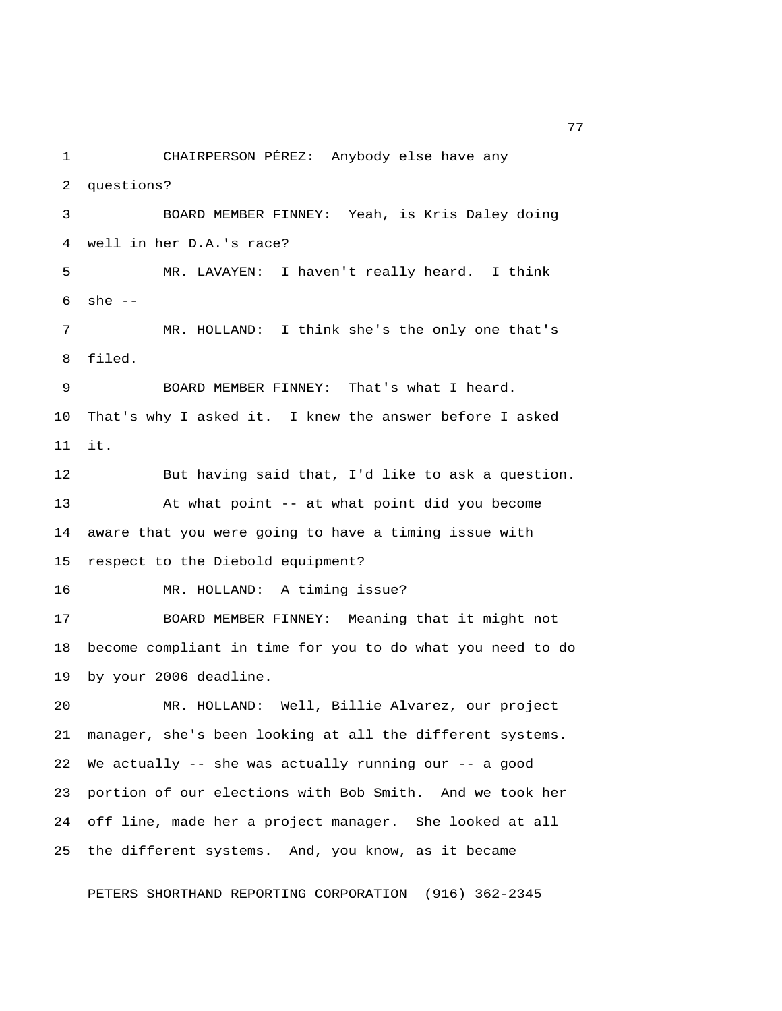1 CHAIRPERSON PÉREZ: Anybody else have any 2 questions? 3 BOARD MEMBER FINNEY: Yeah, is Kris Daley doing 4 well in her D.A.'s race? 5 MR. LAVAYEN: I haven't really heard. I think 6 she -- 7 MR. HOLLAND: I think she's the only one that's 8 filed. 9 BOARD MEMBER FINNEY: That's what I heard. 10 That's why I asked it. I knew the answer before I asked 11 it. 12 But having said that, I'd like to ask a question. 13 At what point -- at what point did you become 14 aware that you were going to have a timing issue with 15 respect to the Diebold equipment? 16 MR. HOLLAND: A timing issue? 17 BOARD MEMBER FINNEY: Meaning that it might not 18 become compliant in time for you to do what you need to do 19 by your 2006 deadline. 20 MR. HOLLAND: Well, Billie Alvarez, our project 21 manager, she's been looking at all the different systems. 22 We actually -- she was actually running our -- a good 23 portion of our elections with Bob Smith. And we took her 24 off line, made her a project manager. She looked at all 25 the different systems. And, you know, as it became

PETERS SHORTHAND REPORTING CORPORATION (916) 362-2345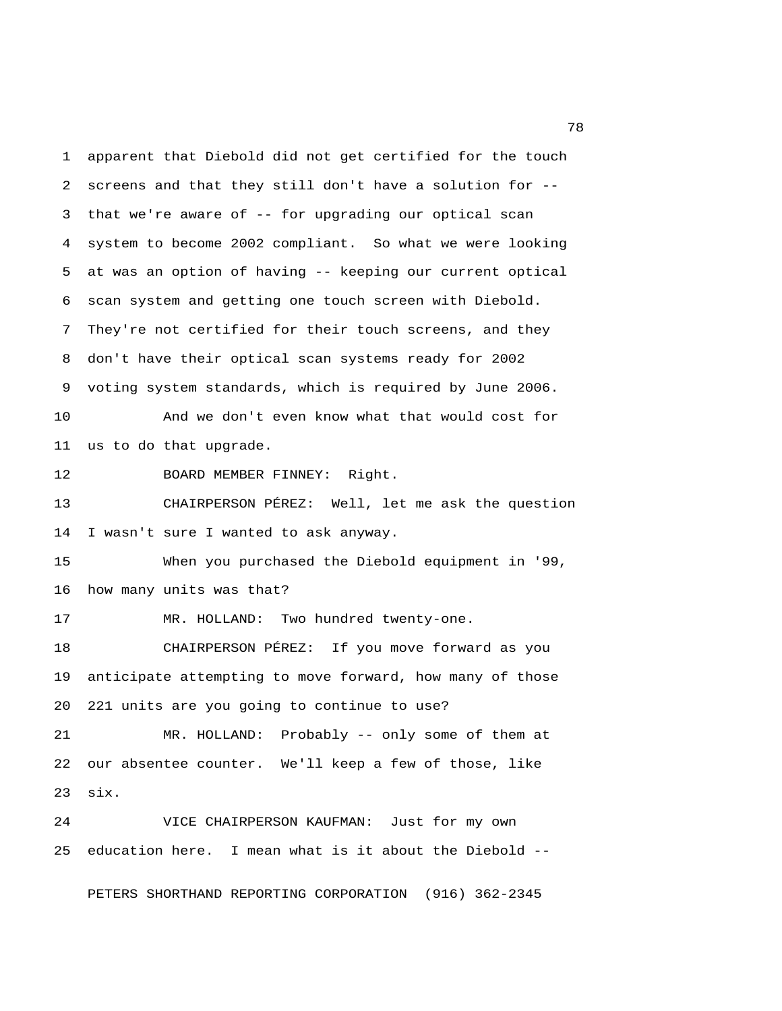1 apparent that Diebold did not get certified for the touch 2 screens and that they still don't have a solution for -- 3 that we're aware of -- for upgrading our optical scan 4 system to become 2002 compliant. So what we were looking 5 at was an option of having -- keeping our current optical 6 scan system and getting one touch screen with Diebold. 7 They're not certified for their touch screens, and they 8 don't have their optical scan systems ready for 2002 9 voting system standards, which is required by June 2006. 10 And we don't even know what that would cost for 11 us to do that upgrade. 12 BOARD MEMBER FINNEY: Right. 13 CHAIRPERSON PÉREZ: Well, let me ask the question 14 I wasn't sure I wanted to ask anyway. 15 When you purchased the Diebold equipment in '99, 16 how many units was that? 17 MR. HOLLAND: Two hundred twenty-one. 18 CHAIRPERSON PÉREZ: If you move forward as you 19 anticipate attempting to move forward, how many of those 20 221 units are you going to continue to use? 21 MR. HOLLAND: Probably -- only some of them at 22 our absentee counter. We'll keep a few of those, like 23 six. 24 VICE CHAIRPERSON KAUFMAN: Just for my own 25 education here. I mean what is it about the Diebold --

PETERS SHORTHAND REPORTING CORPORATION (916) 362-2345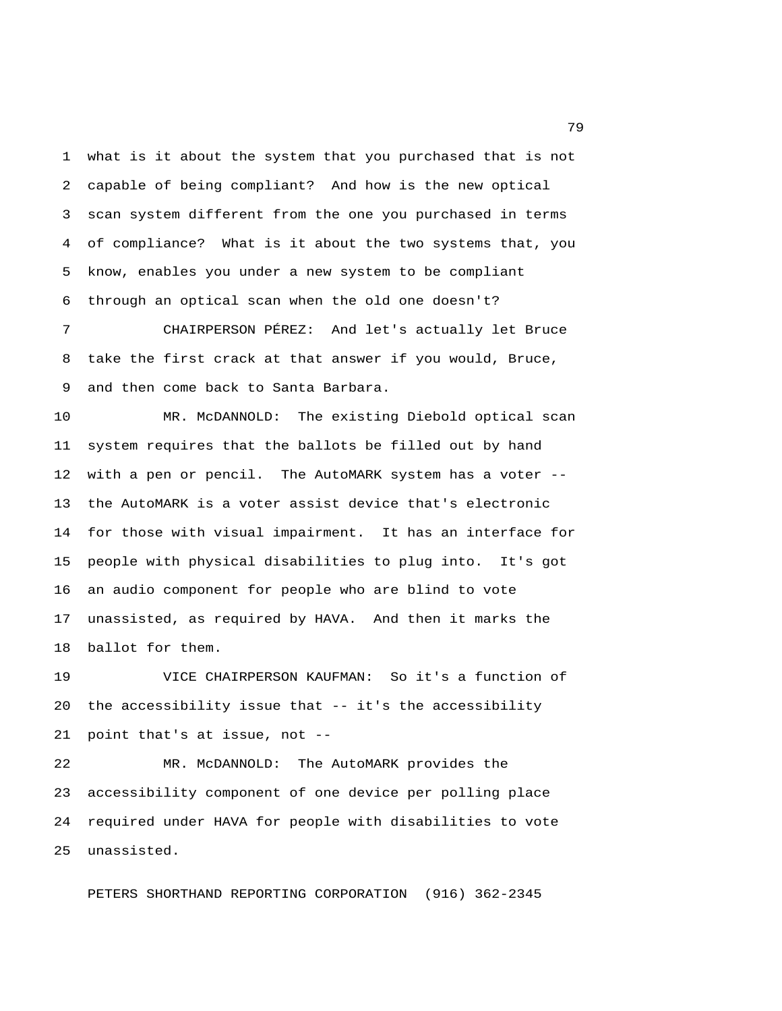1 what is it about the system that you purchased that is not 2 capable of being compliant? And how is the new optical 3 scan system different from the one you purchased in terms 4 of compliance? What is it about the two systems that, you 5 know, enables you under a new system to be compliant 6 through an optical scan when the old one doesn't?

 7 CHAIRPERSON PÉREZ: And let's actually let Bruce 8 take the first crack at that answer if you would, Bruce, 9 and then come back to Santa Barbara.

10 MR. McDANNOLD: The existing Diebold optical scan 11 system requires that the ballots be filled out by hand 12 with a pen or pencil. The AutoMARK system has a voter -- 13 the AutoMARK is a voter assist device that's electronic 14 for those with visual impairment. It has an interface for 15 people with physical disabilities to plug into. It's got 16 an audio component for people who are blind to vote 17 unassisted, as required by HAVA. And then it marks the 18 ballot for them.

19 VICE CHAIRPERSON KAUFMAN: So it's a function of 20 the accessibility issue that -- it's the accessibility 21 point that's at issue, not --

22 MR. McDANNOLD: The AutoMARK provides the 23 accessibility component of one device per polling place 24 required under HAVA for people with disabilities to vote 25 unassisted.

PETERS SHORTHAND REPORTING CORPORATION (916) 362-2345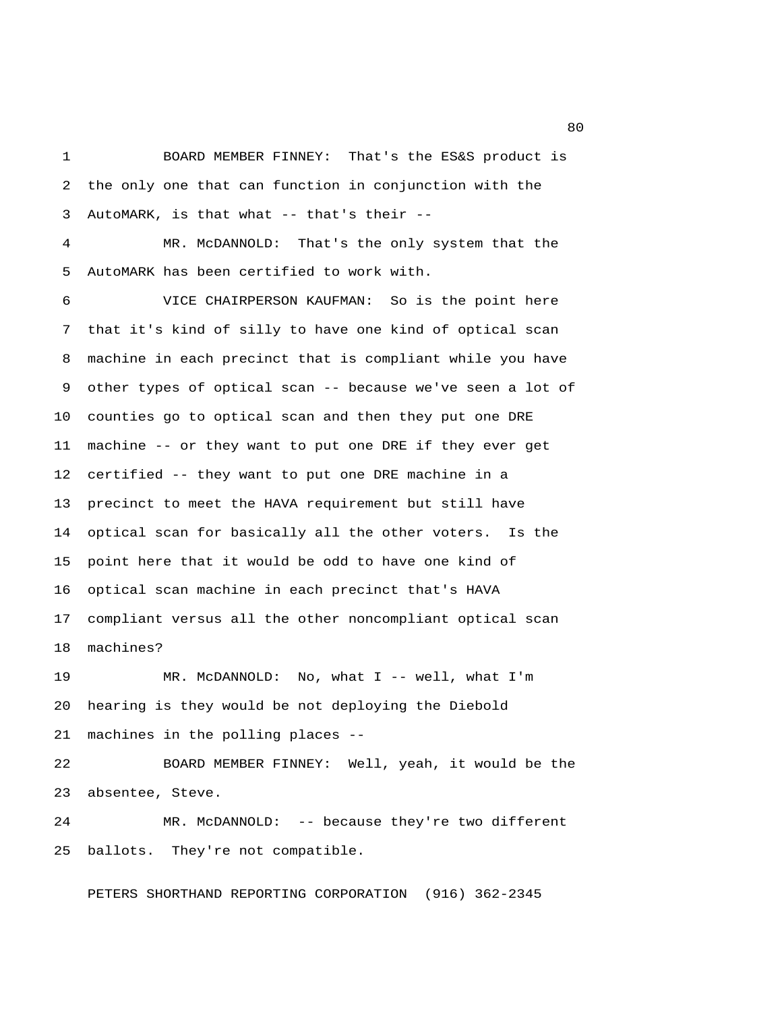1 BOARD MEMBER FINNEY: That's the ES&S product is 2 the only one that can function in conjunction with the 3 AutoMARK, is that what -- that's their --

 4 MR. McDANNOLD: That's the only system that the 5 AutoMARK has been certified to work with.

 6 VICE CHAIRPERSON KAUFMAN: So is the point here 7 that it's kind of silly to have one kind of optical scan 8 machine in each precinct that is compliant while you have 9 other types of optical scan -- because we've seen a lot of 10 counties go to optical scan and then they put one DRE 11 machine -- or they want to put one DRE if they ever get 12 certified -- they want to put one DRE machine in a 13 precinct to meet the HAVA requirement but still have 14 optical scan for basically all the other voters. Is the 15 point here that it would be odd to have one kind of 16 optical scan machine in each precinct that's HAVA 17 compliant versus all the other noncompliant optical scan 18 machines?

19 MR. McDANNOLD: No, what I -- well, what I'm 20 hearing is they would be not deploying the Diebold 21 machines in the polling places --

22 BOARD MEMBER FINNEY: Well, yeah, it would be the 23 absentee, Steve.

24 MR. McDANNOLD: -- because they're two different 25 ballots. They're not compatible.

PETERS SHORTHAND REPORTING CORPORATION (916) 362-2345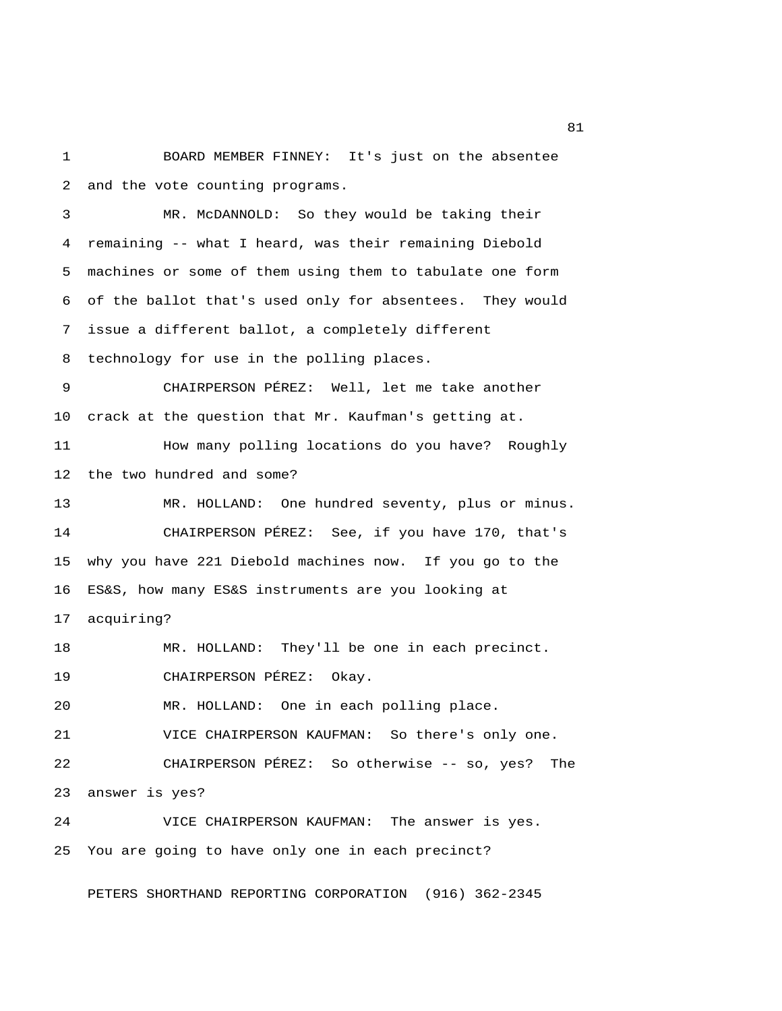1 BOARD MEMBER FINNEY: It's just on the absentee 2 and the vote counting programs.

 3 MR. McDANNOLD: So they would be taking their 4 remaining -- what I heard, was their remaining Diebold 5 machines or some of them using them to tabulate one form 6 of the ballot that's used only for absentees. They would 7 issue a different ballot, a completely different 8 technology for use in the polling places. 9 CHAIRPERSON PÉREZ: Well, let me take another

10 crack at the question that Mr. Kaufman's getting at. 11 How many polling locations do you have? Roughly

13 MR. HOLLAND: One hundred seventy, plus or minus. 14 CHAIRPERSON PÉREZ: See, if you have 170, that's 15 why you have 221 Diebold machines now. If you go to the 16 ES&S, how many ES&S instruments are you looking at

17 acquiring?

18 MR. HOLLAND: They'll be one in each precinct.

19 CHAIRPERSON PÉREZ: Okay.

12 the two hundred and some?

20 MR. HOLLAND: One in each polling place.

21 VICE CHAIRPERSON KAUFMAN: So there's only one.

22 CHAIRPERSON PÉREZ: So otherwise -- so, yes? The 23 answer is yes?

24 VICE CHAIRPERSON KAUFMAN: The answer is yes. 25 You are going to have only one in each precinct?

PETERS SHORTHAND REPORTING CORPORATION (916) 362-2345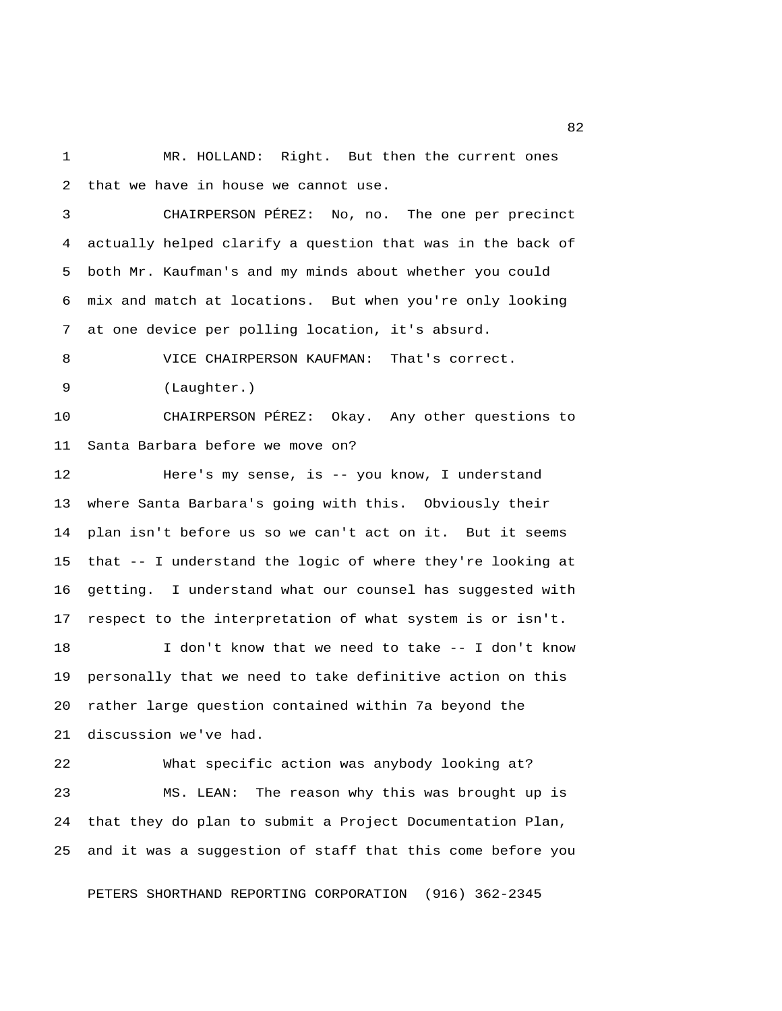1 MR. HOLLAND: Right. But then the current ones 2 that we have in house we cannot use.

 3 CHAIRPERSON PÉREZ: No, no. The one per precinct 4 actually helped clarify a question that was in the back of 5 both Mr. Kaufman's and my minds about whether you could 6 mix and match at locations. But when you're only looking 7 at one device per polling location, it's absurd.

8 VICE CHAIRPERSON KAUFMAN: That's correct.

9 (Laughter.)

10 CHAIRPERSON PÉREZ: Okay. Any other questions to 11 Santa Barbara before we move on?

12 Here's my sense, is -- you know, I understand 13 where Santa Barbara's going with this. Obviously their 14 plan isn't before us so we can't act on it. But it seems 15 that -- I understand the logic of where they're looking at 16 getting. I understand what our counsel has suggested with 17 respect to the interpretation of what system is or isn't.

18 I don't know that we need to take -- I don't know 19 personally that we need to take definitive action on this 20 rather large question contained within 7a beyond the 21 discussion we've had.

22 What specific action was anybody looking at? 23 MS. LEAN: The reason why this was brought up is 24 that they do plan to submit a Project Documentation Plan, 25 and it was a suggestion of staff that this come before you

PETERS SHORTHAND REPORTING CORPORATION (916) 362-2345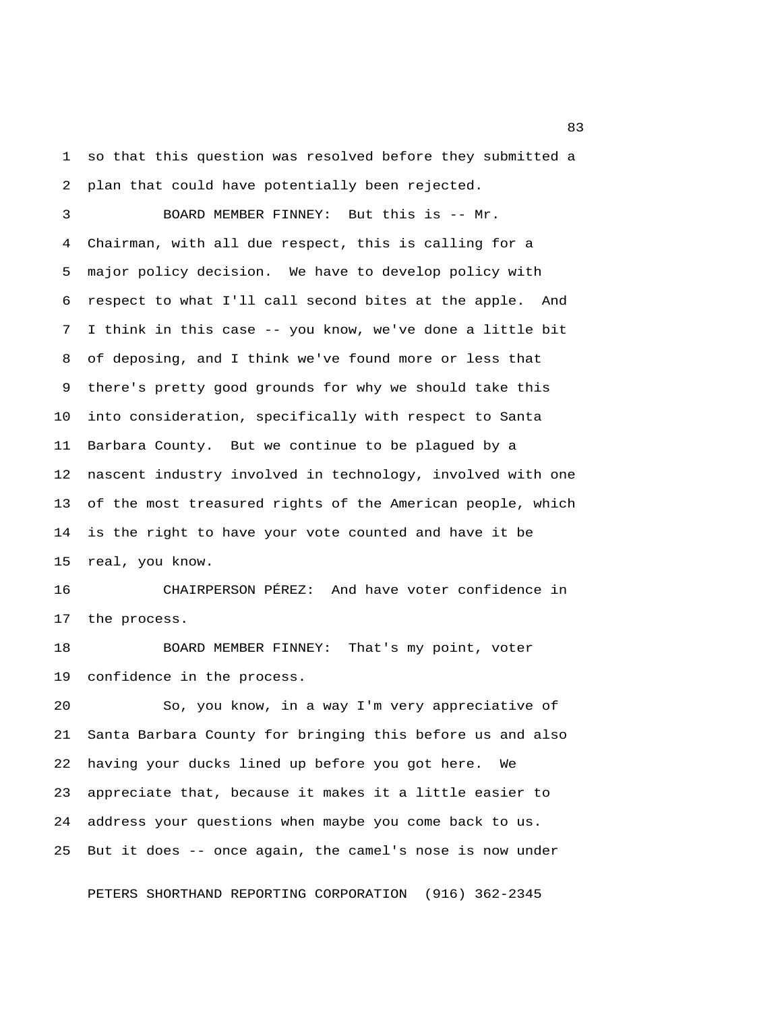1 so that this question was resolved before they submitted a 2 plan that could have potentially been rejected.

 3 BOARD MEMBER FINNEY: But this is -- Mr. 4 Chairman, with all due respect, this is calling for a 5 major policy decision. We have to develop policy with 6 respect to what I'll call second bites at the apple. And 7 I think in this case -- you know, we've done a little bit 8 of deposing, and I think we've found more or less that 9 there's pretty good grounds for why we should take this 10 into consideration, specifically with respect to Santa 11 Barbara County. But we continue to be plagued by a 12 nascent industry involved in technology, involved with one 13 of the most treasured rights of the American people, which 14 is the right to have your vote counted and have it be 15 real, you know.

16 CHAIRPERSON PÉREZ: And have voter confidence in 17 the process.

18 BOARD MEMBER FINNEY: That's my point, voter 19 confidence in the process.

20 So, you know, in a way I'm very appreciative of 21 Santa Barbara County for bringing this before us and also 22 having your ducks lined up before you got here. We 23 appreciate that, because it makes it a little easier to 24 address your questions when maybe you come back to us. 25 But it does -- once again, the camel's nose is now under

PETERS SHORTHAND REPORTING CORPORATION (916) 362-2345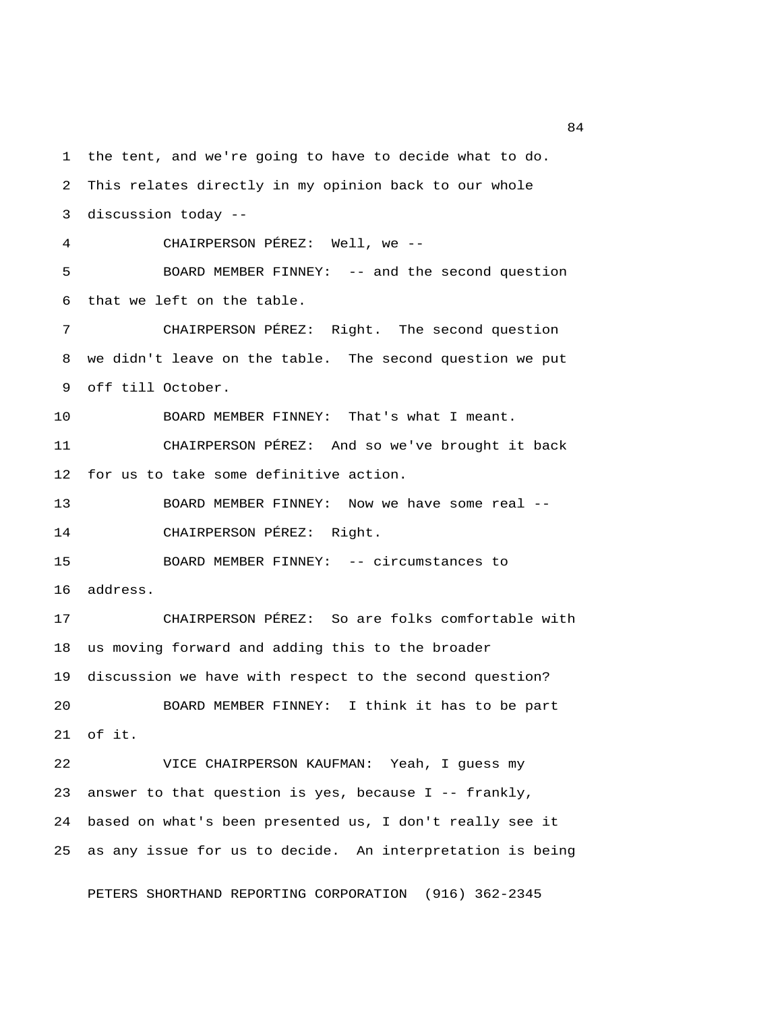1 the tent, and we're going to have to decide what to do. 2 This relates directly in my opinion back to our whole 3 discussion today -- 4 CHAIRPERSON PÉREZ: Well, we -- 5 BOARD MEMBER FINNEY: -- and the second question 6 that we left on the table. 7 CHAIRPERSON PÉREZ: Right. The second question 8 we didn't leave on the table. The second question we put 9 off till October. 10 BOARD MEMBER FINNEY: That's what I meant. 11 CHAIRPERSON PÉREZ: And so we've brought it back 12 for us to take some definitive action. 13 BOARD MEMBER FINNEY: Now we have some real -- 14 CHAIRPERSON PÉREZ: Right. 15 BOARD MEMBER FINNEY: -- circumstances to 16 address. 17 CHAIRPERSON PÉREZ: So are folks comfortable with 18 us moving forward and adding this to the broader 19 discussion we have with respect to the second question? 20 BOARD MEMBER FINNEY: I think it has to be part 21 of it. 22 VICE CHAIRPERSON KAUFMAN: Yeah, I guess my 23 answer to that question is yes, because I -- frankly, 24 based on what's been presented us, I don't really see it 25 as any issue for us to decide. An interpretation is being

PETERS SHORTHAND REPORTING CORPORATION (916) 362-2345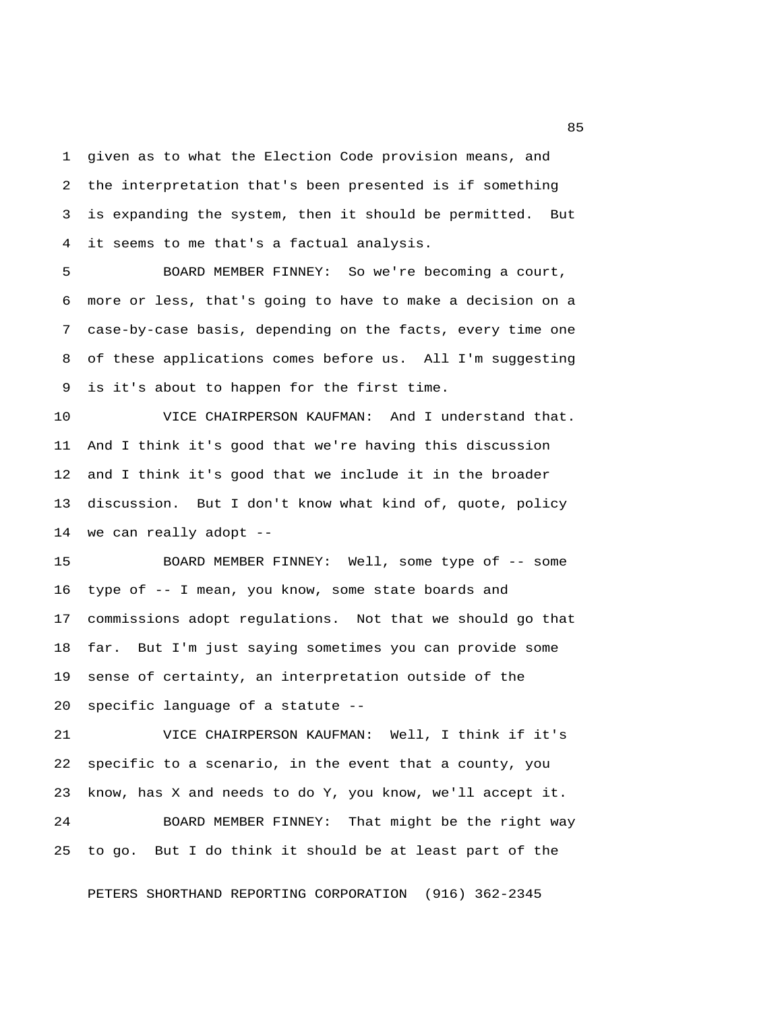1 given as to what the Election Code provision means, and 2 the interpretation that's been presented is if something 3 is expanding the system, then it should be permitted. But 4 it seems to me that's a factual analysis.

 5 BOARD MEMBER FINNEY: So we're becoming a court, 6 more or less, that's going to have to make a decision on a 7 case-by-case basis, depending on the facts, every time one 8 of these applications comes before us. All I'm suggesting 9 is it's about to happen for the first time.

10 VICE CHAIRPERSON KAUFMAN: And I understand that. 11 And I think it's good that we're having this discussion 12 and I think it's good that we include it in the broader 13 discussion. But I don't know what kind of, quote, policy 14 we can really adopt --

15 BOARD MEMBER FINNEY: Well, some type of -- some 16 type of -- I mean, you know, some state boards and 17 commissions adopt regulations. Not that we should go that 18 far. But I'm just saying sometimes you can provide some 19 sense of certainty, an interpretation outside of the 20 specific language of a statute --

21 VICE CHAIRPERSON KAUFMAN: Well, I think if it's 22 specific to a scenario, in the event that a county, you 23 know, has X and needs to do Y, you know, we'll accept it.

24 BOARD MEMBER FINNEY: That might be the right way 25 to go. But I do think it should be at least part of the

PETERS SHORTHAND REPORTING CORPORATION (916) 362-2345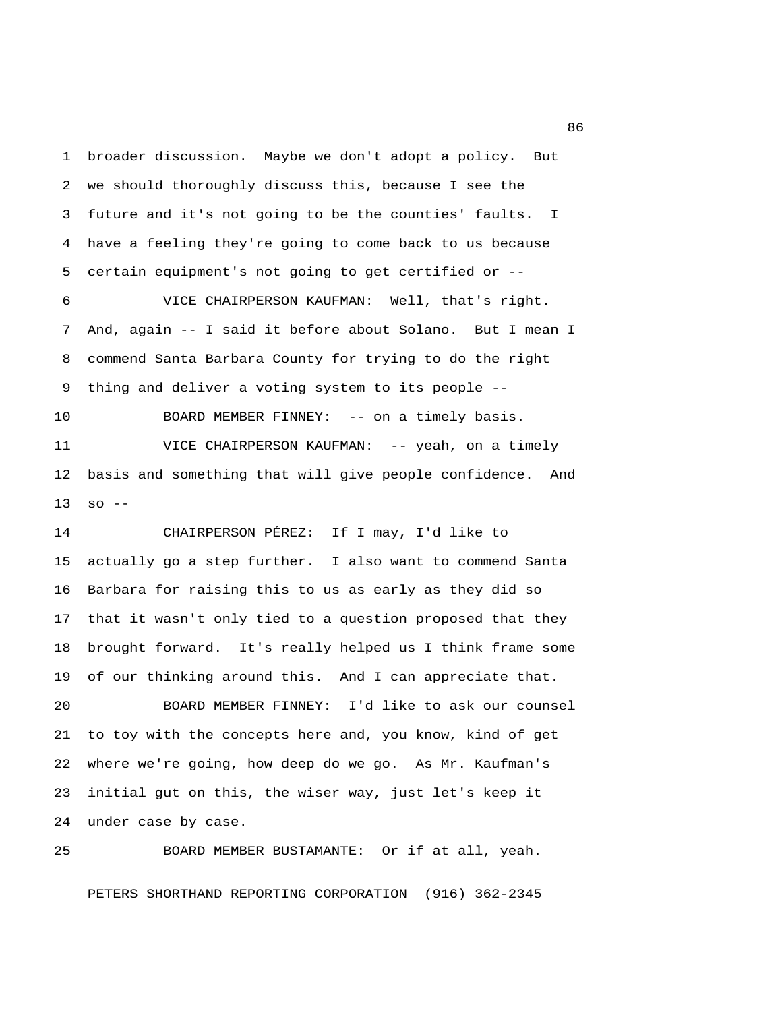1 broader discussion. Maybe we don't adopt a policy. But 2 we should thoroughly discuss this, because I see the 3 future and it's not going to be the counties' faults. I 4 have a feeling they're going to come back to us because 5 certain equipment's not going to get certified or --

 6 VICE CHAIRPERSON KAUFMAN: Well, that's right. 7 And, again -- I said it before about Solano. But I mean I 8 commend Santa Barbara County for trying to do the right 9 thing and deliver a voting system to its people --

10 BOARD MEMBER FINNEY: -- on a timely basis. 11 VICE CHAIRPERSON KAUFMAN: -- yeah, on a timely 12 basis and something that will give people confidence. And  $13$  so  $-$ 

14 CHAIRPERSON PÉREZ: If I may, I'd like to 15 actually go a step further. I also want to commend Santa 16 Barbara for raising this to us as early as they did so 17 that it wasn't only tied to a question proposed that they 18 brought forward. It's really helped us I think frame some 19 of our thinking around this. And I can appreciate that.

20 BOARD MEMBER FINNEY: I'd like to ask our counsel 21 to toy with the concepts here and, you know, kind of get 22 where we're going, how deep do we go. As Mr. Kaufman's 23 initial gut on this, the wiser way, just let's keep it 24 under case by case.

25 BOARD MEMBER BUSTAMANTE: Or if at all, yeah. PETERS SHORTHAND REPORTING CORPORATION (916) 362-2345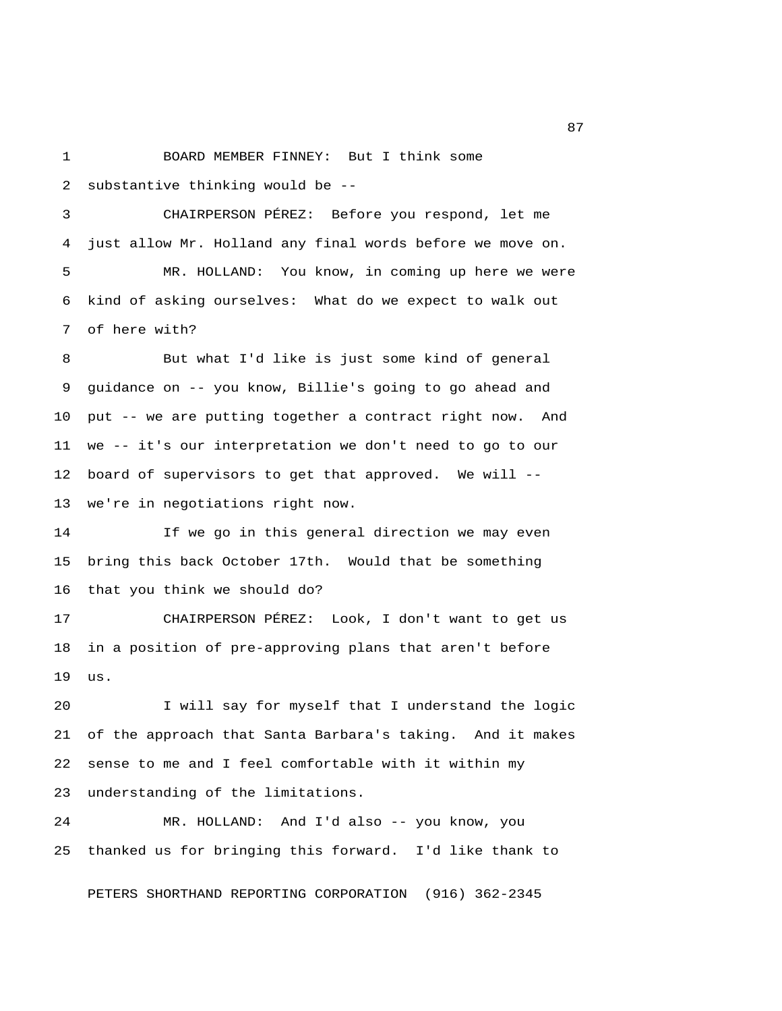1 BOARD MEMBER FINNEY: But I think some 2 substantive thinking would be --

 3 CHAIRPERSON PÉREZ: Before you respond, let me 4 just allow Mr. Holland any final words before we move on. 5 MR. HOLLAND: You know, in coming up here we were 6 kind of asking ourselves: What do we expect to walk out

7 of here with?

 8 But what I'd like is just some kind of general 9 guidance on -- you know, Billie's going to go ahead and 10 put -- we are putting together a contract right now. And 11 we -- it's our interpretation we don't need to go to our 12 board of supervisors to get that approved. We will -- 13 we're in negotiations right now.

14 If we go in this general direction we may even 15 bring this back October 17th. Would that be something 16 that you think we should do?

17 CHAIRPERSON PÉREZ: Look, I don't want to get us 18 in a position of pre-approving plans that aren't before 19 us.

20 I will say for myself that I understand the logic 21 of the approach that Santa Barbara's taking. And it makes 22 sense to me and I feel comfortable with it within my 23 understanding of the limitations.

24 MR. HOLLAND: And I'd also -- you know, you 25 thanked us for bringing this forward. I'd like thank to

PETERS SHORTHAND REPORTING CORPORATION (916) 362-2345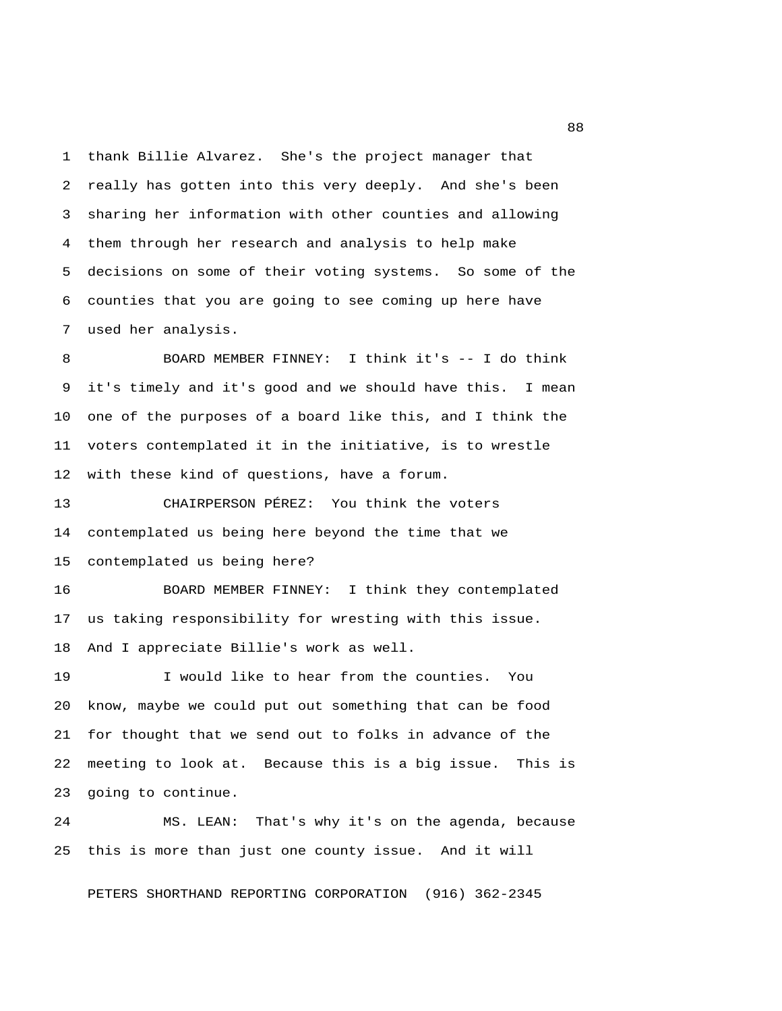1 thank Billie Alvarez. She's the project manager that 2 really has gotten into this very deeply. And she's been 3 sharing her information with other counties and allowing 4 them through her research and analysis to help make 5 decisions on some of their voting systems. So some of the 6 counties that you are going to see coming up here have 7 used her analysis.

 8 BOARD MEMBER FINNEY: I think it's -- I do think 9 it's timely and it's good and we should have this. I mean 10 one of the purposes of a board like this, and I think the 11 voters contemplated it in the initiative, is to wrestle 12 with these kind of questions, have a forum.

13 CHAIRPERSON PÉREZ: You think the voters 14 contemplated us being here beyond the time that we 15 contemplated us being here?

16 BOARD MEMBER FINNEY: I think they contemplated 17 us taking responsibility for wresting with this issue. 18 And I appreciate Billie's work as well.

19 I would like to hear from the counties. You 20 know, maybe we could put out something that can be food 21 for thought that we send out to folks in advance of the 22 meeting to look at. Because this is a big issue. This is 23 going to continue.

24 MS. LEAN: That's why it's on the agenda, because 25 this is more than just one county issue. And it will

PETERS SHORTHAND REPORTING CORPORATION (916) 362-2345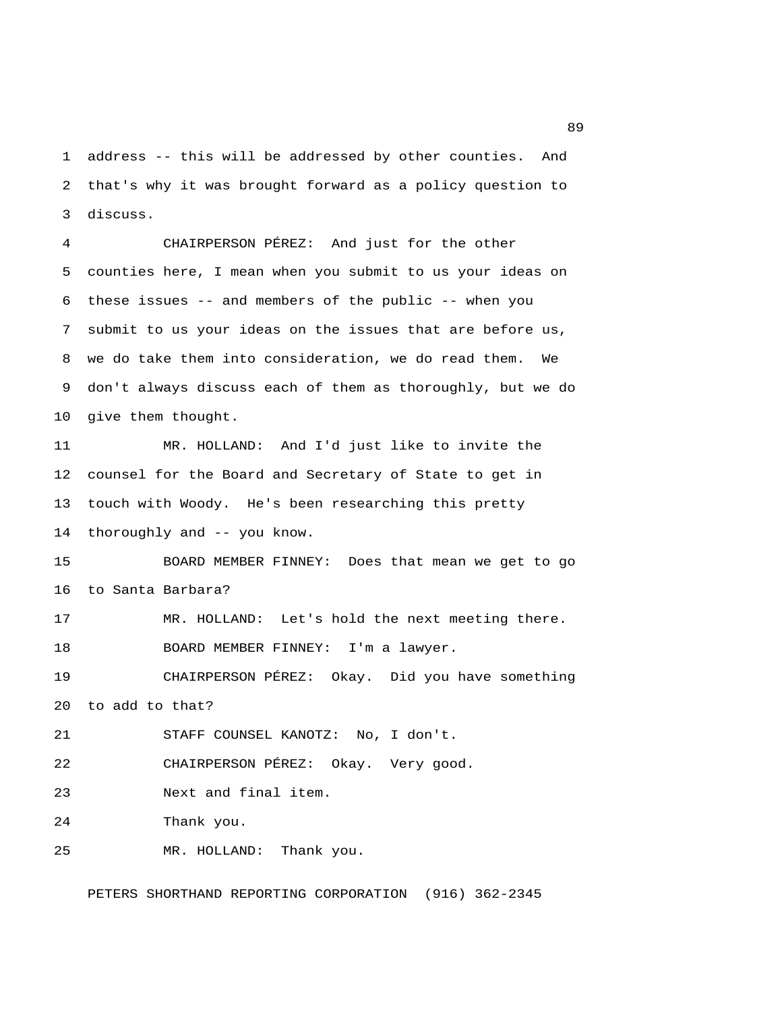1 address -- this will be addressed by other counties. And 2 that's why it was brought forward as a policy question to 3 discuss.

 4 CHAIRPERSON PÉREZ: And just for the other 5 counties here, I mean when you submit to us your ideas on 6 these issues -- and members of the public -- when you 7 submit to us your ideas on the issues that are before us, 8 we do take them into consideration, we do read them. We 9 don't always discuss each of them as thoroughly, but we do 10 give them thought.

11 MR. HOLLAND: And I'd just like to invite the 12 counsel for the Board and Secretary of State to get in 13 touch with Woody. He's been researching this pretty 14 thoroughly and -- you know.

15 BOARD MEMBER FINNEY: Does that mean we get to go 16 to Santa Barbara?

17 MR. HOLLAND: Let's hold the next meeting there. 18 BOARD MEMBER FINNEY: I'm a lawyer.

19 CHAIRPERSON PÉREZ: Okay. Did you have something 20 to add to that?

21 STAFF COUNSEL KANOTZ: No, I don't.

22 CHAIRPERSON PÉREZ: Okay. Very good.

23 Next and final item.

24 Thank you.

25 MR. HOLLAND: Thank you.

PETERS SHORTHAND REPORTING CORPORATION (916) 362-2345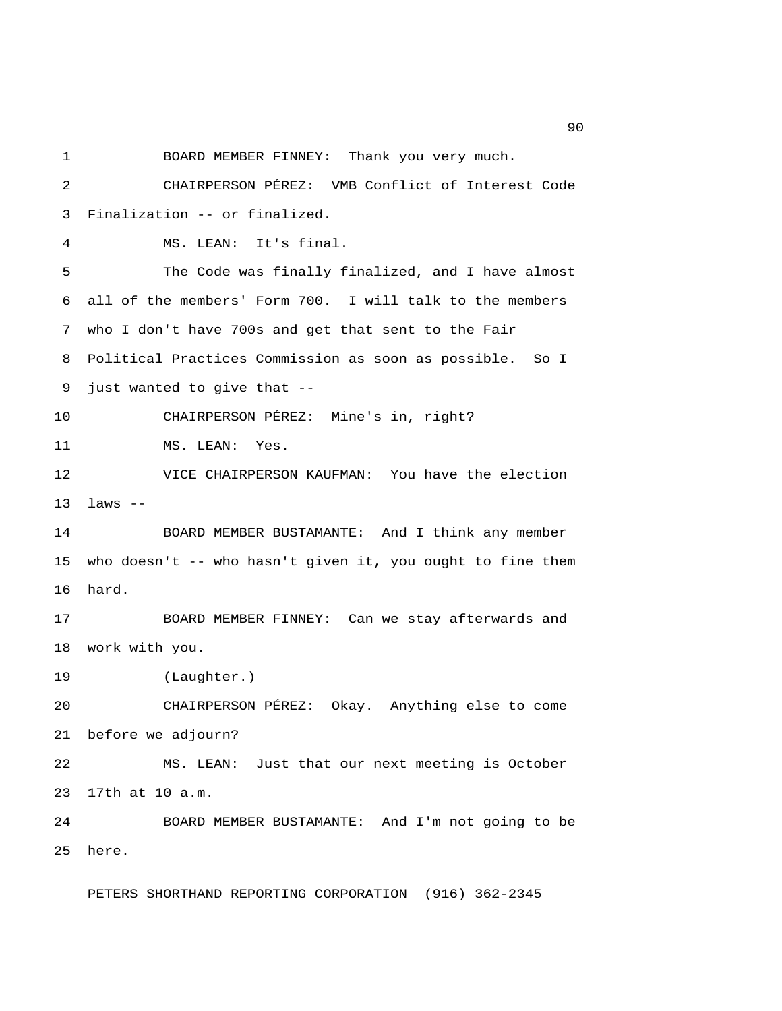1 BOARD MEMBER FINNEY: Thank you very much. 2 CHAIRPERSON PÉREZ: VMB Conflict of Interest Code 3 Finalization -- or finalized. 4 MS. LEAN: It's final. 5 The Code was finally finalized, and I have almost 6 all of the members' Form 700. I will talk to the members 7 who I don't have 700s and get that sent to the Fair 8 Political Practices Commission as soon as possible. So I 9 just wanted to give that -- 10 CHAIRPERSON PÉREZ: Mine's in, right? 11 MS. LEAN: Yes. 12 VICE CHAIRPERSON KAUFMAN: You have the election 13 laws -- 14 BOARD MEMBER BUSTAMANTE: And I think any member 15 who doesn't -- who hasn't given it, you ought to fine them 16 hard. 17 BOARD MEMBER FINNEY: Can we stay afterwards and 18 work with you. 19 (Laughter.) 20 CHAIRPERSON PÉREZ: Okay. Anything else to come 21 before we adjourn? 22 MS. LEAN: Just that our next meeting is October 23 17th at 10 a.m. 24 BOARD MEMBER BUSTAMANTE: And I'm not going to be 25 here.

PETERS SHORTHAND REPORTING CORPORATION (916) 362-2345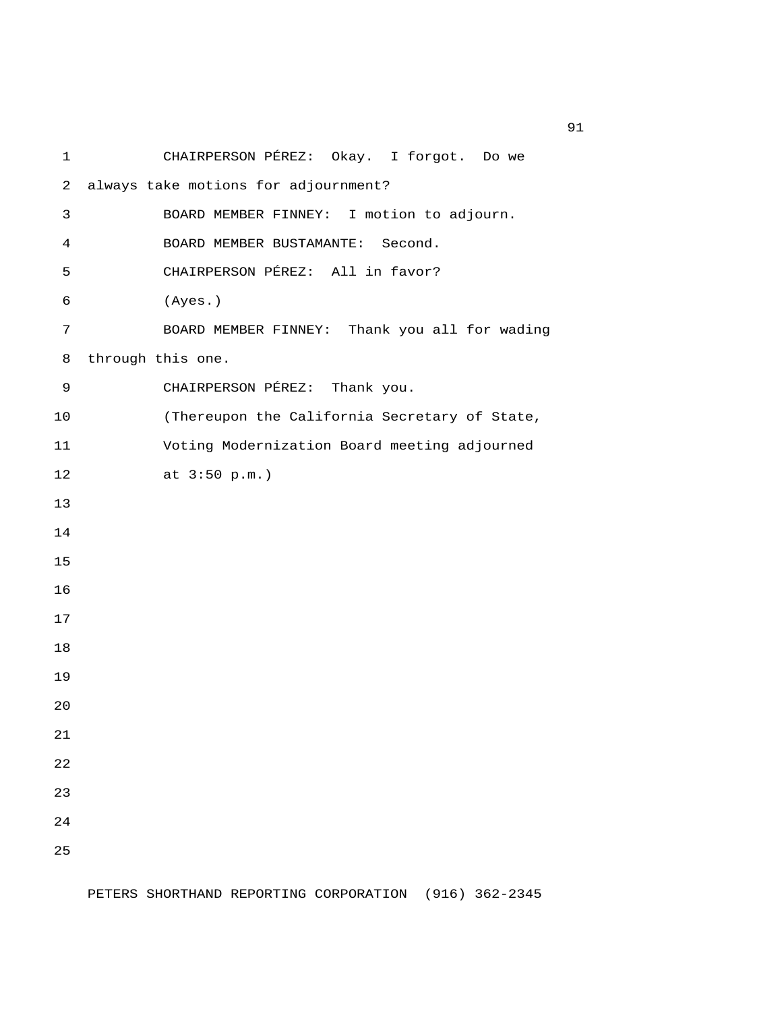| 1              | CHAIRPERSON PÉREZ: Okay. I forgot. Do we      |
|----------------|-----------------------------------------------|
| $\overline{a}$ | always take motions for adjournment?          |
| 3              | BOARD MEMBER FINNEY: I motion to adjourn.     |
| 4              | BOARD MEMBER BUSTAMANTE: Second.              |
| 5              | CHAIRPERSON PÉREZ: All in favor?              |
| 6              | (Ayes.)                                       |
| 7              | BOARD MEMBER FINNEY: Thank you all for wading |
| 8              | through this one.                             |
| 9              | CHAIRPERSON PÉREZ: Thank you.                 |
| 10             | (Thereupon the California Secretary of State, |
| 11             | Voting Modernization Board meeting adjourned  |
| 12             | at 3:50 p.m.)                                 |
| 13             |                                               |
| 14             |                                               |
| 15             |                                               |
| 16             |                                               |
| 17             |                                               |
| 18             |                                               |
| 19             |                                               |
| 20             |                                               |
| 21             |                                               |
| 22             |                                               |
| 23             |                                               |
| 24             |                                               |
| 25             |                                               |